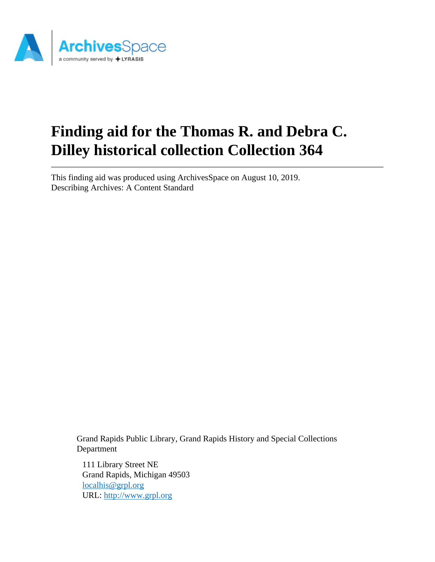

# **Finding aid for the Thomas R. and Debra C. Dilley historical collection Collection 364**

This finding aid was produced using ArchivesSpace on August 10, 2019. Describing Archives: A Content Standard

> Grand Rapids Public Library, Grand Rapids History and Special Collections Department

111 Library Street NE Grand Rapids, Michigan 49503 [localhis@grpl.org](mailto:localhis@grpl.org) URL:<http://www.grpl.org>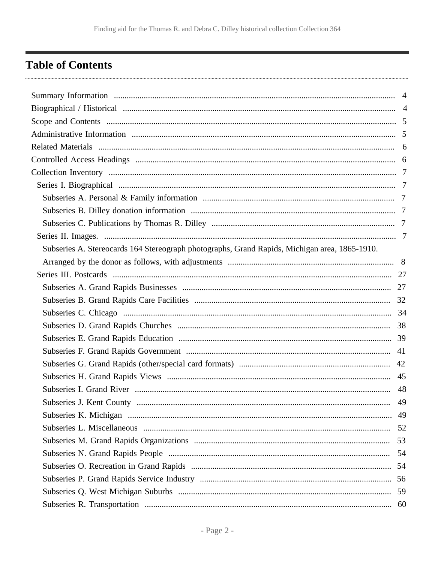## <span id="page-1-0"></span>**Table of Contents**

| Subseries A. Stereocards 164 Stereograph photographs, Grand Rapids, Michigan area, 1865-1910. |    |
|-----------------------------------------------------------------------------------------------|----|
|                                                                                               |    |
|                                                                                               |    |
|                                                                                               |    |
|                                                                                               |    |
|                                                                                               |    |
|                                                                                               |    |
|                                                                                               |    |
|                                                                                               |    |
|                                                                                               |    |
|                                                                                               |    |
|                                                                                               |    |
| Subseries J. Kent County                                                                      | 49 |
|                                                                                               |    |
|                                                                                               |    |
|                                                                                               |    |
|                                                                                               | 54 |
|                                                                                               |    |
|                                                                                               |    |
|                                                                                               |    |
|                                                                                               |    |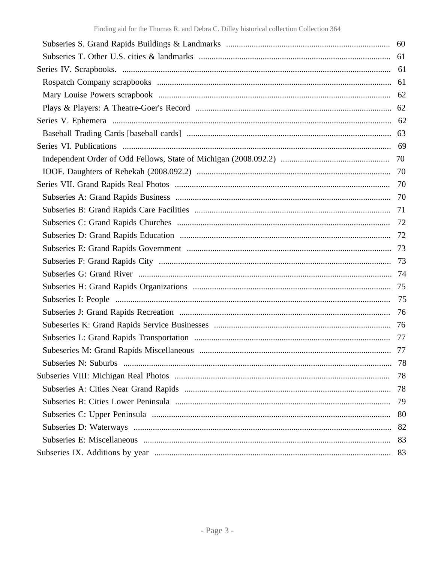| 78 |
|----|
| 78 |
| 78 |
| 79 |
| 80 |
| 82 |
| 83 |
| 83 |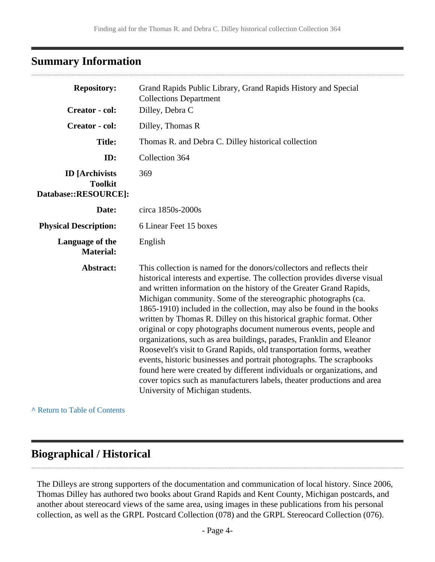## <span id="page-3-0"></span>**Summary Information**

| <b>Repository:</b>                                              | Grand Rapids Public Library, Grand Rapids History and Special<br><b>Collections Department</b>                                                                                                                                                                                                                                                                                                                                                                                                                                                                                                                                                                                                                                                                                                                                                                                                                                      |  |
|-----------------------------------------------------------------|-------------------------------------------------------------------------------------------------------------------------------------------------------------------------------------------------------------------------------------------------------------------------------------------------------------------------------------------------------------------------------------------------------------------------------------------------------------------------------------------------------------------------------------------------------------------------------------------------------------------------------------------------------------------------------------------------------------------------------------------------------------------------------------------------------------------------------------------------------------------------------------------------------------------------------------|--|
| Creator - col:                                                  | Dilley, Debra C                                                                                                                                                                                                                                                                                                                                                                                                                                                                                                                                                                                                                                                                                                                                                                                                                                                                                                                     |  |
| <b>Creator</b> - col:                                           | Dilley, Thomas R                                                                                                                                                                                                                                                                                                                                                                                                                                                                                                                                                                                                                                                                                                                                                                                                                                                                                                                    |  |
| <b>Title:</b>                                                   | Thomas R. and Debra C. Dilley historical collection                                                                                                                                                                                                                                                                                                                                                                                                                                                                                                                                                                                                                                                                                                                                                                                                                                                                                 |  |
| ID:                                                             | Collection 364                                                                                                                                                                                                                                                                                                                                                                                                                                                                                                                                                                                                                                                                                                                                                                                                                                                                                                                      |  |
| <b>ID</b> [Archivists<br><b>Toolkit</b><br>Database::RESOURCE]: | 369                                                                                                                                                                                                                                                                                                                                                                                                                                                                                                                                                                                                                                                                                                                                                                                                                                                                                                                                 |  |
| Date:                                                           | circa 1850s-2000s                                                                                                                                                                                                                                                                                                                                                                                                                                                                                                                                                                                                                                                                                                                                                                                                                                                                                                                   |  |
| <b>Physical Description:</b>                                    | 6 Linear Feet 15 boxes                                                                                                                                                                                                                                                                                                                                                                                                                                                                                                                                                                                                                                                                                                                                                                                                                                                                                                              |  |
| Language of the<br><b>Material:</b>                             | English                                                                                                                                                                                                                                                                                                                                                                                                                                                                                                                                                                                                                                                                                                                                                                                                                                                                                                                             |  |
| Abstract:                                                       | This collection is named for the donors/collectors and reflects their<br>historical interests and expertise. The collection provides diverse visual<br>and written information on the history of the Greater Grand Rapids,<br>Michigan community. Some of the stereographic photographs (ca.<br>1865-1910) included in the collection, may also be found in the books<br>written by Thomas R. Dilley on this historical graphic format. Other<br>original or copy photographs document numerous events, people and<br>organizations, such as area buildings, parades, Franklin and Eleanor<br>Roosevelt's visit to Grand Rapids, old transportation forms, weather<br>events, historic businesses and portrait photographs. The scrapbooks<br>found here were created by different individuals or organizations, and<br>cover topics such as manufacturers labels, theater productions and area<br>University of Michigan students. |  |

**^** [Return to Table of Contents](#page-1-0)

## <span id="page-3-1"></span>**Biographical / Historical**

The Dilleys are strong supporters of the documentation and communication of local history. Since 2006, Thomas Dilley has authored two books about Grand Rapids and Kent County, Michigan postcards, and another about stereocard views of the same area, using images in these publications from his personal collection, as well as the GRPL Postcard Collection (078) and the GRPL Stereocard Collection (076).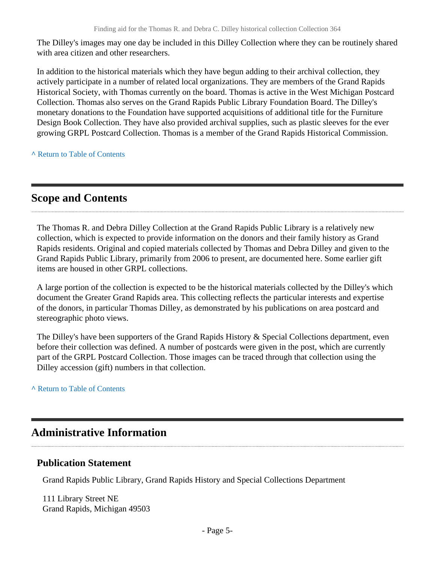The Dilley's images may one day be included in this Dilley Collection where they can be routinely shared with area citizen and other researchers.

In addition to the historical materials which they have begun adding to their archival collection, they actively participate in a number of related local organizations. They are members of the Grand Rapids Historical Society, with Thomas currently on the board. Thomas is active in the West Michigan Postcard Collection. Thomas also serves on the Grand Rapids Public Library Foundation Board. The Dilley's monetary donations to the Foundation have supported acquisitions of additional title for the Furniture Design Book Collection. They have also provided archival supplies, such as plastic sleeves for the ever growing GRPL Postcard Collection. Thomas is a member of the Grand Rapids Historical Commission.

**^** [Return to Table of Contents](#page-1-0)

### <span id="page-4-0"></span>**Scope and Contents**

The Thomas R. and Debra Dilley Collection at the Grand Rapids Public Library is a relatively new collection, which is expected to provide information on the donors and their family history as Grand Rapids residents. Original and copied materials collected by Thomas and Debra Dilley and given to the Grand Rapids Public Library, primarily from 2006 to present, are documented here. Some earlier gift items are housed in other GRPL collections.

A large portion of the collection is expected to be the historical materials collected by the Dilley's which document the Greater Grand Rapids area. This collecting reflects the particular interests and expertise of the donors, in particular Thomas Dilley, as demonstrated by his publications on area postcard and stereographic photo views.

The Dilley's have been supporters of the Grand Rapids History & Special Collections department, even before their collection was defined. A number of postcards were given in the post, which are currently part of the GRPL Postcard Collection. Those images can be traced through that collection using the Dilley accession (gift) numbers in that collection.

**^** [Return to Table of Contents](#page-1-0)

## <span id="page-4-1"></span>**Administrative Information**

### **Publication Statement**

Grand Rapids Public Library, Grand Rapids History and Special Collections Department

111 Library Street NE Grand Rapids, Michigan 49503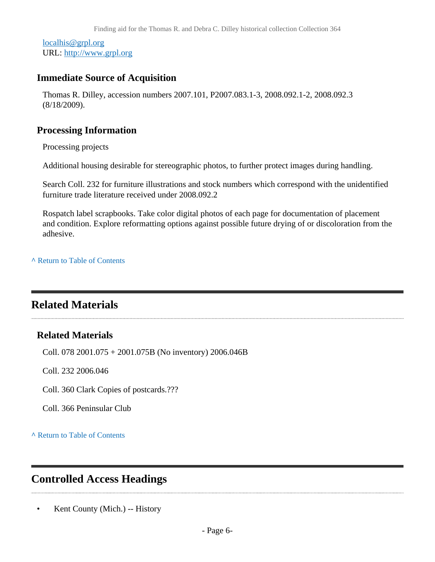[localhis@grpl.org](mailto:localhis@grpl.org) URL:<http://www.grpl.org>

### **Immediate Source of Acquisition**

Thomas R. Dilley, accession numbers 2007.101, P2007.083.1-3, 2008.092.1-2, 2008.092.3 (8/18/2009).

### **Processing Information**

Processing projects

Additional housing desirable for stereographic photos, to further protect images during handling.

Search Coll. 232 for furniture illustrations and stock numbers which correspond with the unidentified furniture trade literature received under 2008.092.2

Rospatch label scrapbooks. Take color digital photos of each page for documentation of placement and condition. Explore reformatting options against possible future drying of or discoloration from the adhesive.

**^** [Return to Table of Contents](#page-1-0)

## <span id="page-5-0"></span>**Related Materials**

### **Related Materials**

Coll. 078 2001.075 + 2001.075B (No inventory) 2006.046B

Coll. 232 2006.046

Coll. 360 Clark Copies of postcards.???

Coll. 366 Peninsular Club

**^** [Return to Table of Contents](#page-1-0)

## <span id="page-5-1"></span>**Controlled Access Headings**

• Kent County (Mich.) -- History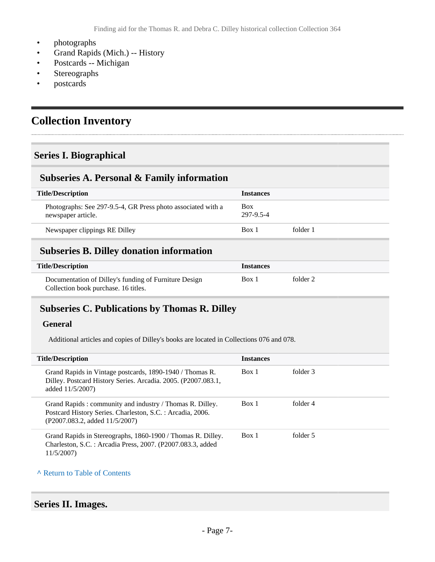- photographs
- Grand Rapids (Mich.) -- History
- Postcards -- Michigan
- **Stereographs**
- postcards

## <span id="page-6-0"></span>**Collection Inventory**

### <span id="page-6-1"></span>**Series I. Biographical**

### <span id="page-6-2"></span>**Subseries A. Personal & Family information**

| <b>Title/Description</b>                                                           | <b>Instances</b>        |          |
|------------------------------------------------------------------------------------|-------------------------|----------|
| Photographs: See 297-9.5-4, GR Press photo associated with a<br>newspaper article. | <b>Box</b><br>297-9.5-4 |          |
| Newspaper clippings RE Dilley                                                      | Box 1                   | folder 1 |
|                                                                                    |                         |          |

### <span id="page-6-3"></span>**Subseries B. Dilley donation information**

| <b>Title/Description</b>                              | <i><u><b>Instances</b></u></i> |          |  |
|-------------------------------------------------------|--------------------------------|----------|--|
| Documentation of Dilley's funding of Furniture Design | Box 1                          | folder 2 |  |
| Collection book purchase. 16 titles.                  |                                |          |  |

### <span id="page-6-4"></span>**Subseries C. Publications by Thomas R. Dilley**

#### **General**

Additional articles and copies of Dilley's books are located in Collections 076 and 078.

| <b>Title/Description</b>                                                                                                                                 | <b>Instances</b> |          |
|----------------------------------------------------------------------------------------------------------------------------------------------------------|------------------|----------|
| Grand Rapids in Vintage postcards, 1890-1940 / Thomas R.<br>Dilley. Postcard History Series. Arcadia. 2005. (P2007.083.1,<br>added 11/5/2007)            | Box 1            | folder 3 |
| Grand Rapids: community and industry / Thomas R. Dilley.<br>Postcard History Series. Charleston, S.C. : Arcadia, 2006.<br>(P2007.083.2, added 11/5/2007) | Box 1            | folder 4 |
| Grand Rapids in Stereographs, 1860-1900 / Thomas R. Dilley.<br>Charleston, S.C. : Arcadia Press, 2007. (P2007.083.3, added<br>11/5/2007)                 | Box 1            | folder 5 |

#### **^** [Return to Table of Contents](#page-1-0)

#### <span id="page-6-5"></span>**Series II. Images.**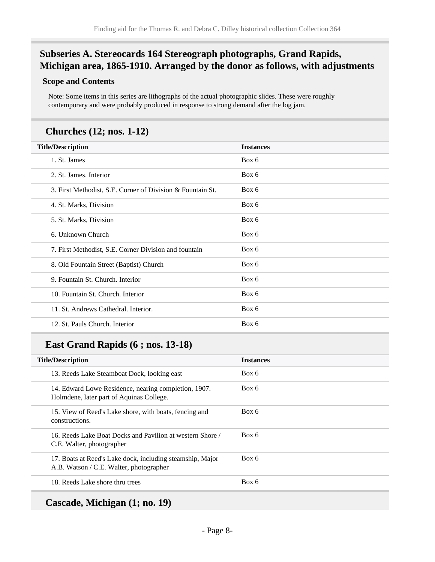### <span id="page-7-0"></span>**Subseries A. Stereocards 164 Stereograph photographs, Grand Rapids, Michigan area, 1865-1910. Arranged by the donor as follows, with adjustments**

#### **Scope and Contents**

Note: Some items in this series are lithographs of the actual photographic slides. These were roughly contemporary and were probably produced in response to strong demand after the log jam.

### **Churches (12; nos. 1-12)**

| <b>Title/Description</b>                                   | <b>Instances</b> |
|------------------------------------------------------------|------------------|
| 1. St. James                                               | Box 6            |
| 2. St. James. Interior                                     | Box 6            |
| 3. First Methodist, S.E. Corner of Division & Fountain St. | Box 6            |
| 4. St. Marks, Division                                     | Box 6            |
| 5. St. Marks, Division                                     | Box 6            |
| 6. Unknown Church                                          | Box 6            |
| 7. First Methodist, S.E. Corner Division and fountain      | Box 6            |
| 8. Old Fountain Street (Baptist) Church                    | Box 6            |
| 9. Fountain St. Church. Interior                           | Box 6            |
| 10. Fountain St. Church. Interior                          | Box 6            |
| 11. St. Andrews Cathedral. Interior.                       | Box 6            |
| 12. St. Pauls Church. Interior                             | Box 6            |

### **East Grand Rapids (6 ; nos. 13-18)**

| <b>Title/Description</b>                                                                             | <b>Instances</b> |
|------------------------------------------------------------------------------------------------------|------------------|
| 13. Reeds Lake Steamboat Dock, looking east                                                          | Box 6            |
| 14. Edward Lowe Residence, nearing completion, 1907.<br>Holmdene, later part of Aquinas College.     | Box 6            |
| 15. View of Reed's Lake shore, with boats, fencing and<br>constructions.                             | Box 6            |
| 16. Reeds Lake Boat Docks and Pavilion at western Shore /<br>C.E. Walter, photographer               | Box 6            |
| 17. Boats at Reed's Lake dock, including steamship, Major<br>A.B. Watson / C.E. Walter, photographer | Box 6            |
| 18. Reeds Lake shore thru trees                                                                      | Box 6            |
|                                                                                                      |                  |

**Cascade, Michigan (1; no. 19)**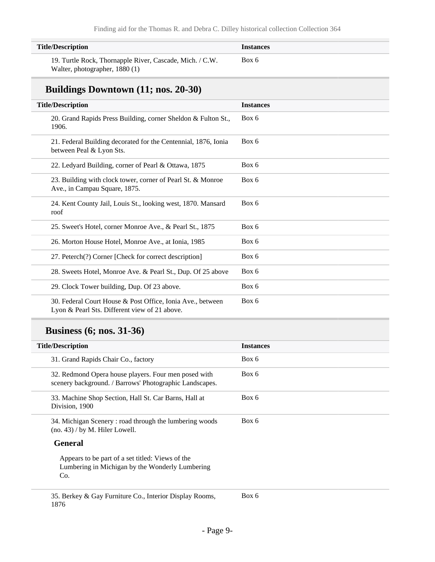| <b>Title/Description</b>                                 | <i><u><b>Instances</b></u></i> |
|----------------------------------------------------------|--------------------------------|
| 19. Turtle Rock, Thornapple River, Cascade, Mich. / C.W. | Box 6                          |
| Walter, photographer, 1880 (1)                           |                                |

### **Buildings Downtown (11; nos. 20-30)**

| <b>Title/Description</b>                                                                                    | <b>Instances</b> |
|-------------------------------------------------------------------------------------------------------------|------------------|
| 20. Grand Rapids Press Building, corner Sheldon & Fulton St.,<br>1906.                                      | Box 6            |
| 21. Federal Building decorated for the Centennial, 1876, Ionia<br>between Peal & Lyon Sts.                  | Box 6            |
| 22. Ledyard Building, corner of Pearl & Ottawa, 1875                                                        | Box 6            |
| 23. Building with clock tower, corner of Pearl St. & Monroe<br>Ave., in Campau Square, 1875.                | Box 6            |
| 24. Kent County Jail, Louis St., looking west, 1870. Mansard<br>roof                                        | Box 6            |
| 25. Sweet's Hotel, corner Monroe Ave., & Pearl St., 1875                                                    | Box 6            |
| 26. Morton House Hotel, Monroe Ave., at Ionia, 1985                                                         | Box 6            |
| 27. Peterch(?) Corner [Check for correct description]                                                       | Box 6            |
| 28. Sweets Hotel, Monroe Ave. & Pearl St., Dup. Of 25 above                                                 | Box 6            |
| 29. Clock Tower building, Dup. Of 23 above.                                                                 | Box 6            |
| 30. Federal Court House & Post Office, Ionia Ave., between<br>Lyon & Pearl Sts. Different view of 21 above. | Box 6            |

## **Business (6; nos. 31-36)**

1876

| <b>Title/Description</b>                                                                                        | <b>Instances</b> |
|-----------------------------------------------------------------------------------------------------------------|------------------|
| 31. Grand Rapids Chair Co., factory                                                                             | Box 6            |
| 32. Redmond Opera house players. Four men posed with<br>scenery background. / Barrows' Photographic Landscapes. | Box 6            |
| 33. Machine Shop Section, Hall St. Car Barns, Hall at<br>Division, 1900                                         | Box 6            |
| 34. Michigan Scenery: road through the lumbering woods<br>(no. 43) / by M. Hiler Lowell.                        | Box 6            |
| <b>General</b>                                                                                                  |                  |
| Appears to be part of a set titled: Views of the<br>Lumbering in Michigan by the Wonderly Lumbering<br>Co.      |                  |
| 35. Berkey & Gay Furniture Co., Interior Display Rooms,                                                         | Box 6            |

- Page 9-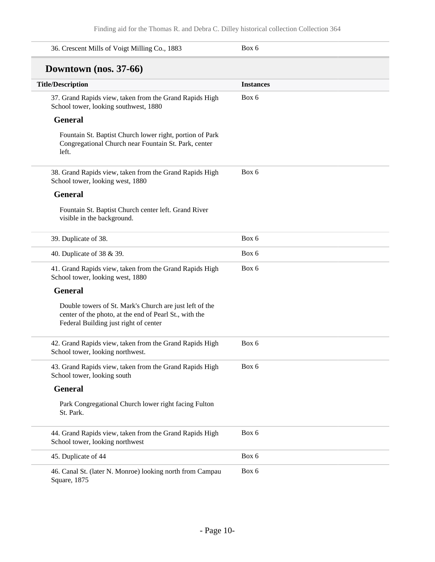| 36. Crescent Mills of Voigt Milling Co., 1883                                                                                                              | Box 6            |
|------------------------------------------------------------------------------------------------------------------------------------------------------------|------------------|
| Downtown (nos. 37-66)                                                                                                                                      |                  |
| <b>Title/Description</b>                                                                                                                                   | <b>Instances</b> |
| 37. Grand Rapids view, taken from the Grand Rapids High<br>School tower, looking southwest, 1880                                                           | Box 6            |
| <b>General</b>                                                                                                                                             |                  |
| Fountain St. Baptist Church lower right, portion of Park<br>Congregational Church near Fountain St. Park, center<br>left.                                  |                  |
| 38. Grand Rapids view, taken from the Grand Rapids High<br>School tower, looking west, 1880                                                                | Box 6            |
| <b>General</b>                                                                                                                                             |                  |
| Fountain St. Baptist Church center left. Grand River<br>visible in the background.                                                                         |                  |
| 39. Duplicate of 38.                                                                                                                                       | Box 6            |
| 40. Duplicate of 38 & 39.                                                                                                                                  | Box 6            |
| 41. Grand Rapids view, taken from the Grand Rapids High<br>School tower, looking west, 1880                                                                | Box 6            |
| <b>General</b>                                                                                                                                             |                  |
| Double towers of St. Mark's Church are just left of the<br>center of the photo, at the end of Pearl St., with the<br>Federal Building just right of center |                  |
| 42. Grand Rapids view, taken from the Grand Rapids High<br>School tower, looking northwest.                                                                | Box 6            |
| 43. Grand Rapids view, taken from the Grand Rapids High<br>School tower, looking south                                                                     | Box 6            |
| <b>General</b>                                                                                                                                             |                  |
| Park Congregational Church lower right facing Fulton<br>St. Park.                                                                                          |                  |
| 44. Grand Rapids view, taken from the Grand Rapids High<br>School tower, looking northwest                                                                 | Box 6            |
| 45. Duplicate of 44                                                                                                                                        | Box 6            |
| 46. Canal St. (later N. Monroe) looking north from Campau<br>Square, 1875                                                                                  | Box 6            |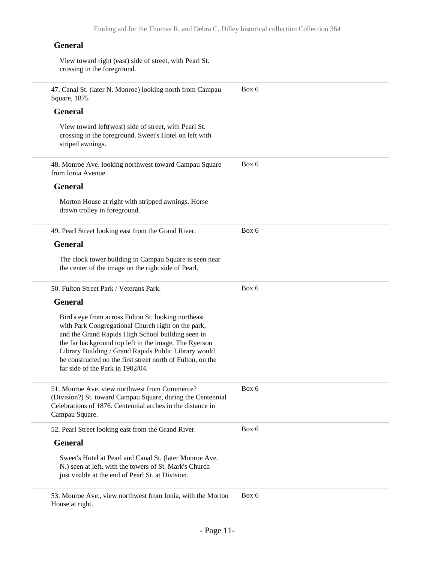#### **General**

View toward right (east) side of street, with Pearl St. crossing in the foreground.

| 47. Canal St. (later N. Monroe) looking north from Campau<br>Square, 1875                                                                                                                                                                                                                                                                                                         | Box 6 |
|-----------------------------------------------------------------------------------------------------------------------------------------------------------------------------------------------------------------------------------------------------------------------------------------------------------------------------------------------------------------------------------|-------|
| <b>General</b>                                                                                                                                                                                                                                                                                                                                                                    |       |
| View toward left(west) side of street, with Pearl St.<br>crossing in the foreground. Sweet's Hotel on left with<br>striped awnings.                                                                                                                                                                                                                                               |       |
| 48. Monroe Ave. looking northwest toward Campau Square<br>from Ionia Avenue.                                                                                                                                                                                                                                                                                                      | Box 6 |
| <b>General</b>                                                                                                                                                                                                                                                                                                                                                                    |       |
| Morton House at right with stripped awnings. Horse<br>drawn trolley in foreground.                                                                                                                                                                                                                                                                                                |       |
| 49. Pearl Street looking east from the Grand River.                                                                                                                                                                                                                                                                                                                               | Box 6 |
| <b>General</b>                                                                                                                                                                                                                                                                                                                                                                    |       |
| The clock tower building in Campau Square is seen near<br>the center of the image on the right side of Pearl.                                                                                                                                                                                                                                                                     |       |
| 50. Fulton Street Park / Veterans Park.                                                                                                                                                                                                                                                                                                                                           | Box 6 |
| <b>General</b>                                                                                                                                                                                                                                                                                                                                                                    |       |
| Bird's eye from across Fulton St. looking northeast<br>with Park Congregational Church right on the park,<br>and the Grand Rapids High School building seen in<br>the far background top left in the image. The Ryerson<br>Library Building / Grand Rapids Public Library would<br>be constructed on the first street north of Fulton, on the<br>far side of the Park in 1902/04. |       |
| 51. Monroe Ave. view northwest from Commerce?<br>(Division?) St. toward Campau Square, during the Centennial<br>Celebrations of 1876. Centennial arches in the distance in<br>Campau Square.                                                                                                                                                                                      | Box 6 |
| 52. Pearl Street looking east from the Grand River.                                                                                                                                                                                                                                                                                                                               | Box 6 |
| <b>General</b>                                                                                                                                                                                                                                                                                                                                                                    |       |
| Sweet's Hotel at Pearl and Canal St. (later Monroe Ave.<br>N.) seen at left, with the towers of St. Mark's Church<br>just visible at the end of Pearl St. at Division.                                                                                                                                                                                                            |       |
| 53. Monroe Ave., view northwest from Ionia, with the Morton<br>House at right.                                                                                                                                                                                                                                                                                                    | Box 6 |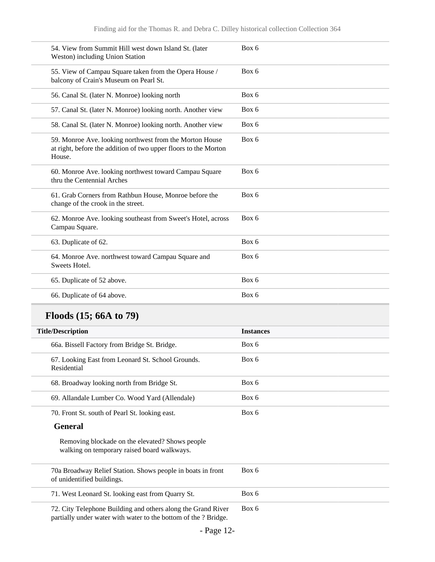| Box 6 |
|-------|
| Box 6 |
| Box 6 |
| Box 6 |
| Box 6 |
| Box 6 |
| Box 6 |
| Box 6 |
| Box 6 |
| Box 6 |
| Box 6 |
| Box 6 |
| Box 6 |
|       |

## **Floods (15; 66A to 79)**

| <b>Title/Description</b>                                                                                                        | <b>Instances</b> |
|---------------------------------------------------------------------------------------------------------------------------------|------------------|
| 66a. Bissell Factory from Bridge St. Bridge.                                                                                    | Box 6            |
| 67. Looking East from Leonard St. School Grounds.<br>Residential                                                                | Box 6            |
| 68. Broadway looking north from Bridge St.                                                                                      | Box 6            |
| 69. Allandale Lumber Co. Wood Yard (Allendale)                                                                                  | Box 6            |
| 70. Front St. south of Pearl St. looking east.                                                                                  | Box 6            |
| <b>General</b>                                                                                                                  |                  |
| Removing blockade on the elevated? Shows people<br>walking on temporary raised board walkways.                                  |                  |
| 70a Broadway Relief Station. Shows people in boats in front<br>of unidentified buildings.                                       | Box 6            |
| 71. West Leonard St. looking east from Quarry St.                                                                               | Box 6            |
| 72. City Telephone Building and others along the Grand River<br>partially under water with water to the bottom of the ? Bridge. | Box 6            |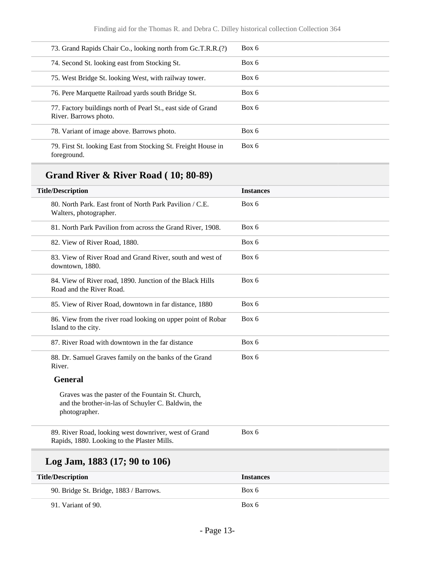| 73. Grand Rapids Chair Co., looking north from Gc.T.R.R.(?)                           | Box 6 |
|---------------------------------------------------------------------------------------|-------|
| 74. Second St. looking east from Stocking St.                                         | Box 6 |
| 75. West Bridge St. looking West, with railway tower.                                 | Box 6 |
| 76. Pere Marquette Railroad vards south Bridge St.                                    | Box 6 |
| 77. Factory buildings north of Pearl St., east side of Grand<br>River. Barrows photo. | Box 6 |
| 78. Variant of image above. Barrows photo.                                            | Box 6 |
| 79. First St. looking East from Stocking St. Freight House in<br>foreground.          | Box 6 |

## **Grand River & River Road ( 10; 80-89)**

| <b>Title/Description</b>                                                                                                 | <b>Instances</b> |
|--------------------------------------------------------------------------------------------------------------------------|------------------|
| 80. North Park. East front of North Park Pavilion / C.E.<br>Walters, photographer.                                       | Box 6            |
| 81. North Park Pavilion from across the Grand River, 1908.                                                               | Box 6            |
| 82. View of River Road, 1880.                                                                                            | Box 6            |
| 83. View of River Road and Grand River, south and west of<br>downtown, 1880.                                             | Box 6            |
| 84. View of River road, 1890. Junction of the Black Hills<br>Road and the River Road.                                    | Box 6            |
| 85. View of River Road, downtown in far distance, 1880                                                                   | Box 6            |
| 86. View from the river road looking on upper point of Robar<br>Island to the city.                                      | Box 6            |
| 87. River Road with downtown in the far distance                                                                         | Box 6            |
| 88. Dr. Samuel Graves family on the banks of the Grand<br>River.                                                         | Box 6            |
| <b>General</b>                                                                                                           |                  |
| Graves was the paster of the Fountain St. Church,<br>and the brother-in-las of Schuyler C. Baldwin, the<br>photographer. |                  |
| 89. River Road, looking west downriver, west of Grand<br>Rapids, 1880. Looking to the Plaster Mills.                     | Box 6            |
| Log Jam, $1883(17; 90 \text{ to } 106)$                                                                                  |                  |
| <b>Title/Description</b>                                                                                                 | <b>Instances</b> |
| 90. Bridge St. Bridge, 1883 / Barrows.                                                                                   | Box 6            |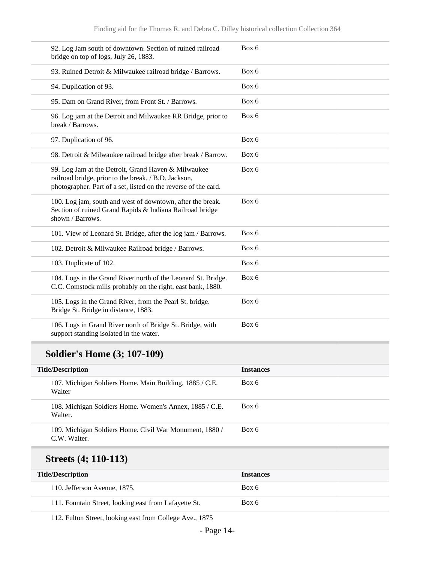| 92. Log Jam south of downtown. Section of ruined railroad<br>bridge on top of logs, July 26, 1883.                                                                             | Box 6 |
|--------------------------------------------------------------------------------------------------------------------------------------------------------------------------------|-------|
| 93. Ruined Detroit & Milwaukee railroad bridge / Barrows.                                                                                                                      | Box 6 |
| 94. Duplication of 93.                                                                                                                                                         | Box 6 |
| 95. Dam on Grand River, from Front St. / Barrows.                                                                                                                              | Box 6 |
| 96. Log jam at the Detroit and Milwaukee RR Bridge, prior to<br>break / Barrows.                                                                                               | Box 6 |
| 97. Duplication of 96.                                                                                                                                                         | Box 6 |
| 98. Detroit & Milwaukee railroad bridge after break / Barrow.                                                                                                                  | Box 6 |
| 99. Log Jam at the Detroit, Grand Haven & Milwaukee<br>railroad bridge, prior to the break. / B.D. Jackson,<br>photographer. Part of a set, listed on the reverse of the card. | Box 6 |
| 100. Log jam, south and west of downtown, after the break.<br>Section of ruined Grand Rapids & Indiana Railroad bridge<br>shown / Barrows.                                     | Box 6 |
| 101. View of Leonard St. Bridge, after the log jam / Barrows.                                                                                                                  | Box 6 |
| 102. Detroit & Milwaukee Railroad bridge / Barrows.                                                                                                                            | Box 6 |
| 103. Duplicate of 102.                                                                                                                                                         | Box 6 |
| 104. Logs in the Grand River north of the Leonard St. Bridge.<br>C.C. Comstock mills probably on the right, east bank, 1880.                                                   | Box 6 |
| 105. Logs in the Grand River, from the Pearl St. bridge.<br>Bridge St. Bridge in distance, 1883.                                                                               | Box 6 |
| 106. Logs in Grand River north of Bridge St. Bridge, with<br>support standing isolated in the water.                                                                           | Box 6 |

## **Soldier's Home (3; 107-109)**

| <b>Title/Description</b>                                               | <b>Instances</b> |
|------------------------------------------------------------------------|------------------|
| 107. Michigan Soldiers Home. Main Building, 1885 / C.E.<br>Walter      | Box 6            |
| 108. Michigan Soldiers Home. Women's Annex, 1885 / C.E.<br>Walter.     | Box 6            |
| 109. Michigan Soldiers Home. Civil War Monument, 1880/<br>C.W. Walter. | Box 6            |
|                                                                        |                  |

## **Streets (4; 110-113)**

| <b>Title/Description</b>                              | <b>Instances</b> |
|-------------------------------------------------------|------------------|
| 110. Jefferson Avenue, 1875.                          | Box 6            |
| 111. Fountain Street, looking east from Lafayette St. | Box 6            |

112. Fulton Street, looking east from College Ave., 1875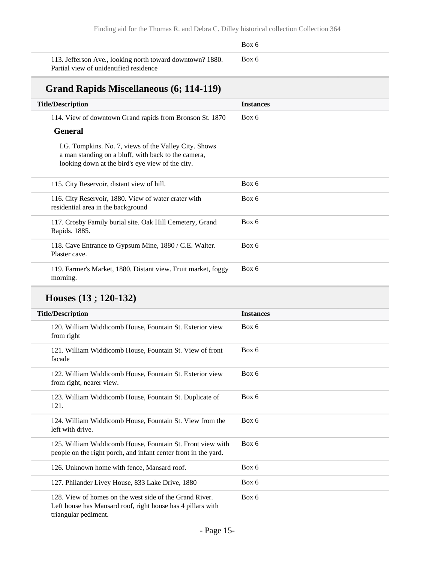### Box 6 113. Jefferson Ave., looking north toward downtown? 1880. Partial view of unidentified residence Box 6 **Grand Rapids Miscellaneous (6; 114-119) Title/Description Instances** 114. View of downtown Grand rapids from Bronson St. 1870 **General** I.G. Tompkins. No. 7, views of the Valley City. Shows a man standing on a bluff, with back to the camera, looking down at the bird's eye view of the city. Box 6

| 115. City Reservoir, distant view of hill.                                                 | Box 6 |
|--------------------------------------------------------------------------------------------|-------|
| 116. City Reservoir, 1880. View of water crater with<br>residential area in the background | Box 6 |
| 117. Crosby Family burial site. Oak Hill Cemetery, Grand<br>Rapids. 1885.                  | Box 6 |
| 118. Cave Entrance to Gypsum Mine, 1880 / C.E. Walter.<br>Plaster cave.                    | Box 6 |
| 119. Farmer's Market, 1880. Distant view. Fruit market, foggy<br>morning.                  | Box 6 |

### **Houses (13 ; 120-132)**

| <b>Title/Description</b>                                                                                                                       | <b>Instances</b> |
|------------------------------------------------------------------------------------------------------------------------------------------------|------------------|
| 120. William Widdicomb House, Fountain St. Exterior view<br>from right                                                                         | Box 6            |
| 121. William Widdicomb House, Fountain St. View of front<br>facade                                                                             | Box 6            |
| 122. William Widdicomb House, Fountain St. Exterior view<br>from right, nearer view.                                                           | Box 6            |
| 123. William Widdicomb House, Fountain St. Duplicate of<br>121.                                                                                | Box 6            |
| 124. William Widdicomb House, Fountain St. View from the<br>left with drive.                                                                   | Box 6            |
| 125. William Widdicomb House, Fountain St. Front view with<br>people on the right porch, and infant center front in the yard.                  | Box 6            |
| 126. Unknown home with fence, Mansard roof.                                                                                                    | Box 6            |
| 127. Philander Livey House, 833 Lake Drive, 1880                                                                                               | Box 6            |
| 128. View of homes on the west side of the Grand River.<br>Left house has Mansard roof, right house has 4 pillars with<br>triangular pediment. | Box 6            |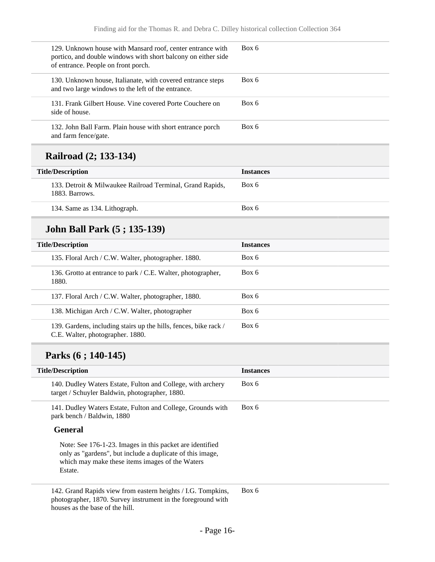| 129. Unknown house with Mansard roof, center entrance with<br>portico, and double windows with short balcony on either side<br>of entrance. People on front porch. | Box 6 |
|--------------------------------------------------------------------------------------------------------------------------------------------------------------------|-------|
| 130. Unknown house, Italianate, with covered entrance steps<br>and two large windows to the left of the entrance.                                                  | Box 6 |
| 131. Frank Gilbert House. Vine covered Porte Couchere on<br>side of house.                                                                                         | Box 6 |
| 132. John Ball Farm. Plain house with short entrance porch<br>and farm fence/gate.                                                                                 | Box 6 |
|                                                                                                                                                                    |       |

### **Railroad (2; 133-134)**

| <b>Title/Description</b>                                                    | <b>Instances</b> |  |
|-----------------------------------------------------------------------------|------------------|--|
| 133. Detroit & Milwaukee Railroad Terminal, Grand Rapids,<br>1883. Barrows. | Box 6            |  |
| 134. Same as 134. Lithograph.                                               | Box 6            |  |

### **John Ball Park (5 ; 135-139)**

| <b>Title/Description</b>                                                                             | <b>Instances</b> |
|------------------------------------------------------------------------------------------------------|------------------|
| 135. Floral Arch / C.W. Walter, photographer. 1880.                                                  | Box 6            |
| 136. Grotto at entrance to park / C.E. Walter, photographer,<br>1880.                                | Box 6            |
| 137. Floral Arch / C.W. Walter, photographer, 1880.                                                  | Box 6            |
| 138. Michigan Arch / C.W. Walter, photographer                                                       | Box 6            |
| 139. Gardens, including stairs up the hills, fences, bike rack /<br>C.E. Walter, photographer. 1880. | Box 6            |

### **Parks (6 ; 140-145)**

| <b>Title/Description</b>                                                                                                                                                            | <b>Instances</b> |
|-------------------------------------------------------------------------------------------------------------------------------------------------------------------------------------|------------------|
| 140. Dudley Waters Estate, Fulton and College, with archery<br>target / Schuyler Baldwin, photographer, 1880.                                                                       | Box 6            |
| 141. Dudley Waters Estate, Fulton and College, Grounds with<br>park bench / Baldwin, 1880                                                                                           | Box 6            |
| <b>General</b>                                                                                                                                                                      |                  |
| Note: See 176-1-23. Images in this packet are identified<br>only as "gardens", but include a duplicate of this image,<br>which may make these items images of the Waters<br>Estate. |                  |
| 142. Grand Rapids view from eastern heights / I.G. Tompkins,                                                                                                                        | Box 6            |

142. Grand Rapids view from eastern heights / I.G. Tompkins, photographer, 1870. Survey instrument in the foreground with houses as the base of the hill.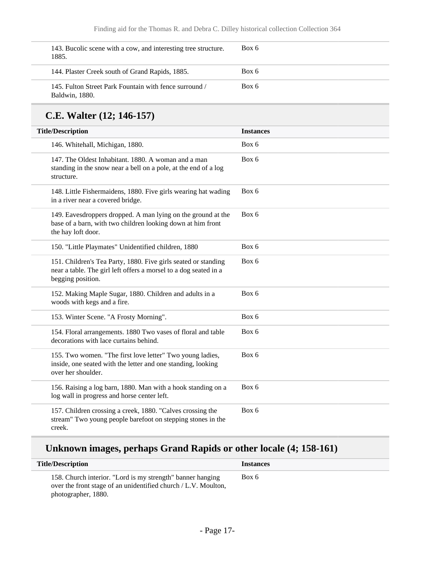| 143. Bucolic scene with a cow, and interesting tree structure.<br>1885.  | Box 6 |
|--------------------------------------------------------------------------|-------|
| 144. Plaster Creek south of Grand Rapids, 1885.                          | Box 6 |
| 145. Fulton Street Park Fountain with fence surround /<br>Baldwin, 1880. | Box 6 |

## **C.E. Walter (12; 146-157)**

| <b>Title/Description</b>                                                                                                                                | <b>Instances</b> |
|---------------------------------------------------------------------------------------------------------------------------------------------------------|------------------|
| 146. Whitehall, Michigan, 1880.                                                                                                                         | Box 6            |
| 147. The Oldest Inhabitant. 1880. A woman and a man<br>standing in the snow near a bell on a pole, at the end of a log<br>structure.                    | Box 6            |
| 148. Little Fishermaidens, 1880. Five girls wearing hat wading<br>in a river near a covered bridge.                                                     | Box 6            |
| 149. Eavesdroppers dropped. A man lying on the ground at the<br>base of a barn, with two children looking down at him front<br>the hay loft door.       | Box 6            |
| 150. "Little Playmates" Unidentified children, 1880                                                                                                     | Box 6            |
| 151. Children's Tea Party, 1880. Five girls seated or standing<br>near a table. The girl left offers a morsel to a dog seated in a<br>begging position. | Box 6            |
| 152. Making Maple Sugar, 1880. Children and adults in a<br>woods with kegs and a fire.                                                                  | Box 6            |
| 153. Winter Scene. "A Frosty Morning".                                                                                                                  | Box 6            |
| 154. Floral arrangements. 1880 Two vases of floral and table<br>decorations with lace curtains behind.                                                  | Box 6            |
| 155. Two women. "The first love letter" Two young ladies,<br>inside, one seated with the letter and one standing, looking<br>over her shoulder.         | Box 6            |
| 156. Raising a log barn, 1880. Man with a hook standing on a<br>log wall in progress and horse center left.                                             | Box 6            |
| 157. Children crossing a creek, 1880. "Calves crossing the<br>stream" Two young people barefoot on stepping stones in the<br>creek.                     | Box 6            |

## **Unknown images, perhaps Grand Rapids or other locale (4; 158-161)**

| <b>Title/Description</b>                                                                                                                            | <b>Instances</b> |
|-----------------------------------------------------------------------------------------------------------------------------------------------------|------------------|
| 158. Church interior. "Lord is my strength" banner hanging<br>over the front stage of an unidentified church / L.V. Moulton,<br>photographer, 1880. | Box 6            |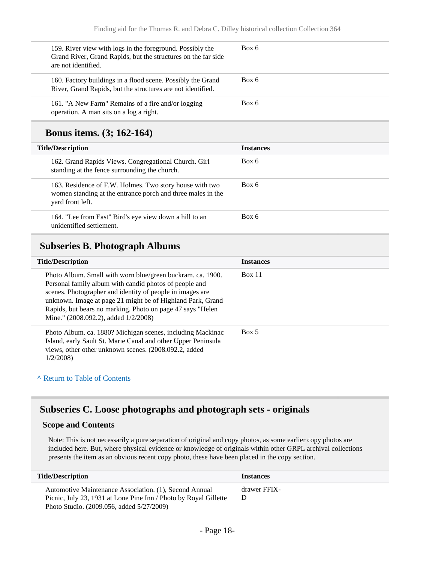| 159. River view with logs in the foreground. Possibly the<br>Grand River, Grand Rapids, but the structures on the far side<br>are not identified. | Box 6 |
|---------------------------------------------------------------------------------------------------------------------------------------------------|-------|
| 160. Factory buildings in a flood scene. Possibly the Grand<br>River, Grand Rapids, but the structures are not identified.                        | Box 6 |
| 161. "A New Farm" Remains of a fire and/or logging<br>operation. A man sits on a log a right.                                                     | Box 6 |

### **Bonus items. (3; 162-164)**

| <b>Title/Description</b>                                                                                                                   | <b>Instances</b> |
|--------------------------------------------------------------------------------------------------------------------------------------------|------------------|
| 162. Grand Rapids Views. Congregational Church. Girl<br>standing at the fence surrounding the church.                                      | Box 6            |
| 163. Residence of F.W. Holmes. Two story house with two<br>women standing at the entrance porch and three males in the<br>yard front left. | Box 6            |
| 164. "Lee from East" Bird's eye view down a hill to an<br>unidentified settlement.                                                         | Box 6            |

### **Subseries B. Photograph Albums**

| <b>Title/Description</b>                                                                                                                                                                                                                                                                                                                              | <b>Instances</b> |  |
|-------------------------------------------------------------------------------------------------------------------------------------------------------------------------------------------------------------------------------------------------------------------------------------------------------------------------------------------------------|------------------|--|
| Photo Album. Small with worn blue/green buckram. ca. 1900.<br>Personal family album with candid photos of people and<br>scenes. Photographer and identity of people in images are<br>unknown. Image at page 21 might be of Highland Park, Grand<br>Rapids, but bears no marking. Photo on page 47 says "Helen<br>Mine." (2008.092.2), added 1/2/2008) | Box 11           |  |
| Photo Album. ca. 1880? Michigan scenes, including Mackinac<br>Island, early Sault St. Marie Canal and other Upper Peninsula<br>views, other other unknown scenes. (2008.092.2, added<br>1/2/2008                                                                                                                                                      | Box 5            |  |

#### **^** [Return to Table of Contents](#page-1-0)

### **Subseries C. Loose photographs and photograph sets - originals**

#### **Scope and Contents**

Note: This is not necessarily a pure separation of original and copy photos, as some earlier copy photos are included here. But, where physical evidence or knowledge of originals within other GRPL archival collections presents the item as an obvious recent copy photo, these have been placed in the copy section.

| <b>Title/Description</b>                                                                                                   | <b>Instances</b>  |
|----------------------------------------------------------------------------------------------------------------------------|-------------------|
| Automotive Maintenance Association. (1), Second Annual<br>Picnic, July 23, 1931 at Lone Pine Inn / Photo by Royal Gillette | drawer FFIX-<br>Ð |
| Photo Studio. (2009.056, added 5/27/2009)                                                                                  |                   |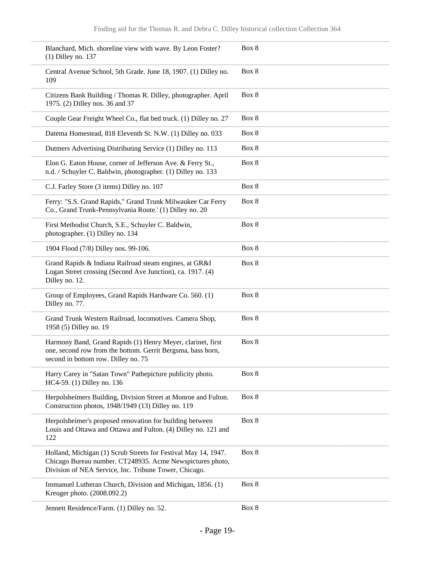| Blanchard, Mich. shoreline view with wave. By Leon Foster?<br>$(1)$ Dilley no. 137                                                                                                   | Box 8 |
|--------------------------------------------------------------------------------------------------------------------------------------------------------------------------------------|-------|
| Central Avenue School, 5th Grade. June 18, 1907. (1) Dilley no.<br>109                                                                                                               | Box 8 |
| Citizens Bank Building / Thomas R. Dilley, photographer. April<br>1975. (2) Dilley nos. 36 and 37                                                                                    | Box 8 |
| Couple Gear Freight Wheel Co., flat bed truck. (1) Dilley no. 27                                                                                                                     | Box 8 |
| Datema Homestead, 818 Eleventh St. N.W. (1) Dilley no. 033                                                                                                                           | Box 8 |
| Dutmers Advertising Distributing Service (1) Dilley no. 113                                                                                                                          | Box 8 |
| Elon G. Eaton House, corner of Jefferson Ave. & Ferry St.,<br>n.d. / Schuyler C. Baldwin, photographer. (1) Dilley no. 133                                                           | Box 8 |
| C.J. Farley Store (3 items) Dilley no. 107                                                                                                                                           | Box 8 |
| Ferry: "S.S. Grand Rapids," Grand Trunk Milwaukee Car Ferry<br>Co., Grand Trunk-Pennsylvania Route.' (1) Dilley no. 20                                                               | Box 8 |
| First Methodist Church, S.E., Schuyler C. Baldwin,<br>photographer. (1) Dilley no. 134                                                                                               | Box 8 |
| 1904 Flood (7/8) Dilley nos. 99-106.                                                                                                                                                 | Box 8 |
| Grand Rapids & Indiana Railroad steam engines, at GR&I<br>Logan Street crossing (Second Ave Junction), ca. 1917. (4)<br>Dilley no. 12.                                               | Box 8 |
| Group of Employees, Grand Rapids Hardware Co. 560. (1)<br>Dilley no. 77.                                                                                                             | Box 8 |
| Grand Trunk Western Railroad, locomotives. Camera Shop,<br>1958 (5) Dilley no. 19                                                                                                    | Box 8 |
| Harmony Band, Grand Rapids (1) Henry Meyer, clarinet, first<br>one, second row from the bottom. Gerrit Bergsma, bass horn,<br>second in bottom row. Dilley no. 75                    | Box 8 |
| Harry Carey in "Satan Town" Pathepicture publicity photo.<br>HC4-59. (1) Dilley no. 136                                                                                              | Box 8 |
| Herpolsheimers Building, Division Street at Monroe and Fulton.<br>Construction photos, 1948/1949 (13) Dilley no. 119                                                                 | Box 8 |
| Herpolsheimer's proposed renovation for building between<br>Louis and Ottawa and Ottawa and Fulton. (4) Dilley no. 121 and<br>122                                                    | Box 8 |
| Holland, Michigan (1) Scrub Streets for Festival May 14, 1947.<br>Chicago Bureau number. CT248935. Acme Newspictures photo,<br>Division of NEA Service, Inc. Tribune Tower, Chicago. | Box 8 |
| Immanuel Lutheran Church, Division and Michigan, 1856. (1)<br>Kreuger photo. (2008.092.2)                                                                                            | Box 8 |
| Jennett Residence/Farm. (1) Dilley no. 52.                                                                                                                                           | Box 8 |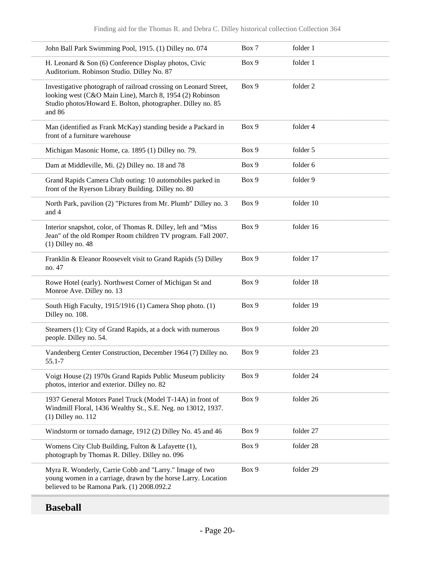| John Ball Park Swimming Pool, 1915. (1) Dilley no. 074                                                                                                                                                | Box 7 | folder 1  |
|-------------------------------------------------------------------------------------------------------------------------------------------------------------------------------------------------------|-------|-----------|
| H. Leonard & Son (6) Conference Display photos, Civic<br>Auditorium. Robinson Studio. Dilley No. 87                                                                                                   | Box 9 | folder 1  |
| Investigative photograph of railroad crossing on Leonard Street,<br>looking west (C&O Main Line), March 8, 1954 (2) Robinson<br>Studio photos/Howard E. Bolton, photographer. Dilley no. 85<br>and 86 | Box 9 | folder 2  |
| Man (identified as Frank McKay) standing beside a Packard in<br>front of a furniture warehouse                                                                                                        | Box 9 | folder 4  |
| Michigan Masonic Home, ca. 1895 (1) Dilley no. 79.                                                                                                                                                    | Box 9 | folder 5  |
| Dam at Middleville, Mi. (2) Dilley no. 18 and 78                                                                                                                                                      | Box 9 | folder 6  |
| Grand Rapids Camera Club outing: 10 automobiles parked in<br>front of the Ryerson Library Building. Dilley no. 80                                                                                     | Box 9 | folder 9  |
| North Park, pavilion (2) "Pictures from Mr. Plumb" Dilley no. 3<br>and 4                                                                                                                              | Box 9 | folder 10 |
| Interior snapshot, color, of Thomas R. Dilley, left and "Miss<br>Jean" of the old Romper Room children TV program. Fall 2007.<br>$(1)$ Dilley no. 48                                                  | Box 9 | folder 16 |
| Franklin & Eleanor Roosevelt visit to Grand Rapids (5) Dilley<br>no. 47                                                                                                                               | Box 9 | folder 17 |
| Rowe Hotel (early). Northwest Corner of Michigan St and<br>Monroe Ave. Dilley no. 13                                                                                                                  | Box 9 | folder 18 |
| South High Faculty, 1915/1916 (1) Camera Shop photo. (1)<br>Dilley no. 108.                                                                                                                           | Box 9 | folder 19 |
| Steamers (1): City of Grand Rapids, at a dock with numerous<br>people. Dilley no. 54.                                                                                                                 | Box 9 | folder 20 |
| Vandenberg Center Construction, December 1964 (7) Dilley no.<br>55.1-7                                                                                                                                | Box 9 | folder 23 |
| Voigt House (2) 1970s Grand Rapids Public Museum publicity<br>photos, interior and exterior. Dilley no. 82                                                                                            | Box 9 | folder 24 |
| 1937 General Motors Panel Truck (Model T-14A) in front of<br>Windmill Floral, 1436 Wealthy St., S.E. Neg. no 13012, 1937.<br>$(1)$ Dilley no. 112                                                     | Box 9 | folder 26 |
| Windstorm or tornado damage, 1912 (2) Dilley No. 45 and 46                                                                                                                                            | Box 9 | folder 27 |
| Womens City Club Building, Fulton & Lafayette (1),<br>photograph by Thomas R. Dilley. Dilley no. 096                                                                                                  | Box 9 | folder 28 |
| Myra R. Wonderly, Carrie Cobb and "Larry." Image of two<br>young women in a carriage, drawn by the horse Larry. Location<br>believed to be Ramona Park. (1) 2008.092.2                                | Box 9 | folder 29 |
|                                                                                                                                                                                                       |       |           |

## **Baseball**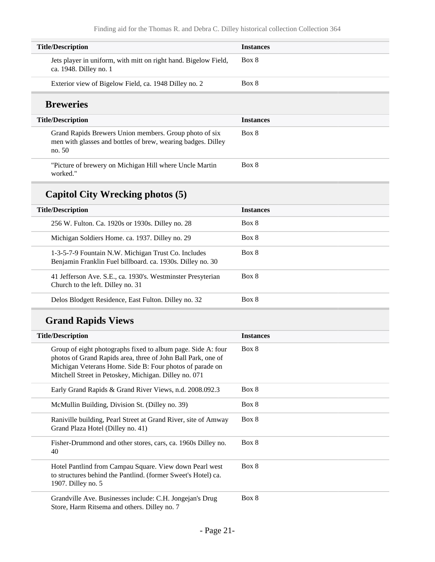| <b>Instances</b> |
|------------------|
| Box 8            |
| Box 8            |
|                  |
| <b>Instances</b> |
| Box 8            |
| Box 8            |
|                  |
|                  |

| <b>Title/Description</b>                                                                                          | <b>Instances</b> |
|-------------------------------------------------------------------------------------------------------------------|------------------|
| 256 W. Fulton. Ca. 1920s or 1930s. Dilley no. 28                                                                  | Box 8            |
| Michigan Soldiers Home, ca. 1937. Dilley no. 29                                                                   | Box 8            |
| 1-3-5-7-9 Fountain N.W. Michigan Trust Co. Includes<br>Benjamin Franklin Fuel billboard. ca. 1930s. Dilley no. 30 | Box 8            |
| 41 Jefferson Ave. S.E., ca. 1930's. Westminster Presyterian<br>Church to the left. Dilley no. 31                  | Box 8            |
| Delos Blodgett Residence, East Fulton. Dilley no. 32                                                              | Box 8            |

## **Grand Rapids Views**

| <b>Title/Description</b>                                                                                                                                                                                                                          | <b>Instances</b> |
|---------------------------------------------------------------------------------------------------------------------------------------------------------------------------------------------------------------------------------------------------|------------------|
| Group of eight photographs fixed to album page. Side A: four<br>photos of Grand Rapids area, three of John Ball Park, one of<br>Michigan Veterans Home. Side B: Four photos of parade on<br>Mitchell Street in Petoskey, Michigan. Dilley no. 071 | Box 8            |
| Early Grand Rapids & Grand River Views, n.d. 2008.092.3                                                                                                                                                                                           | Box 8            |
| McMullin Building, Division St. (Dilley no. 39)                                                                                                                                                                                                   | Box 8            |
| Raniville building, Pearl Street at Grand River, site of Amway<br>Grand Plaza Hotel (Dilley no. 41)                                                                                                                                               | Box 8            |
| Fisher-Drummond and other stores, cars, ca. 1960s Dilley no.<br>40                                                                                                                                                                                | Box 8            |
| Hotel Pantlind from Campau Square. View down Pearl west<br>to structures behind the Pantlind. (former Sweet's Hotel) ca.<br>1907. Dilley no. 5                                                                                                    | Box 8            |
| Grandville Ave. Businesses include: C.H. Jongejan's Drug<br>Store, Harm Ritsema and others. Dilley no. 7                                                                                                                                          | Box 8            |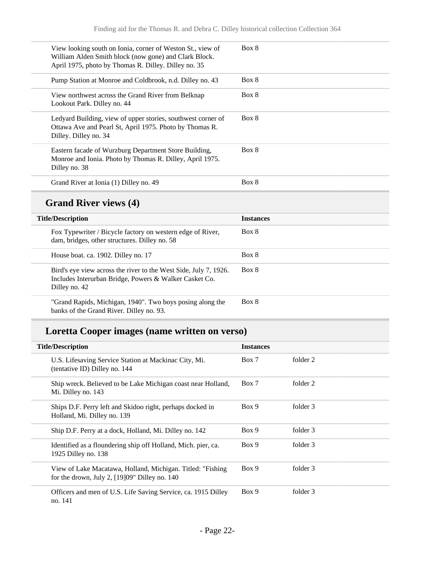| View looking south on Ionia, corner of Weston St., view of<br>William Alden Smith block (now gone) and Clark Block.<br>April 1975, photo by Thomas R. Dilley. Dilley no. 35 | Box 8 |
|-----------------------------------------------------------------------------------------------------------------------------------------------------------------------------|-------|
| Pump Station at Monroe and Coldbrook, n.d. Dilley no. 43                                                                                                                    | Box 8 |
| View northwest across the Grand River from Belknap<br>Lookout Park. Dilley no. 44                                                                                           | Box 8 |
| Ledyard Building, view of upper stories, southwest corner of<br>Ottawa Ave and Pearl St, April 1975. Photo by Thomas R.<br>Dilley. Dilley no. 34                            | Box 8 |
| Eastern facade of Wurzburg Department Store Building,<br>Monroe and Ionia. Photo by Thomas R. Dilley, April 1975.<br>Dilley no. 38                                          | Box 8 |
| Grand River at Ionia (1) Dilley no. 49                                                                                                                                      | Box 8 |

## **Grand River views (4)**

| <b>Title/Description</b>                                                                                                                    | <b>Instances</b> |
|---------------------------------------------------------------------------------------------------------------------------------------------|------------------|
| Fox Typewriter / Bicycle factory on western edge of River,<br>dam, bridges, other structures. Dilley no. 58                                 | Box 8            |
| House boat. ca. 1902. Dilley no. 17                                                                                                         | Box 8            |
| Bird's eye view across the river to the West Side, July 7, 1926.<br>Includes Interurban Bridge, Powers & Walker Casket Co.<br>Dilley no. 42 | Box 8            |
| "Grand Rapids, Michigan, 1940". Two boys posing along the<br>banks of the Grand River. Dilley no. 93.                                       | Box 8            |

### **Loretta Cooper images (name written on verso)**

| <b>Title/Description</b>      |                                                                                                                | <b>Instances</b> |          |  |
|-------------------------------|----------------------------------------------------------------------------------------------------------------|------------------|----------|--|
| (tentative ID) Dilley no. 144 | U.S. Lifesaving Service Station at Mackinac City, Mi.                                                          | Box 7            | folder 2 |  |
| Mi. Dilley no. 143            | Ship wreck. Believed to be Lake Michigan coast near Holland,                                                   | Box 7            | folder 2 |  |
| Holland, Mi. Dilley no. 139   | Ships D.F. Perry left and Skidoo right, perhaps docked in                                                      | Box 9            | folder 3 |  |
|                               | Ship D.F. Perry at a dock, Holland, Mi. Dilley no. 142                                                         | Box 9            | folder 3 |  |
| 1925 Dilley no. 138           | Identified as a floundering ship off Holland, Mich. pier, ca.                                                  | Box 9            | folder 3 |  |
|                               | View of Lake Macatawa, Holland, Michigan. Titled: "Fishing"<br>for the drown, July 2, $[19]09"$ Dilley no. 140 | Box 9            | folder 3 |  |
| no. 141                       | Officers and men of U.S. Life Saving Service, ca. 1915 Dilley                                                  | Box 9            | folder 3 |  |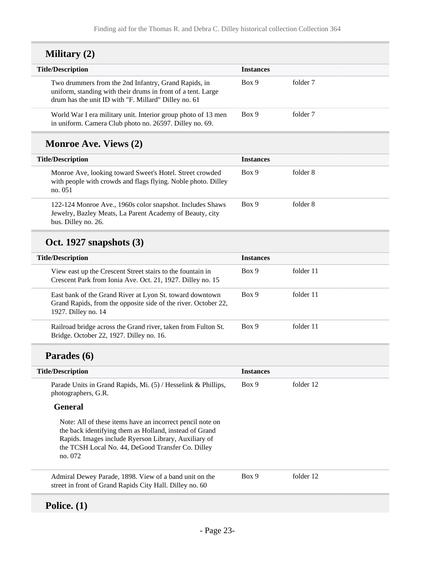| <b>Military</b> (2) |  |
|---------------------|--|
|---------------------|--|

| <b>Title/Description</b>                                                                                                                                                     | <b>Instances</b> |          |
|------------------------------------------------------------------------------------------------------------------------------------------------------------------------------|------------------|----------|
| Two drummers from the 2nd Infantry, Grand Rapids, in<br>uniform, standing with their drums in front of a tent. Large<br>drum has the unit ID with "F. Millard" Dilley no. 61 | Box 9            | folder 7 |
| World War I era military unit. Interior group photo of 13 men<br>in uniform. Camera Club photo no. 26597. Dilley no. 69.                                                     | Box 9            | folder 7 |

## **Monroe Ave. Views (2)**

| <b>Title/Description</b>                                                                                                                     | <b>Instances</b> |          |
|----------------------------------------------------------------------------------------------------------------------------------------------|------------------|----------|
| Monroe Ave, looking toward Sweet's Hotel. Street crowded<br>with people with crowds and flags flying. Noble photo. Dilley<br>no. 051         | Box 9            | folder 8 |
| 122-124 Monroe Ave., 1960s color snapshot. Includes Shaws<br>Jewelry, Bazley Meats, La Parent Academy of Beauty, city<br>bus. Dilley no. 26. | Box 9            | folder 8 |

## **Oct. 1927 snapshots (3)**

| <b>Title/Description</b>                                                                                                                          | <b>Instances</b> |           |
|---------------------------------------------------------------------------------------------------------------------------------------------------|------------------|-----------|
| View east up the Crescent Street stairs to the fountain in<br>Crescent Park from Ionia Ave. Oct. 21, 1927. Dilley no. 15                          | Box 9            | folder 11 |
| East bank of the Grand River at Lyon St. toward downtown<br>Grand Rapids, from the opposite side of the river. October 22,<br>1927. Dilley no. 14 | Box 9            | folder 11 |
| Railroad bridge across the Grand river, taken from Fulton St.<br>Bridge. October 22, 1927. Dilley no. 16.                                         | Box 9            | folder 11 |

## **Parades (6)**

| <b>Title/Description</b>                                                                                                                                                                                                                    | <b>Instances</b> |           |
|---------------------------------------------------------------------------------------------------------------------------------------------------------------------------------------------------------------------------------------------|------------------|-----------|
| Parade Units in Grand Rapids, Mi. (5) / Hesselink & Phillips,<br>photographers, G.R.                                                                                                                                                        | Box 9            | folder 12 |
| <b>General</b>                                                                                                                                                                                                                              |                  |           |
| Note: All of these items have an incorrect pencil note on<br>the back identifying them as Holland, instead of Grand<br>Rapids. Images include Ryerson Library, Auxiliary of<br>the TCSH Local No. 44, DeGood Transfer Co. Dilley<br>no. 072 |                  |           |
| Admiral Dewey Parade, 1898. View of a band unit on the<br>street in front of Grand Rapids City Hall. Dilley no. 60                                                                                                                          | Box 9            | folder 12 |
|                                                                                                                                                                                                                                             |                  |           |

## **Police. (1)**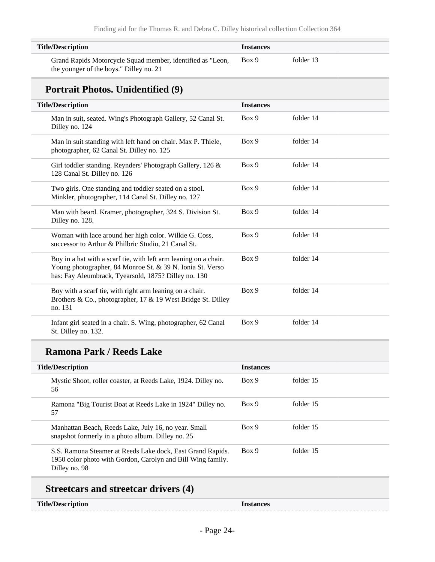| <b>Title/Description</b>                                                                                       | <b>Instances</b> |
|----------------------------------------------------------------------------------------------------------------|------------------|
| Box 9<br>Grand Rapids Motorcycle Squad member, identified as "Leon,<br>the younger of the boys." Dilley no. 21 | folder 13        |

### **Portrait Photos. Unidentified (9)**

| <b>Title/Description</b>                                                                                                                                                              | <b>Instances</b> |           |
|---------------------------------------------------------------------------------------------------------------------------------------------------------------------------------------|------------------|-----------|
| Man in suit, seated. Wing's Photograph Gallery, 52 Canal St.<br>Dilley no. 124                                                                                                        | Box 9            | folder 14 |
| Man in suit standing with left hand on chair. Max P. Thiele,<br>photographer, 62 Canal St. Dilley no. 125                                                                             | Box 9            | folder 14 |
| Girl toddler standing. Reynders' Photograph Gallery, 126 &<br>128 Canal St. Dilley no. 126                                                                                            | Box 9            | folder 14 |
| Two girls. One standing and toddler seated on a stool.<br>Minkler, photographer, 114 Canal St. Dilley no. 127                                                                         | Box 9            | folder 14 |
| Man with beard. Kramer, photographer, 324 S. Division St.<br>Dilley no. 128.                                                                                                          | Box 9            | folder 14 |
| Woman with lace around her high color. Wilkie G. Coss,<br>successor to Arthur & Philbric Studio, 21 Canal St.                                                                         | Box 9            | folder 14 |
| Boy in a hat with a scarf tie, with left arm leaning on a chair.<br>Young photographer, 84 Monroe St. & 39 N. Ionia St. Verso<br>has: Fay Aleumbrack, Tyearsold, 1875? Dilley no. 130 | Box 9            | folder 14 |
| Boy with a scarf tie, with right arm leaning on a chair.<br>Brothers & Co., photographer, 17 & 19 West Bridge St. Dilley<br>no. 131                                                   | Box 9            | folder 14 |
| Infant girl seated in a chair. S. Wing, photographer, 62 Canal<br>St. Dilley no. 132.                                                                                                 | Box 9            | folder 14 |

## **Ramona Park / Reeds Lake**

| <b>Title/Description</b>                                                                                                                   | <b>Instances</b> |           |
|--------------------------------------------------------------------------------------------------------------------------------------------|------------------|-----------|
| Mystic Shoot, roller coaster, at Reeds Lake, 1924. Dilley no.<br>56                                                                        | Box 9            | folder 15 |
| Ramona "Big Tourist Boat at Reeds Lake in 1924" Dilley no.<br>57                                                                           | Box 9            | folder 15 |
| Manhattan Beach, Reeds Lake, July 16, no year. Small<br>snapshot formerly in a photo album. Dilley no. 25                                  | Box 9            | folder 15 |
| S.S. Ramona Steamer at Reeds Lake dock, East Grand Rapids.<br>1950 color photo with Gordon, Carolyn and Bill Wing family.<br>Dilley no. 98 | Box 9            | folder 15 |

## **Streetcars and streetcar drivers (4)**

#### **Title/Description Instances**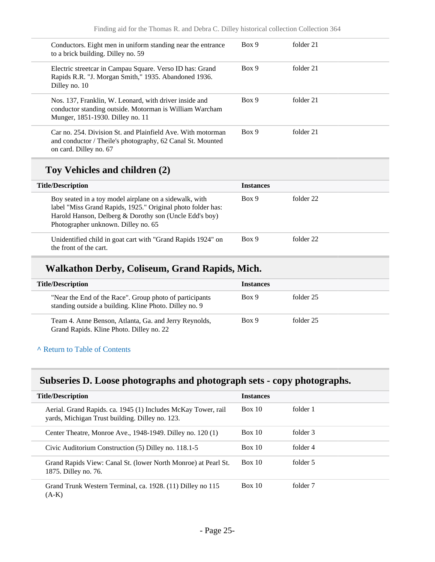| Conductors. Eight men in uniform standing near the entrance<br>to a brick building. Dilley no. 59                                                     | Box 9 | folder 21 |
|-------------------------------------------------------------------------------------------------------------------------------------------------------|-------|-----------|
| Electric streetcar in Campau Square. Verso ID has: Grand<br>Rapids R.R. "J. Morgan Smith," 1935. Abandoned 1936.<br>Dilley no. 10                     | Box 9 | folder 21 |
| Nos. 137, Franklin, W. Leonard, with driver inside and<br>conductor standing outside. Motorman is William Warcham<br>Munger, 1851-1930. Dilley no. 11 | Box 9 | folder 21 |
| Car no. 254. Division St. and Plainfield Ave. With motorman<br>and conductor / Theile's photography, 62 Canal St. Mounted<br>on card. Dilley no. 67   | Box 9 | folder 21 |

## **Toy Vehicles and children (2)**

| <b>Title/Description</b>                                                                                                                                                                                               | <b>Instances</b> |           |
|------------------------------------------------------------------------------------------------------------------------------------------------------------------------------------------------------------------------|------------------|-----------|
| Boy seated in a toy model airplane on a sidewalk, with<br>label "Miss Grand Rapids, 1925." Original photo folder has:<br>Harold Hanson, Delberg & Dorothy son (Uncle Edd's boy)<br>Photographer unknown. Dilley no. 65 | Box 9            | folder 22 |
| Unidentified child in goat cart with "Grand Rapids 1924" on<br>the front of the cart.                                                                                                                                  | Box 9            | folder 22 |
|                                                                                                                                                                                                                        |                  |           |

### **Walkathon Derby, Coliseum, Grand Rapids, Mich.**

| <b>Title/Description</b>                                                                                          | <b>Instances</b> |           |
|-------------------------------------------------------------------------------------------------------------------|------------------|-----------|
| "Near the End of the Race". Group photo of participants<br>standing outside a building. Kline Photo. Dilley no. 9 | Box 9            | folder 25 |
| Team 4. Anne Benson, Atlanta, Ga. and Jerry Reynolds,<br>Grand Rapids. Kline Photo. Dilley no. 22                 | Box 9            | folder 25 |

#### **^** [Return to Table of Contents](#page-1-0)

## **Subseries D. Loose photographs and photograph sets - copy photographs.**

| <b>Title/Description</b>                                                                                         | <b>Instances</b> |          |
|------------------------------------------------------------------------------------------------------------------|------------------|----------|
| Aerial. Grand Rapids. ca. 1945 (1) Includes McKay Tower, rail<br>yards, Michigan Trust building. Dilley no. 123. | Box 10           | folder 1 |
| Center Theatre, Monroe Ave., 1948-1949. Dilley no. 120 (1)                                                       | Box 10           | folder 3 |
| Civic Auditorium Construction (5) Dilley no. 118.1-5                                                             | Box 10           | folder 4 |
| Grand Rapids View: Canal St. (lower North Monroe) at Pearl St.<br>1875. Dilley no. 76.                           | Box 10           | folder 5 |
| Grand Trunk Western Terminal, ca. 1928. (11) Dilley no 115<br>$(A-K)$                                            | Box 10           | folder 7 |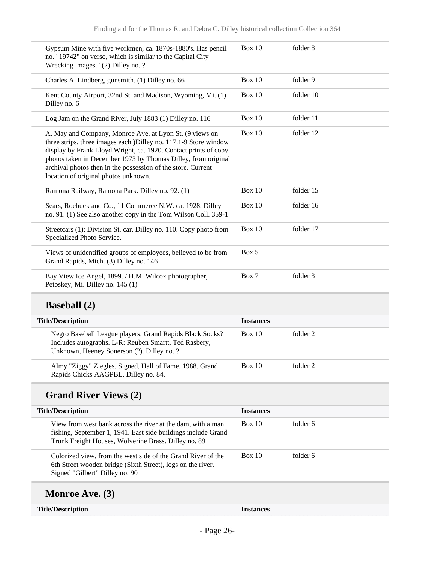| Box 10           | folder 8  |
|------------------|-----------|
| <b>Box 10</b>    | folder 9  |
| Box 10           | folder 10 |
| Box $10$         | folder 11 |
| <b>Box 10</b>    | folder 12 |
| Box $10$         | folder 15 |
| Box 10           | folder 16 |
| Box $10$         | folder 17 |
| Box 5            |           |
| Box 7            | folder 3  |
|                  |           |
| <b>Instances</b> |           |
| Box $10$         | folder 2  |
| <b>Box 10</b>    | folder 2  |
|                  |           |
| <b>Instances</b> |           |
| <b>Box 10</b>    | folder 6  |
| Box $10$         | folder 6  |
|                  |           |
|                  |           |
|                  |           |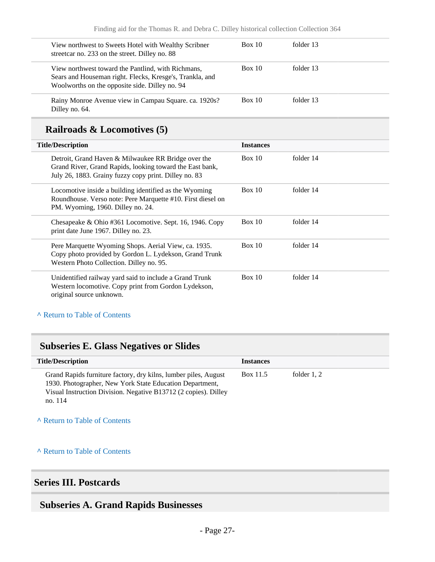| View northwest to Sweets Hotel with Wealthy Scribner<br>streetcar no. 233 on the street. Dilley no. 88                                                           | Box 10 | folder 13 |  |
|------------------------------------------------------------------------------------------------------------------------------------------------------------------|--------|-----------|--|
| View northwest toward the Pantlind, with Richmans,<br>Sears and Houseman right. Flecks, Kresge's, Trankla, and<br>Woolworths on the opposite side. Dilley no. 94 | Box 10 | folder 13 |  |
| Rainy Monroe Avenue view in Campau Square. ca. 1920s?<br>Dilley no. 64.                                                                                          | Box 10 | folder 13 |  |

### **Railroads & Locomotives (5)**

| <b>Title/Description</b>                                                                                                                                                 | <b>Instances</b> |           |  |
|--------------------------------------------------------------------------------------------------------------------------------------------------------------------------|------------------|-----------|--|
| Detroit, Grand Haven & Milwaukee RR Bridge over the<br>Grand River, Grand Rapids, looking toward the East bank,<br>July 26, 1883. Grainy fuzzy copy print. Dilley no. 83 | Box 10           | folder 14 |  |
| Locomotive inside a building identified as the Wyoming<br>Roundhouse. Verso note: Pere Marquette #10. First diesel on<br>PM. Wyoming, 1960. Dilley no. 24.               | Box 10           | folder 14 |  |
| Chesapeake & Ohio #361 Locomotive. Sept. 16, 1946. Copy<br>print date June 1967. Dilley no. 23.                                                                          | Box 10           | folder 14 |  |
| Pere Marquette Wyoming Shops. Aerial View, ca. 1935.<br>Copy photo provided by Gordon L. Lydekson, Grand Trunk<br>Western Photo Collection. Dilley no. 95.               | Box 10           | folder 14 |  |
| Unidentified railway yard said to include a Grand Trunk<br>Western locomotive. Copy print from Gordon Lydekson,<br>original source unknown.                              | Box 10           | folder 14 |  |

#### **^** [Return to Table of Contents](#page-1-0)

### **Subseries E. Glass Negatives or Slides**

| <b>Title/Description</b>                                                                                                                                                                                  | <b>Instances</b> |               |  |
|-----------------------------------------------------------------------------------------------------------------------------------------------------------------------------------------------------------|------------------|---------------|--|
| Grand Rapids furniture factory, dry kilns, lumber piles, August<br>1930. Photographer, New York State Education Department,<br>Visual Instruction Division. Negative B13712 (2 copies). Dilley<br>no. 114 | Box 11.5         | folder $1, 2$ |  |

**^** [Return to Table of Contents](#page-1-0)

#### **^** [Return to Table of Contents](#page-1-0)

### <span id="page-26-0"></span>**Series III. Postcards**

### <span id="page-26-1"></span>**Subseries A. Grand Rapids Businesses**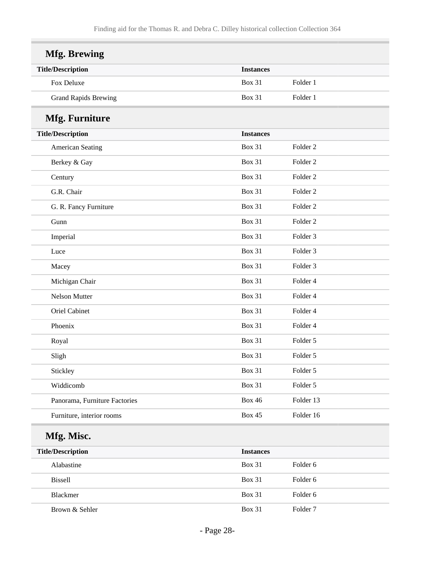| <b>Mfg. Brewing</b>           |                  |                     |
|-------------------------------|------------------|---------------------|
| <b>Title/Description</b>      | <b>Instances</b> |                     |
| Fox Deluxe                    | <b>Box 31</b>    | Folder 1            |
| <b>Grand Rapids Brewing</b>   | <b>Box 31</b>    | Folder 1            |
| <b>Mfg. Furniture</b>         |                  |                     |
| <b>Title/Description</b>      | <b>Instances</b> |                     |
| American Seating              | <b>Box 31</b>    | Folder <sub>2</sub> |
| Berkey & Gay                  | <b>Box 31</b>    | Folder <sub>2</sub> |
| Century                       | <b>Box 31</b>    | Folder <sub>2</sub> |
| G.R. Chair                    | <b>Box 31</b>    | Folder <sub>2</sub> |
| G. R. Fancy Furniture         | <b>Box 31</b>    | Folder <sub>2</sub> |
| Gunn                          | <b>Box 31</b>    | Folder <sub>2</sub> |
| Imperial                      | <b>Box 31</b>    | Folder <sub>3</sub> |
| Luce                          | <b>Box 31</b>    | Folder 3            |
| Macey                         | <b>Box 31</b>    | Folder <sub>3</sub> |
| Michigan Chair                | <b>Box 31</b>    | Folder 4            |
| Nelson Mutter                 | <b>Box 31</b>    | Folder 4            |
| Oriel Cabinet                 | <b>Box 31</b>    | Folder 4            |
| Phoenix                       | <b>Box 31</b>    | Folder 4            |
| Royal                         | <b>Box 31</b>    | Folder 5            |
| Sligh                         | <b>Box 31</b>    | Folder 5            |
| Stickley                      | <b>Box 31</b>    | Folder 5            |
| Widdicomb                     | <b>Box 31</b>    | Folder 5            |
| Panorama, Furniture Factories | <b>Box 46</b>    | Folder 13           |
| Furniture, interior rooms     | <b>Box 45</b>    | Folder 16           |

## **Mfg. Misc.**

| <b>Title/Description</b> | <b>Instances</b> |                     |
|--------------------------|------------------|---------------------|
| Alabastine               | <b>Box 31</b>    | Folder 6            |
| <b>Bissell</b>           | <b>Box 31</b>    | Folder 6            |
| <b>Blackmer</b>          | <b>Box 31</b>    | Folder 6            |
| Brown & Sehler           | <b>Box 31</b>    | Folder <sub>7</sub> |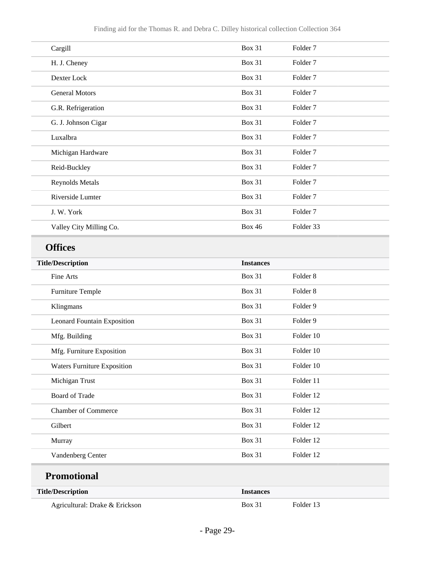| Cargill                 | <b>Box 31</b> | Folder <sub>7</sub> |
|-------------------------|---------------|---------------------|
| H. J. Cheney            | <b>Box 31</b> | Folder <sub>7</sub> |
| Dexter Lock             | <b>Box 31</b> | Folder <sub>7</sub> |
| <b>General Motors</b>   | <b>Box 31</b> | Folder <sub>7</sub> |
| G.R. Refrigeration      | <b>Box 31</b> | Folder 7            |
| G. J. Johnson Cigar     | <b>Box 31</b> | Folder <sub>7</sub> |
| Luxalbra                | <b>Box 31</b> | Folder <sub>7</sub> |
| Michigan Hardware       | <b>Box 31</b> | Folder <sub>7</sub> |
| Reid-Buckley            | <b>Box 31</b> | Folder <sub>7</sub> |
| <b>Reynolds Metals</b>  | $Box\ 31$     | Folder 7            |
| Riverside Lumter        | <b>Box 31</b> | Folder <sub>7</sub> |
| J. W. York              | <b>Box 31</b> | Folder <sub>7</sub> |
| Valley City Milling Co. | <b>Box 46</b> | Folder 33           |

## **Offices**

| <b>Title/Description</b>           | <b>Instances</b> |                     |
|------------------------------------|------------------|---------------------|
| Fine Arts                          | <b>Box 31</b>    | Folder <sub>8</sub> |
| <b>Furniture Temple</b>            | <b>Box 31</b>    | Folder <sub>8</sub> |
| Klingmans                          | <b>Box 31</b>    | Folder 9            |
| <b>Leonard Fountain Exposition</b> | <b>Box 31</b>    | Folder 9            |
| Mfg. Building                      | <b>Box 31</b>    | Folder 10           |
| Mfg. Furniture Exposition          | <b>Box 31</b>    | Folder 10           |
| <b>Waters Furniture Exposition</b> | <b>Box 31</b>    | Folder 10           |
| Michigan Trust                     | <b>Box 31</b>    | Folder 11           |
| <b>Board of Trade</b>              | <b>Box 31</b>    | Folder 12           |
| <b>Chamber of Commerce</b>         | <b>Box 31</b>    | Folder 12           |
| Gilbert                            | <b>Box 31</b>    | Folder 12           |
| Murray                             | <b>Box 31</b>    | Folder 12           |
| Vandenberg Center                  | <b>Box 31</b>    | Folder 12           |
| <b>Promotional</b>                 |                  |                     |
| <b>Title/Description</b>           | <b>Instances</b> |                     |
| Agricultural: Drake & Erickson     | <b>Box 31</b>    | Folder 13           |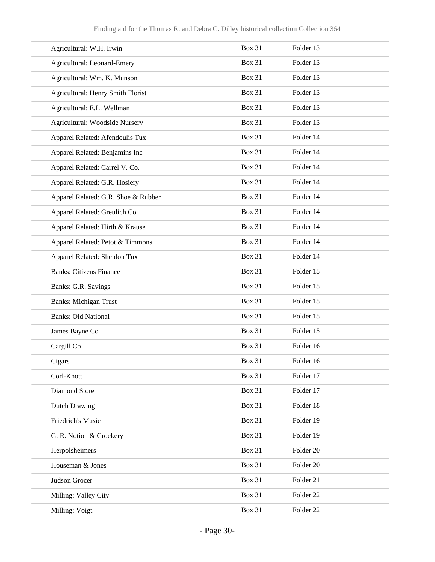| Agricultural: W.H. Irwin            | <b>Box 31</b> | Folder 13 |
|-------------------------------------|---------------|-----------|
| Agricultural: Leonard-Emery         | <b>Box 31</b> | Folder 13 |
| Agricultural: Wm. K. Munson         | <b>Box 31</b> | Folder 13 |
| Agricultural: Henry Smith Florist   | <b>Box 31</b> | Folder 13 |
| Agricultural: E.L. Wellman          | <b>Box 31</b> | Folder 13 |
| Agricultural: Woodside Nursery      | <b>Box 31</b> | Folder 13 |
| Apparel Related: Afendoulis Tux     | <b>Box 31</b> | Folder 14 |
| Apparel Related: Benjamins Inc      | <b>Box 31</b> | Folder 14 |
| Apparel Related: Carrel V. Co.      | <b>Box 31</b> | Folder 14 |
| Apparel Related: G.R. Hosiery       | <b>Box 31</b> | Folder 14 |
| Apparel Related: G.R. Shoe & Rubber | <b>Box 31</b> | Folder 14 |
| Apparel Related: Greulich Co.       | <b>Box 31</b> | Folder 14 |
| Apparel Related: Hirth & Krause     | <b>Box 31</b> | Folder 14 |
| Apparel Related: Petot & Timmons    | <b>Box 31</b> | Folder 14 |
| Apparel Related: Sheldon Tux        | <b>Box 31</b> | Folder 14 |
| <b>Banks: Citizens Finance</b>      | <b>Box 31</b> | Folder 15 |
| Banks: G.R. Savings                 | <b>Box 31</b> | Folder 15 |
| <b>Banks: Michigan Trust</b>        | <b>Box 31</b> | Folder 15 |
| <b>Banks: Old National</b>          | <b>Box 31</b> | Folder 15 |
| James Bayne Co                      | <b>Box 31</b> | Folder 15 |
| Cargill Co                          | <b>Box 31</b> | Folder 16 |
| Cigars                              | <b>Box 31</b> | Folder 16 |
| Corl-Knott                          | <b>Box 31</b> | Folder 17 |
| Diamond Store                       | <b>Box 31</b> | Folder 17 |
| Dutch Drawing                       | <b>Box 31</b> | Folder 18 |
| Friedrich's Music                   | <b>Box 31</b> | Folder 19 |
| G. R. Notion & Crockery             | <b>Box 31</b> | Folder 19 |
| Herpolsheimers                      | <b>Box 31</b> | Folder 20 |
| Houseman & Jones                    | <b>Box 31</b> | Folder 20 |
| Judson Grocer                       | <b>Box 31</b> | Folder 21 |
| Milling: Valley City                | <b>Box 31</b> | Folder 22 |
| Milling: Voigt                      | <b>Box 31</b> | Folder 22 |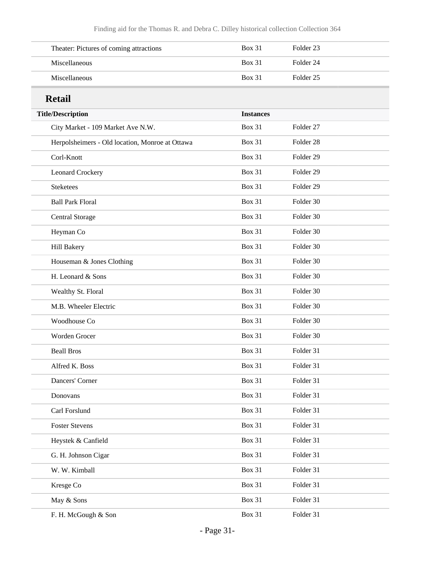| Theater: Pictures of coming attractions | Box 31        | Folder 23 |  |
|-----------------------------------------|---------------|-----------|--|
| <b>Miscellaneous</b>                    | <b>Box 31</b> | Folder 24 |  |
| <b>Miscellaneous</b>                    | <b>Box 31</b> | Folder 25 |  |

## **Retail**

| ixclail                                         |                  |                      |
|-------------------------------------------------|------------------|----------------------|
| <b>Title/Description</b>                        | <b>Instances</b> |                      |
| City Market - 109 Market Ave N.W.               | <b>Box 31</b>    | Folder 27            |
| Herpolsheimers - Old location, Monroe at Ottawa | <b>Box 31</b>    | Folder <sub>28</sub> |
| Corl-Knott                                      | <b>Box 31</b>    | Folder 29            |
| <b>Leonard Crockery</b>                         | <b>Box 31</b>    | Folder <sub>29</sub> |
| <b>Steketees</b>                                | <b>Box 31</b>    | Folder <sub>29</sub> |
| <b>Ball Park Floral</b>                         | <b>Box 31</b>    | Folder 30            |
| <b>Central Storage</b>                          | <b>Box 31</b>    | Folder 30            |
| Heyman Co                                       | <b>Box 31</b>    | Folder 30            |
| Hill Bakery                                     | <b>Box 31</b>    | Folder 30            |
| Houseman & Jones Clothing                       | <b>Box 31</b>    | Folder 30            |
| H. Leonard & Sons                               | <b>Box 31</b>    | Folder 30            |
| Wealthy St. Floral                              | <b>Box 31</b>    | Folder 30            |
| M.B. Wheeler Electric                           | <b>Box 31</b>    | Folder 30            |
| Woodhouse Co                                    | <b>Box 31</b>    | Folder 30            |
| Worden Grocer                                   | <b>Box 31</b>    | Folder 30            |
| <b>Beall Bros</b>                               | <b>Box 31</b>    | Folder 31            |
| Alfred K. Boss                                  | <b>Box 31</b>    | Folder 31            |
| Dancers' Corner                                 | <b>Box 31</b>    | Folder 31            |
| Donovans                                        | <b>Box 31</b>    | Folder 31            |
| Carl Forslund                                   | <b>Box 31</b>    | Folder 31            |
| <b>Foster Stevens</b>                           | <b>Box 31</b>    | Folder 31            |
| Heystek & Canfield                              | <b>Box 31</b>    | Folder 31            |
| G. H. Johnson Cigar                             | <b>Box 31</b>    | Folder 31            |
| W. W. Kimball                                   | <b>Box 31</b>    | Folder 31            |
| Kresge Co                                       | <b>Box 31</b>    | Folder 31            |
| May & Sons                                      | <b>Box 31</b>    | Folder 31            |
| F. H. McGough & Son                             | <b>Box 31</b>    | Folder 31            |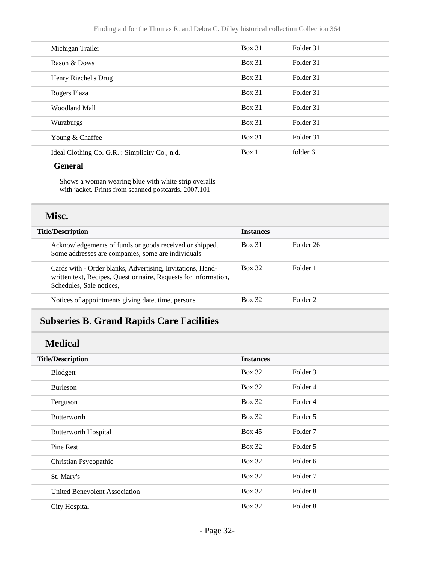| Michigan Trailer                               | $Box\ 31$     | Folder 31 |  |
|------------------------------------------------|---------------|-----------|--|
| Rason & Dows                                   | <b>Box 31</b> | Folder 31 |  |
| Henry Riechel's Drug                           | <b>Box 31</b> | Folder 31 |  |
| Rogers Plaza                                   | <b>Box 31</b> | Folder 31 |  |
| Woodland Mall                                  | <b>Box 31</b> | Folder 31 |  |
| Wurzburgs                                      | <b>Box 31</b> | Folder 31 |  |
| Young & Chaffee                                | <b>Box 31</b> | Folder 31 |  |
| Ideal Clothing Co. G.R. : Simplicity Co., n.d. | Box 1         | folder 6  |  |

#### **General**

Shows a woman wearing blue with white strip overalls with jacket. Prints from scanned postcards. 2007.101

### **Misc.**

| <b>Title/Description</b>                                                                                                                                  | <b>Instances</b> |                     |
|-----------------------------------------------------------------------------------------------------------------------------------------------------------|------------------|---------------------|
| Acknowledgements of funds or goods received or shipped.<br>Some addresses are companies, some are individuals                                             | <b>Box 31</b>    | Folder 26           |
| Cards with - Order blanks, Advertising, Invitations, Hand-<br>written text, Recipes, Questionnaire, Requests for information,<br>Schedules, Sale notices, | <b>Box 32</b>    | Folder 1            |
| Notices of appointments giving date, time, persons                                                                                                        | <b>Box 32</b>    | Folder <sub>2</sub> |

## <span id="page-31-0"></span>**Subseries B. Grand Rapids Care Facilities**

### **Medical**

| <b>Title/Description</b>             | <b>Instances</b> |                     |
|--------------------------------------|------------------|---------------------|
| Blodgett                             | <b>Box 32</b>    | Folder 3            |
| <b>Burleson</b>                      | <b>Box 32</b>    | Folder 4            |
| Ferguson                             | <b>Box 32</b>    | Folder 4            |
| <b>Butterworth</b>                   | <b>Box 32</b>    | Folder 5            |
| <b>Butterworth Hospital</b>          | Box 45           | Folder <sub>7</sub> |
| Pine Rest                            | <b>Box 32</b>    | Folder 5            |
| Christian Psycopathic                | <b>Box 32</b>    | Folder <sub>6</sub> |
| St. Mary's                           | <b>Box 32</b>    | Folder <sub>7</sub> |
| <b>United Benevolent Association</b> | <b>Box 32</b>    | Folder 8            |
| <b>City Hospital</b>                 | <b>Box 32</b>    | Folder <sub>8</sub> |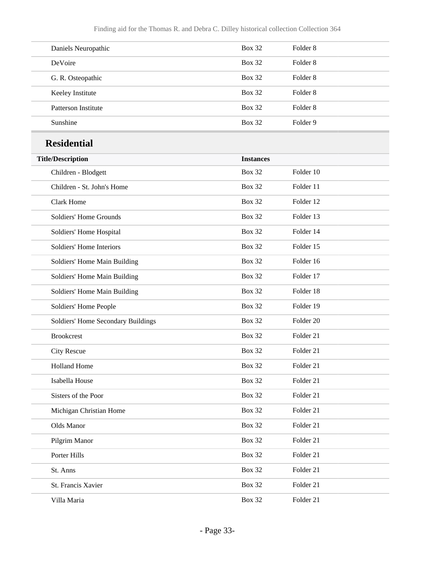| Daniels Neuropathic | <b>Box 32</b> | Folder 8 |
|---------------------|---------------|----------|
| <b>DeVoire</b>      | <b>Box 32</b> | Folder 8 |
| G. R. Osteopathic   | <b>Box 32</b> | Folder 8 |
| Keeley Institute    | <b>Box 32</b> | Folder 8 |
| Patterson Institute | <b>Box 32</b> | Folder 8 |
| Sunshine            | <b>Box 32</b> | Folder 9 |

## **Residential**

| <b>Title/Description</b>           | <b>Instances</b> |           |
|------------------------------------|------------------|-----------|
| Children - Blodgett                | <b>Box 32</b>    | Folder 10 |
| Children - St. John's Home         | <b>Box 32</b>    | Folder 11 |
| <b>Clark Home</b>                  | <b>Box 32</b>    | Folder 12 |
| Soldiers' Home Grounds             | <b>Box 32</b>    | Folder 13 |
| Soldiers' Home Hospital            | <b>Box 32</b>    | Folder 14 |
| Soldiers' Home Interiors           | <b>Box 32</b>    | Folder 15 |
| Soldiers' Home Main Building       | <b>Box 32</b>    | Folder 16 |
| Soldiers' Home Main Building       | <b>Box 32</b>    | Folder 17 |
| Soldiers' Home Main Building       | <b>Box 32</b>    | Folder 18 |
| Soldiers' Home People              | <b>Box 32</b>    | Folder 19 |
| Soldiers' Home Secondary Buildings | <b>Box 32</b>    | Folder 20 |
| <b>Brookcrest</b>                  | <b>Box 32</b>    | Folder 21 |
| <b>City Rescue</b>                 | <b>Box 32</b>    | Folder 21 |
| <b>Holland Home</b>                | <b>Box 32</b>    | Folder 21 |
| Isabella House                     | <b>Box 32</b>    | Folder 21 |
| Sisters of the Poor                | <b>Box 32</b>    | Folder 21 |
| Michigan Christian Home            | <b>Box 32</b>    | Folder 21 |
| Olds Manor                         | <b>Box 32</b>    | Folder 21 |
| Pilgrim Manor                      | <b>Box 32</b>    | Folder 21 |
| Porter Hills                       | <b>Box 32</b>    | Folder 21 |
| St. Anns                           | <b>Box 32</b>    | Folder 21 |
| St. Francis Xavier                 | <b>Box 32</b>    | Folder 21 |
| Villa Maria                        | <b>Box 32</b>    | Folder 21 |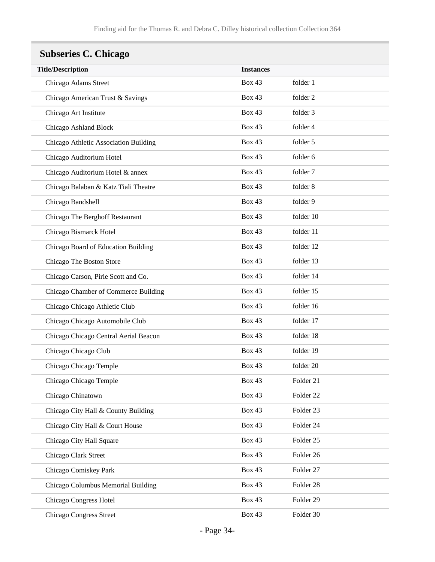## <span id="page-33-0"></span>**Subseries C. Chicago**

| <b>Title/Description</b>              | <b>Instances</b> |                      |
|---------------------------------------|------------------|----------------------|
| Chicago Adams Street                  | <b>Box 43</b>    | folder 1             |
| Chicago American Trust & Savings      | <b>Box 43</b>    | folder 2             |
| Chicago Art Institute                 | <b>Box 43</b>    | folder 3             |
| Chicago Ashland Block                 | <b>Box 43</b>    | folder 4             |
| Chicago Athletic Association Building | <b>Box 43</b>    | folder 5             |
| Chicago Auditorium Hotel              | <b>Box 43</b>    | folder 6             |
| Chicago Auditorium Hotel & annex      | <b>Box 43</b>    | folder 7             |
| Chicago Balaban & Katz Tiali Theatre  | <b>Box 43</b>    | folder 8             |
| Chicago Bandshell                     | <b>Box 43</b>    | folder 9             |
| Chicago The Berghoff Restaurant       | Box 43           | folder 10            |
| Chicago Bismarck Hotel                | <b>Box 43</b>    | folder 11            |
| Chicago Board of Education Building   | <b>Box 43</b>    | folder 12            |
| Chicago The Boston Store              | <b>Box 43</b>    | folder 13            |
| Chicago Carson, Pirie Scott and Co.   | <b>Box 43</b>    | folder 14            |
| Chicago Chamber of Commerce Building  | <b>Box 43</b>    | folder 15            |
| Chicago Chicago Athletic Club         | <b>Box 43</b>    | folder 16            |
| Chicago Chicago Automobile Club       | <b>Box 43</b>    | folder 17            |
| Chicago Chicago Central Aerial Beacon | <b>Box 43</b>    | folder 18            |
| Chicago Chicago Club                  | <b>Box 43</b>    | folder 19            |
| Chicago Chicago Temple                | <b>Box 43</b>    | folder 20            |
| Chicago Chicago Temple                | <b>Box 43</b>    | Folder 21            |
| Chicago Chinatown                     | <b>Box 43</b>    | Folder 22            |
| Chicago City Hall & County Building   | <b>Box 43</b>    | Folder 23            |
| Chicago City Hall & Court House       | Box 43           | Folder 24            |
| Chicago City Hall Square              | <b>Box 43</b>    | Folder <sub>25</sub> |
| Chicago Clark Street                  | <b>Box 43</b>    | Folder 26            |
| Chicago Comiskey Park                 | <b>Box 43</b>    | Folder 27            |
| Chicago Columbus Memorial Building    | Box 43           | Folder 28            |
| Chicago Congress Hotel                | <b>Box 43</b>    | Folder 29            |
| <b>Chicago Congress Street</b>        | <b>Box 43</b>    | Folder 30            |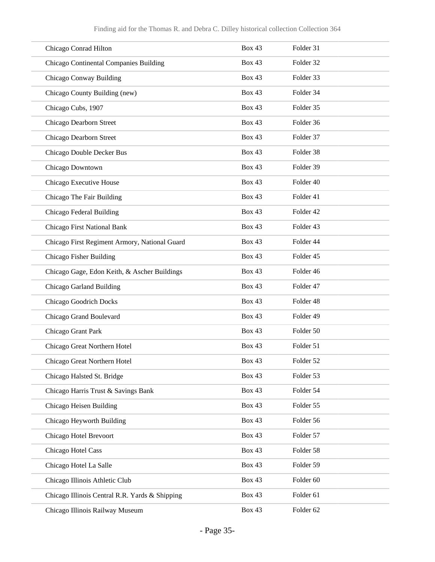| Chicago Conrad Hilton                          | <b>Box 43</b> | Folder 31 |
|------------------------------------------------|---------------|-----------|
| Chicago Continental Companies Building         | <b>Box 43</b> | Folder 32 |
| Chicago Conway Building                        | <b>Box 43</b> | Folder 33 |
| Chicago County Building (new)                  | <b>Box 43</b> | Folder 34 |
| Chicago Cubs, 1907                             | <b>Box 43</b> | Folder 35 |
| Chicago Dearborn Street                        | <b>Box 43</b> | Folder 36 |
| Chicago Dearborn Street                        | <b>Box 43</b> | Folder 37 |
| Chicago Double Decker Bus                      | <b>Box 43</b> | Folder 38 |
| Chicago Downtown                               | <b>Box 43</b> | Folder 39 |
| Chicago Executive House                        | <b>Box 43</b> | Folder 40 |
| Chicago The Fair Building                      | <b>Box 43</b> | Folder 41 |
| Chicago Federal Building                       | <b>Box 43</b> | Folder 42 |
| Chicago First National Bank                    | <b>Box 43</b> | Folder 43 |
| Chicago First Regiment Armory, National Guard  | <b>Box 43</b> | Folder 44 |
| Chicago Fisher Building                        | <b>Box 43</b> | Folder 45 |
| Chicago Gage, Edon Keith, & Ascher Buildings   | <b>Box 43</b> | Folder 46 |
| Chicago Garland Building                       | <b>Box 43</b> | Folder 47 |
| <b>Chicago Goodrich Docks</b>                  | <b>Box 43</b> | Folder 48 |
| Chicago Grand Boulevard                        | <b>Box 43</b> | Folder 49 |
| Chicago Grant Park                             | <b>Box 43</b> | Folder 50 |
| Chicago Great Northern Hotel                   | <b>Box 43</b> | Folder 51 |
| Chicago Great Northern Hotel                   | <b>Box 43</b> | Folder 52 |
| Chicago Halsted St. Bridge                     | Box 43        | Folder 53 |
| Chicago Harris Trust & Savings Bank            | <b>Box 43</b> | Folder 54 |
| Chicago Heisen Building                        | Box 43        | Folder 55 |
| Chicago Heyworth Building                      | <b>Box 43</b> | Folder 56 |
| Chicago Hotel Brevoort                         | <b>Box 43</b> | Folder 57 |
| Chicago Hotel Cass                             | <b>Box 43</b> | Folder 58 |
| Chicago Hotel La Salle                         | Box 43        | Folder 59 |
| Chicago Illinois Athletic Club                 | <b>Box 43</b> | Folder 60 |
| Chicago Illinois Central R.R. Yards & Shipping | <b>Box 43</b> | Folder 61 |
| Chicago Illinois Railway Museum                | Box 43        | Folder 62 |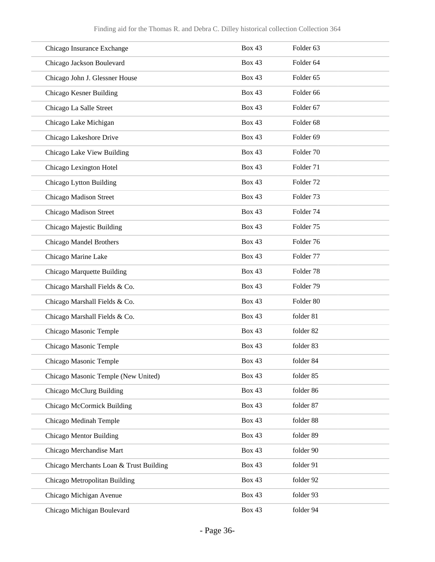| Chicago Insurance Exchange              | <b>Box 43</b> | Folder <sub>63</sub> |
|-----------------------------------------|---------------|----------------------|
| Chicago Jackson Boulevard               | <b>Box 43</b> | Folder <sub>64</sub> |
| Chicago John J. Glessner House          | <b>Box 43</b> | Folder <sub>65</sub> |
| Chicago Kesner Building                 | <b>Box 43</b> | Folder <sub>66</sub> |
| Chicago La Salle Street                 | <b>Box 43</b> | Folder 67            |
| Chicago Lake Michigan                   | <b>Box 43</b> | Folder <sub>68</sub> |
| Chicago Lakeshore Drive                 | <b>Box 43</b> | Folder 69            |
| Chicago Lake View Building              | <b>Box 43</b> | Folder 70            |
| Chicago Lexington Hotel                 | <b>Box 43</b> | Folder 71            |
| Chicago Lytton Building                 | <b>Box 43</b> | Folder <sub>72</sub> |
| Chicago Madison Street                  | <b>Box 43</b> | Folder <sub>73</sub> |
| Chicago Madison Street                  | <b>Box 43</b> | Folder 74            |
| Chicago Majestic Building               | <b>Box 43</b> | Folder 75            |
| Chicago Mandel Brothers                 | <b>Box 43</b> | Folder 76            |
| Chicago Marine Lake                     | <b>Box 43</b> | Folder 77            |
| Chicago Marquette Building              | <b>Box 43</b> | Folder <sub>78</sub> |
| Chicago Marshall Fields & Co.           | <b>Box 43</b> | Folder 79            |
| Chicago Marshall Fields & Co.           | <b>Box 43</b> | Folder 80            |
| Chicago Marshall Fields & Co.           | Box 43        | folder 81            |
| Chicago Masonic Temple                  | <b>Box 43</b> | folder 82            |
| Chicago Masonic Temple                  | <b>Box 43</b> | folder 83            |
| Chicago Masonic Temple                  | <b>Box 43</b> | folder 84            |
| Chicago Masonic Temple (New United)     | <b>Box 43</b> | folder 85            |
| Chicago McClurg Building                | <b>Box 43</b> | folder 86            |
| Chicago McCormick Building              | <b>Box 43</b> | folder 87            |
| Chicago Medinah Temple                  | <b>Box 43</b> | folder 88            |
| Chicago Mentor Building                 | <b>Box 43</b> | folder 89            |
| Chicago Merchandise Mart                | <b>Box 43</b> | folder 90            |
| Chicago Merchants Loan & Trust Building | <b>Box 43</b> | folder 91            |
| Chicago Metropolitan Building           | <b>Box 43</b> | folder 92            |
| Chicago Michigan Avenue                 | <b>Box 43</b> | folder 93            |
| Chicago Michigan Boulevard              | <b>Box 43</b> | folder 94            |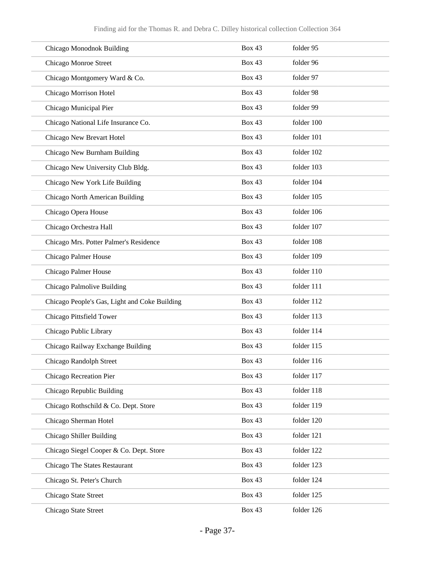| Chicago Monodnok Building                     | <b>Box 43</b> | folder 95  |
|-----------------------------------------------|---------------|------------|
| Chicago Monroe Street                         | <b>Box 43</b> | folder 96  |
| Chicago Montgomery Ward & Co.                 | <b>Box 43</b> | folder 97  |
| Chicago Morrison Hotel                        | <b>Box 43</b> | folder 98  |
| Chicago Municipal Pier                        | <b>Box 43</b> | folder 99  |
| Chicago National Life Insurance Co.           | <b>Box 43</b> | folder 100 |
| Chicago New Brevart Hotel                     | <b>Box 43</b> | folder 101 |
| Chicago New Burnham Building                  | <b>Box 43</b> | folder 102 |
| Chicago New University Club Bldg.             | <b>Box 43</b> | folder 103 |
| Chicago New York Life Building                | <b>Box 43</b> | folder 104 |
| Chicago North American Building               | <b>Box 43</b> | folder 105 |
| Chicago Opera House                           | <b>Box 43</b> | folder 106 |
| Chicago Orchestra Hall                        | <b>Box 43</b> | folder 107 |
| Chicago Mrs. Potter Palmer's Residence        | <b>Box 43</b> | folder 108 |
| Chicago Palmer House                          | <b>Box 43</b> | folder 109 |
| Chicago Palmer House                          | <b>Box 43</b> | folder 110 |
| Chicago Palmolive Building                    | <b>Box 43</b> | folder 111 |
| Chicago People's Gas, Light and Coke Building | <b>Box 43</b> | folder 112 |
| Chicago Pittsfield Tower                      | <b>Box 43</b> | folder 113 |
| Chicago Public Library                        | <b>Box 43</b> | folder 114 |
| Chicago Railway Exchange Building             | <b>Box 43</b> | folder 115 |
| Chicago Randolph Street                       | <b>Box 43</b> | folder 116 |
| Chicago Recreation Pier                       | Box 43        | folder 117 |
| Chicago Republic Building                     | <b>Box 43</b> | folder 118 |
| Chicago Rothschild & Co. Dept. Store          | <b>Box 43</b> | folder 119 |
| Chicago Sherman Hotel                         | <b>Box 43</b> | folder 120 |
| Chicago Shiller Building                      | <b>Box 43</b> | folder 121 |
| Chicago Siegel Cooper & Co. Dept. Store       | <b>Box 43</b> | folder 122 |
| Chicago The States Restaurant                 | <b>Box 43</b> | folder 123 |
| Chicago St. Peter's Church                    | <b>Box 43</b> | folder 124 |
| Chicago State Street                          | <b>Box 43</b> | folder 125 |
| Chicago State Street                          | Box 43        | folder 126 |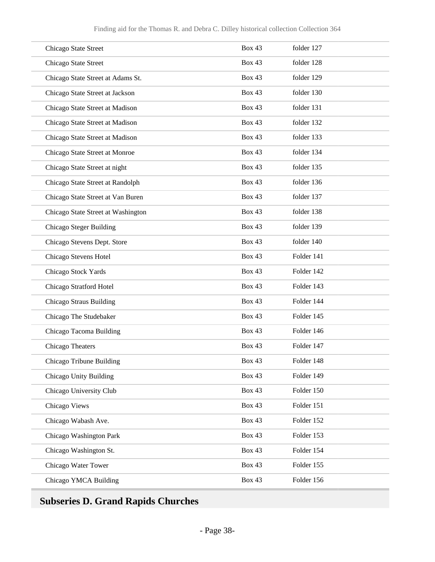| Chicago State Street               | <b>Box 43</b> | folder 127 |
|------------------------------------|---------------|------------|
| Chicago State Street               | <b>Box 43</b> | folder 128 |
| Chicago State Street at Adams St.  | <b>Box 43</b> | folder 129 |
| Chicago State Street at Jackson    | <b>Box 43</b> | folder 130 |
| Chicago State Street at Madison    | <b>Box 43</b> | folder 131 |
| Chicago State Street at Madison    | <b>Box 43</b> | folder 132 |
| Chicago State Street at Madison    | <b>Box 43</b> | folder 133 |
| Chicago State Street at Monroe     | <b>Box 43</b> | folder 134 |
| Chicago State Street at night      | <b>Box 43</b> | folder 135 |
| Chicago State Street at Randolph   | <b>Box 43</b> | folder 136 |
| Chicago State Street at Van Buren  | <b>Box 43</b> | folder 137 |
| Chicago State Street at Washington | <b>Box 43</b> | folder 138 |
| Chicago Steger Building            | <b>Box 43</b> | folder 139 |
| Chicago Stevens Dept. Store        | <b>Box 43</b> | folder 140 |
| Chicago Stevens Hotel              | <b>Box 43</b> | Folder 141 |
| Chicago Stock Yards                | <b>Box 43</b> | Folder 142 |
| Chicago Stratford Hotel            | <b>Box 43</b> | Folder 143 |
| Chicago Straus Building            | <b>Box 43</b> | Folder 144 |
| Chicago The Studebaker             | <b>Box 43</b> | Folder 145 |
| Chicago Tacoma Building            | <b>Box 43</b> | Folder 146 |
| Chicago Theaters                   | <b>Box 43</b> | Folder 147 |
| Chicago Tribune Building           | <b>Box 43</b> | Folder 148 |
| Chicago Unity Building             | <b>Box 43</b> | Folder 149 |
| Chicago University Club            | <b>Box 43</b> | Folder 150 |
| Chicago Views                      | <b>Box 43</b> | Folder 151 |
| Chicago Wabash Ave.                | <b>Box 43</b> | Folder 152 |
| Chicago Washington Park            | <b>Box 43</b> | Folder 153 |
| Chicago Washington St.             | <b>Box 43</b> | Folder 154 |
| Chicago Water Tower                | <b>Box 43</b> | Folder 155 |
| Chicago YMCA Building              | <b>Box 43</b> | Folder 156 |

## **Subseries D. Grand Rapids Churches**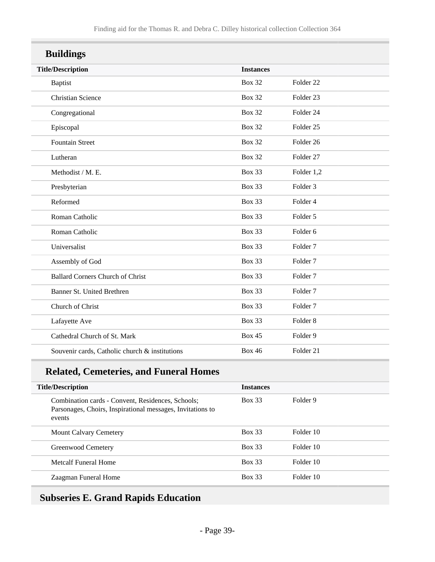| <b>Buildings</b>                               |                  |                      |  |  |
|------------------------------------------------|------------------|----------------------|--|--|
| <b>Title/Description</b>                       | <b>Instances</b> |                      |  |  |
| <b>Baptist</b>                                 | <b>Box 32</b>    | Folder <sub>22</sub> |  |  |
| <b>Christian Science</b>                       | <b>Box 32</b>    | Folder 23            |  |  |
| Congregational                                 | <b>Box 32</b>    | Folder 24            |  |  |
| Episcopal                                      | <b>Box 32</b>    | Folder <sub>25</sub> |  |  |
| <b>Fountain Street</b>                         | <b>Box 32</b>    | Folder <sub>26</sub> |  |  |
| Lutheran                                       | <b>Box 32</b>    | Folder 27            |  |  |
| Methodist / M. E.                              | <b>Box 33</b>    | Folder 1,2           |  |  |
| Presbyterian                                   | <b>Box 33</b>    | Folder <sub>3</sub>  |  |  |
| Reformed                                       | <b>Box 33</b>    | Folder 4             |  |  |
| Roman Catholic                                 | <b>Box 33</b>    | Folder 5             |  |  |
| Roman Catholic                                 | <b>Box 33</b>    | Folder <sub>6</sub>  |  |  |
| Universalist                                   | <b>Box 33</b>    | Folder <sub>7</sub>  |  |  |
| Assembly of God                                | <b>Box 33</b>    | Folder <sub>7</sub>  |  |  |
| <b>Ballard Corners Church of Christ</b>        | <b>Box 33</b>    | Folder <sub>7</sub>  |  |  |
| Banner St. United Brethren                     | <b>Box 33</b>    | Folder <sub>7</sub>  |  |  |
| Church of Christ                               | <b>Box 33</b>    | Folder <sub>7</sub>  |  |  |
| Lafayette Ave                                  | <b>Box 33</b>    | Folder <sub>8</sub>  |  |  |
| Cathedral Church of St. Mark                   | <b>Box 45</b>    | Folder 9             |  |  |
| Souvenir cards, Catholic church & institutions | <b>Box 46</b>    | Folder 21            |  |  |

### **Related, Cemeteries, and Funeral Homes**

| <b>Title/Description</b> |                                                                                                                           | <b>Instances</b> |           |
|--------------------------|---------------------------------------------------------------------------------------------------------------------------|------------------|-----------|
|                          | Combination cards - Convent, Residences, Schools;<br>Parsonages, Choirs, Inspirational messages, Invitations to<br>events | <b>Box 33</b>    | Folder 9  |
|                          | <b>Mount Calvary Cemetery</b>                                                                                             | <b>Box 33</b>    | Folder 10 |
|                          | Greenwood Cemetery                                                                                                        | <b>Box 33</b>    | Folder 10 |
|                          | Metcalf Funeral Home                                                                                                      | <b>Box 33</b>    | Folder 10 |
|                          | Zaagman Funeral Home                                                                                                      | <b>Box 33</b>    | Folder 10 |

### **Subseries E. Grand Rapids Education**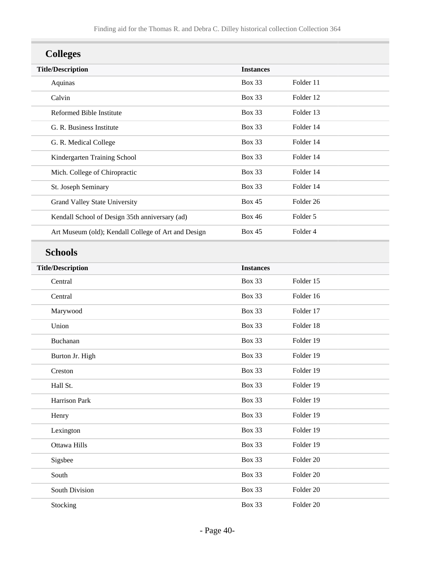| <b>Colleges</b>                                     |                  |                      |
|-----------------------------------------------------|------------------|----------------------|
| <b>Title/Description</b>                            | <b>Instances</b> |                      |
| Aquinas                                             | <b>Box 33</b>    | Folder 11            |
| Calvin                                              | <b>Box 33</b>    | Folder 12            |
| Reformed Bible Institute                            | <b>Box 33</b>    | Folder 13            |
| G. R. Business Institute                            | <b>Box 33</b>    | Folder 14            |
| G. R. Medical College                               | <b>Box 33</b>    | Folder 14            |
| Kindergarten Training School                        | <b>Box 33</b>    | Folder 14            |
| Mich. College of Chiropractic                       | <b>Box 33</b>    | Folder 14            |
| St. Joseph Seminary                                 | <b>Box 33</b>    | Folder 14            |
| Grand Valley State University                       | <b>Box 45</b>    | Folder <sub>26</sub> |
| Kendall School of Design 35th anniversary (ad)      | <b>Box 46</b>    | Folder 5             |
| Art Museum (old); Kendall College of Art and Design | <b>Box 45</b>    | Folder 4             |
| <b>Schools</b>                                      |                  |                      |
| <b>Title/Description</b>                            | <b>Instances</b> |                      |
| Central                                             | <b>Box 33</b>    | Folder 15            |
| Central                                             | <b>Box 33</b>    | Folder 16            |
| Marywood                                            | <b>Box 33</b>    | Folder 17            |
| Union                                               | <b>Box 33</b>    | Folder 18            |
| Buchanan                                            | <b>Box 33</b>    | Folder 19            |
| Burton Jr. High                                     | <b>Box 33</b>    | Folder 19            |
| Creston                                             | Box 33           | Folder 19            |
| Hall St.                                            | Box 33           | Folder 19            |
| Harrison Park                                       | Box 33           | Folder 19            |
| Henry                                               | Box 33           | Folder 19            |
| Lexington                                           | Box 33           | Folder 19            |
| Ottawa Hills                                        | Box 33           | Folder 19            |
| Sigsbee                                             | Box 33           | Folder 20            |
| South                                               | Box 33           | Folder 20            |
| South Division                                      | Box 33           | Folder 20            |
| Stocking                                            | Box 33           | Folder 20            |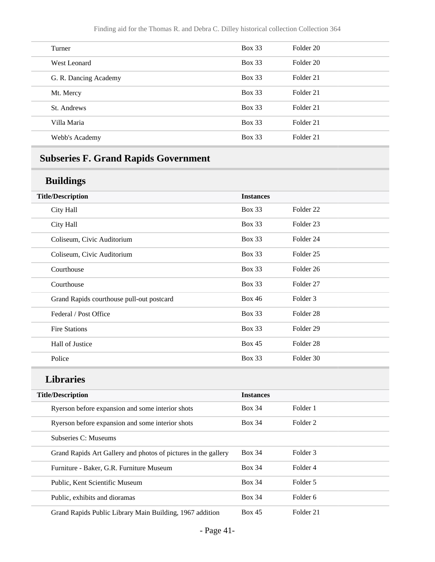| Turner                | $Box\ 33$     | Folder 20            |
|-----------------------|---------------|----------------------|
| West Leonard          | <b>Box 33</b> | Folder 20            |
| G. R. Dancing Academy | Box 33        | Folder 21            |
| Mt. Mercy             | <b>Box 33</b> | Folder 21            |
| St. Andrews           | Box 33        | Folder <sub>21</sub> |
| Villa Maria           | <b>Box 33</b> | Folder 21            |
| Webb's Academy        | <b>Box 33</b> | Folder 21            |

## **Subseries F. Grand Rapids Government**

#### **Buildings**

| ັ                                         |                  |                      |
|-------------------------------------------|------------------|----------------------|
| <b>Title/Description</b>                  | <b>Instances</b> |                      |
| City Hall                                 | <b>Box 33</b>    | Folder <sub>22</sub> |
| City Hall                                 | <b>Box 33</b>    | Folder <sub>23</sub> |
| Coliseum, Civic Auditorium                | <b>Box 33</b>    | Folder 24            |
| Coliseum, Civic Auditorium                | <b>Box 33</b>    | Folder <sub>25</sub> |
| Courthouse                                | <b>Box 33</b>    | Folder 26            |
| Courthouse                                | <b>Box 33</b>    | Folder <sub>27</sub> |
| Grand Rapids courthouse pull-out postcard | <b>Box 46</b>    | Folder <sub>3</sub>  |
| Federal / Post Office                     | <b>Box 33</b>    | Folder <sub>28</sub> |
| <b>Fire Stations</b>                      | <b>Box 33</b>    | Folder 29            |
| Hall of Justice                           | <b>Box 45</b>    | Folder <sub>28</sub> |
| Police                                    | <b>Box 33</b>    | Folder 30            |
|                                           |                  |                      |

### **Libraries**

| <b>Title/Description</b>                                       | <b>Instances</b> |                     |
|----------------------------------------------------------------|------------------|---------------------|
| Ryerson before expansion and some interior shots               | <b>Box 34</b>    | Folder 1            |
| Ryerson before expansion and some interior shots               | <b>Box 34</b>    | Folder <sub>2</sub> |
| Subseries C: Museums                                           |                  |                     |
| Grand Rapids Art Gallery and photos of pictures in the gallery | <b>Box 34</b>    | Folder <sub>3</sub> |
| Furniture - Baker, G.R. Furniture Museum                       | <b>Box 34</b>    | Folder 4            |
| Public, Kent Scientific Museum                                 | <b>Box 34</b>    | Folder 5            |
| Public, exhibits and dioramas                                  | <b>Box 34</b>    | Folder 6            |
| Grand Rapids Public Library Main Building, 1967 addition       | <b>Box 45</b>    | Folder 21           |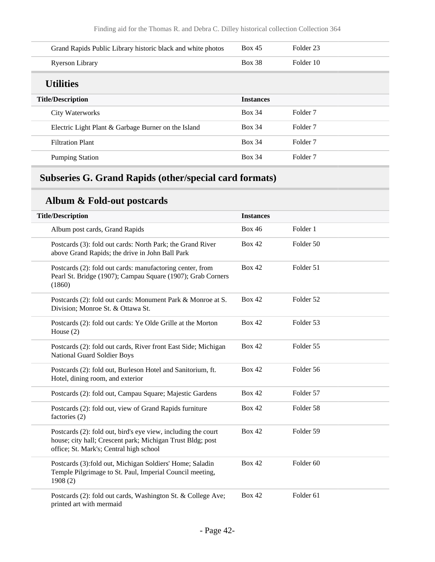| Grand Rapids Public Library historic black and white photos | Box 45           | Folder <sub>23</sub> |
|-------------------------------------------------------------|------------------|----------------------|
| <b>Ryerson Library</b>                                      | <b>Box 38</b>    | Folder 10            |
| <b>Utilities</b>                                            |                  |                      |
| <b>Title/Description</b>                                    | <b>Instances</b> |                      |
| City Waterworks                                             | <b>Box 34</b>    | Folder <sub>7</sub>  |
| Electric Light Plant & Garbage Burner on the Island         | <b>Box 34</b>    | Folder <sub>7</sub>  |
| <b>Filtration Plant</b>                                     | <b>Box 34</b>    | Folder <sub>7</sub>  |
| <b>Pumping Station</b>                                      | <b>Box 34</b>    | Folder <sub>7</sub>  |
|                                                             |                  |                      |

## **Subseries G. Grand Rapids (other/special card formats)**

## **Album & Fold-out postcards**

| <b>Title/Description</b>                                                                                                                                               | <b>Instances</b> |                      |  |
|------------------------------------------------------------------------------------------------------------------------------------------------------------------------|------------------|----------------------|--|
| Album post cards, Grand Rapids                                                                                                                                         | <b>Box 46</b>    | Folder 1             |  |
| Postcards (3): fold out cards: North Park; the Grand River<br>above Grand Rapids; the drive in John Ball Park                                                          | <b>Box 42</b>    | Folder 50            |  |
| Postcards (2): fold out cards: manufactoring center, from<br>Pearl St. Bridge (1907); Campau Square (1907); Grab Corners<br>(1860)                                     | <b>Box 42</b>    | Folder 51            |  |
| Postcards (2): fold out cards: Monument Park & Monroe at S.<br>Division; Monroe St. & Ottawa St.                                                                       | <b>Box 42</b>    | Folder 52            |  |
| Postcards (2): fold out cards: Ye Olde Grille at the Morton<br>House $(2)$                                                                                             | <b>Box 42</b>    | Folder 53            |  |
| Postcards (2): fold out cards, River front East Side; Michigan<br>National Guard Soldier Boys                                                                          | <b>Box 42</b>    | Folder 55            |  |
| Postcards (2): fold out, Burleson Hotel and Sanitorium, ft.<br>Hotel, dining room, and exterior                                                                        | <b>Box 42</b>    | Folder 56            |  |
| Postcards (2): fold out, Campau Square; Majestic Gardens                                                                                                               | <b>Box 42</b>    | Folder 57            |  |
| Postcards (2): fold out, view of Grand Rapids furniture<br>factories (2)                                                                                               | <b>Box 42</b>    | Folder 58            |  |
| Postcards (2): fold out, bird's eye view, including the court<br>house; city hall; Crescent park; Michigan Trust Bldg; post<br>office; St. Mark's; Central high school | <b>Box 42</b>    | Folder 59            |  |
| Postcards (3): fold out, Michigan Soldiers' Home; Saladin<br>Temple Pilgrimage to St. Paul, Imperial Council meeting,<br>1908(2)                                       | <b>Box 42</b>    | Folder 60            |  |
| Postcards (2): fold out cards, Washington St. & College Ave;<br>printed art with mermaid                                                                               | <b>Box 42</b>    | Folder <sub>61</sub> |  |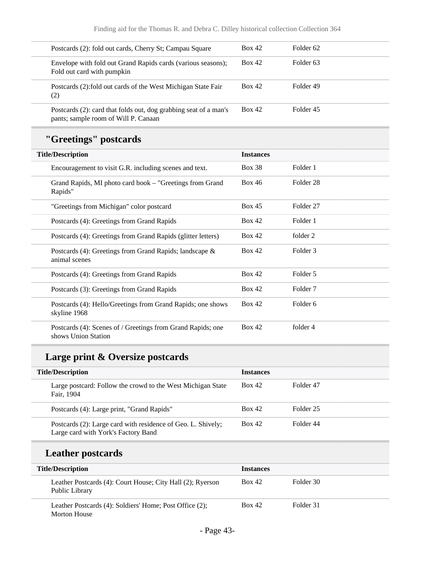| Postcards (2): fold out cards, Cherry St; Campau Square                                                  | <b>Box 42</b>    | Folder <sub>62</sub> |  |
|----------------------------------------------------------------------------------------------------------|------------------|----------------------|--|
| Envelope with fold out Grand Rapids cards (various seasons);<br>Fold out card with pumpkin               | <b>Box 42</b>    | Folder <sub>63</sub> |  |
| Postcards (2): fold out cards of the West Michigan State Fair<br>(2)                                     | <b>Box 42</b>    | Folder 49            |  |
| Postcards (2): card that folds out, dog grabbing seat of a man's<br>pants; sample room of Will P. Canaan | <b>Box 42</b>    | Folder 45            |  |
| "Greetings" postcards                                                                                    |                  |                      |  |
| <b>Title/Description</b>                                                                                 | <b>Instances</b> |                      |  |
| Encouragement to visit G.R. including scenes and text.                                                   | <b>Box 38</b>    | Folder 1             |  |
| Grand Rapids, MI photo card book - "Greetings from Grand<br>Rapids"                                      | <b>Box 46</b>    | Folder <sub>28</sub> |  |
| "Greetings from Michigan" color postcard                                                                 | <b>Box 45</b>    | Folder 27            |  |
| Postcards (4): Greetings from Grand Rapids                                                               | <b>Box 42</b>    | Folder 1             |  |
| Postcards (4): Greetings from Grand Rapids (glitter letters)                                             | <b>Box 42</b>    | folder 2             |  |
| Postcards (4): Greetings from Grand Rapids; landscape &<br>animal scenes                                 | <b>Box 42</b>    | Folder 3             |  |
| Postcards (4): Greetings from Grand Rapids                                                               | <b>Box 42</b>    | Folder 5             |  |
| Postcards (3): Greetings from Grand Rapids                                                               | <b>Box 42</b>    | Folder <sub>7</sub>  |  |
| Postcards (4): Hello/Greetings from Grand Rapids; one shows<br>skyline 1968                              | <b>Box 42</b>    | Folder 6             |  |
| Postcards (4): Scenes of / Greetings from Grand Rapids; one<br>shows Union Station                       | <b>Box 42</b>    | folder 4             |  |

## **Large print & Oversize postcards**

| <b>Title/Description</b> |                                                                                                     | <b>Instances</b> |           |
|--------------------------|-----------------------------------------------------------------------------------------------------|------------------|-----------|
|                          | Large postcard: Follow the crowd to the West Michigan State<br>Fair, 1904                           | Box 42           | Folder 47 |
|                          | Postcards (4): Large print, "Grand Rapids"                                                          | Box 42           | Folder 25 |
|                          | Postcards (2): Large card with residence of Geo. L. Shively;<br>Large card with York's Factory Band | Box 42           | Folder 44 |

## **Leather postcards**

| <b>Title/Description</b>                                                     | <b>Instances</b> |           |
|------------------------------------------------------------------------------|------------------|-----------|
| Leather Postcards (4): Court House; City Hall (2); Ryerson<br>Public Library | Box 42           | Folder 30 |
| Leather Postcards (4): Soldiers' Home; Post Office (2);<br>Morton House      | Box 42           | Folder 31 |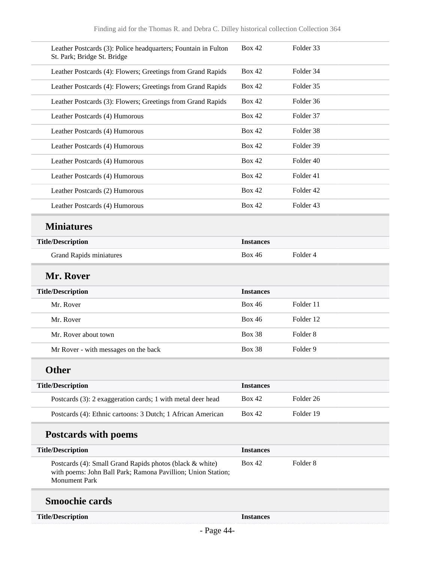| Leather Postcards (3): Police headquarters; Fountain in Fulton<br>St. Park; Bridge St. Bridge                                                    | <b>Box 42</b>    | Folder 33            |
|--------------------------------------------------------------------------------------------------------------------------------------------------|------------------|----------------------|
| Leather Postcards (4): Flowers; Greetings from Grand Rapids                                                                                      | <b>Box 42</b>    | Folder 34            |
| Leather Postcards (4): Flowers; Greetings from Grand Rapids                                                                                      | <b>Box 42</b>    | Folder 35            |
| Leather Postcards (3): Flowers; Greetings from Grand Rapids                                                                                      | <b>Box 42</b>    | Folder 36            |
| Leather Postcards (4) Humorous                                                                                                                   | <b>Box 42</b>    | Folder 37            |
| Leather Postcards (4) Humorous                                                                                                                   | <b>Box 42</b>    | Folder 38            |
| Leather Postcards (4) Humorous                                                                                                                   | <b>Box 42</b>    | Folder 39            |
| Leather Postcards (4) Humorous                                                                                                                   | <b>Box 42</b>    | Folder 40            |
| Leather Postcards (4) Humorous                                                                                                                   | <b>Box 42</b>    | Folder 41            |
| Leather Postcards (2) Humorous                                                                                                                   | <b>Box 42</b>    | Folder 42            |
| Leather Postcards (4) Humorous                                                                                                                   | <b>Box 42</b>    | Folder 43            |
| <b>Miniatures</b>                                                                                                                                |                  |                      |
| <b>Title/Description</b>                                                                                                                         | <b>Instances</b> |                      |
| <b>Grand Rapids miniatures</b>                                                                                                                   | <b>Box 46</b>    | Folder 4             |
| Mr. Rover                                                                                                                                        |                  |                      |
| <b>Title/Description</b>                                                                                                                         | <b>Instances</b> |                      |
| Mr. Rover                                                                                                                                        | <b>Box 46</b>    | Folder 11            |
| Mr. Rover                                                                                                                                        | <b>Box 46</b>    | Folder 12            |
| Mr. Rover about town                                                                                                                             | <b>Box 38</b>    | Folder <sub>8</sub>  |
| Mr Rover - with messages on the back                                                                                                             | <b>Box 38</b>    | Folder 9             |
| <b>Other</b>                                                                                                                                     |                  |                      |
| <b>Title/Description</b>                                                                                                                         | <b>Instances</b> |                      |
| Postcards (3): 2 exaggeration cards; 1 with metal deer head                                                                                      | <b>Box 42</b>    | Folder <sub>26</sub> |
| Postcards (4): Ethnic cartoons: 3 Dutch; 1 African American                                                                                      | <b>Box 42</b>    | Folder 19            |
| <b>Postcards with poems</b>                                                                                                                      |                  |                      |
| <b>Title/Description</b>                                                                                                                         | <b>Instances</b> |                      |
| Postcards (4): Small Grand Rapids photos (black & white)<br>with poems: John Ball Park; Ramona Pavillion; Union Station;<br><b>Monument Park</b> | <b>Box 42</b>    | Folder <sub>8</sub>  |
| <b>Smoochie cards</b>                                                                                                                            |                  |                      |
| <b>Title/Description</b>                                                                                                                         | <b>Instances</b> |                      |
|                                                                                                                                                  |                  |                      |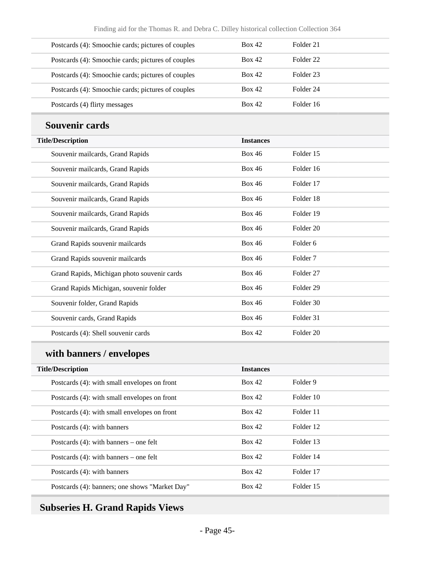| Postcards (4): Smoochie cards; pictures of couples | <b>Box 42</b> | Folder 21 |
|----------------------------------------------------|---------------|-----------|
| Postcards (4): Smoochie cards; pictures of couples | Box 42        | Folder 22 |
| Postcards (4): Smoochie cards; pictures of couples | Box 42        | Folder 23 |
| Postcards (4): Smoochie cards; pictures of couples | Box 42        | Folder 24 |
| Postcards (4) flirty messages                      | Box 42        | Folder 16 |

#### **Souvenir cards**

| <b>Title/Description</b>                    | <b>Instances</b> |                      |
|---------------------------------------------|------------------|----------------------|
| Souvenir mailcards, Grand Rapids            | <b>Box 46</b>    | Folder 15            |
| Souvenir mailcards, Grand Rapids            | <b>Box 46</b>    | Folder 16            |
| Souvenir mailcards, Grand Rapids            | <b>Box 46</b>    | Folder 17            |
| Souvenir mailcards, Grand Rapids            | <b>Box 46</b>    | Folder 18            |
| Souvenir mailcards, Grand Rapids            | <b>Box 46</b>    | Folder 19            |
| Souvenir mailcards, Grand Rapids            | <b>Box 46</b>    | Folder 20            |
| Grand Rapids souvenir mailcards             | <b>Box 46</b>    | Folder <sub>6</sub>  |
| Grand Rapids souvenir mailcards             | <b>Box 46</b>    | Folder <sub>7</sub>  |
| Grand Rapids, Michigan photo souvenir cards | <b>Box 46</b>    | Folder <sub>27</sub> |
| Grand Rapids Michigan, souvenir folder      | <b>Box 46</b>    | Folder <sub>29</sub> |
| Souvenir folder, Grand Rapids               | <b>Box 46</b>    | Folder 30            |
| Souvenir cards, Grand Rapids                | <b>Box 46</b>    | Folder 31            |
| Postcards (4): Shell souvenir cards         | <b>Box 42</b>    | Folder 20            |

# **with banners / envelopes**

| <b>Title/Description</b>                       | <b>Instances</b> |           |
|------------------------------------------------|------------------|-----------|
| Postcards (4): with small envelopes on front   | Box 42           | Folder 9  |
| Postcards (4): with small envelopes on front   | Box 42           | Folder 10 |
| Postcards (4): with small envelopes on front   | Box 42           | Folder 11 |
| Postcards (4): with banners                    | Box 42           | Folder 12 |
| Postcards $(4)$ : with banners – one felt      | Box 42           | Folder 13 |
| Postcards $(4)$ : with banners – one felt      | Box 42           | Folder 14 |
| Postcards (4): with banners                    | Box 42           | Folder 17 |
| Postcards (4): banners; one shows "Market Day" | Box 42           | Folder 15 |

## **Subseries H. Grand Rapids Views**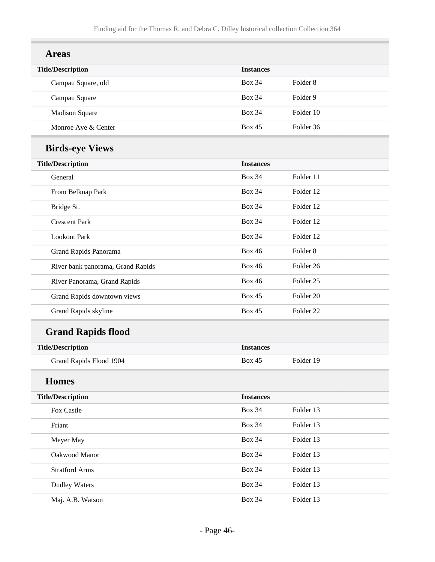| <b>Areas</b>                      |                  |                      |
|-----------------------------------|------------------|----------------------|
| <b>Title/Description</b>          | <b>Instances</b> |                      |
| Campau Square, old                | <b>Box 34</b>    | Folder <sub>8</sub>  |
| Campau Square                     | <b>Box 34</b>    | Folder 9             |
| <b>Madison Square</b>             | <b>Box 34</b>    | Folder 10            |
| Monroe Ave & Center               | <b>Box 45</b>    | Folder 36            |
| <b>Birds-eye Views</b>            |                  |                      |
| <b>Title/Description</b>          | <b>Instances</b> |                      |
| General                           | <b>Box 34</b>    | Folder 11            |
| From Belknap Park                 | <b>Box 34</b>    | Folder 12            |
| Bridge St.                        | <b>Box 34</b>    | Folder 12            |
| <b>Crescent Park</b>              | <b>Box 34</b>    | Folder 12            |
| <b>Lookout Park</b>               | <b>Box 34</b>    | Folder 12            |
| Grand Rapids Panorama             | <b>Box 46</b>    | Folder <sub>8</sub>  |
| River bank panorama, Grand Rapids | <b>Box 46</b>    | Folder 26            |
| River Panorama, Grand Rapids      | <b>Box 46</b>    | Folder <sub>25</sub> |
| Grand Rapids downtown views       | <b>Box 45</b>    | Folder 20            |
| Grand Rapids skyline              | <b>Box 45</b>    | Folder <sub>22</sub> |
| <b>Grand Rapids flood</b>         |                  |                      |
| <b>Title/Description</b>          | <b>Instances</b> |                      |
| Grand Rapids Flood 1904           | <b>Box 45</b>    | Folder 19            |
| <b>Homes</b>                      |                  |                      |
| <b>Title/Description</b>          | <b>Instances</b> |                      |
| Fox Castle                        | <b>Box 34</b>    | Folder 13            |
| Friant                            | <b>Box 34</b>    | Folder 13            |
| Meyer May                         | <b>Box 34</b>    | Folder 13            |
| Oakwood Manor                     | <b>Box 34</b>    | Folder 13            |
| <b>Stratford Arms</b>             | <b>Box 34</b>    | Folder 13            |
| <b>Dudley Waters</b>              | <b>Box 34</b>    | Folder 13            |
| Maj. A.B. Watson                  | <b>Box 34</b>    | Folder 13            |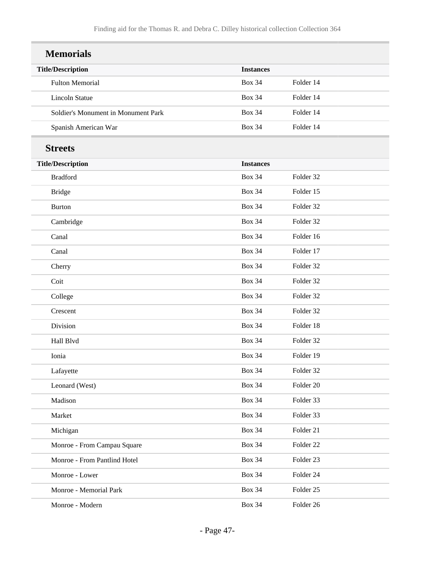| <b>Memorials</b>                    |                  |           |
|-------------------------------------|------------------|-----------|
| <b>Title/Description</b>            | <b>Instances</b> |           |
| <b>Fulton Memorial</b>              | <b>Box 34</b>    | Folder 14 |
| <b>Lincoln Statue</b>               | <b>Box 34</b>    | Folder 14 |
| Soldier's Monument in Monument Park | <b>Box 34</b>    | Folder 14 |
| Spanish American War                | <b>Box 34</b>    | Folder 14 |
| <b>Streets</b>                      |                  |           |
| <b>Title/Description</b>            | <b>Instances</b> |           |
| <b>Bradford</b>                     | <b>Box 34</b>    | Folder 32 |
| <b>Bridge</b>                       | <b>Box 34</b>    | Folder 15 |
| <b>Burton</b>                       | <b>Box 34</b>    | Folder 32 |
| Cambridge                           | <b>Box 34</b>    | Folder 32 |
| Canal                               | <b>Box 34</b>    | Folder 16 |
| Canal                               | <b>Box 34</b>    | Folder 17 |
| Cherry                              | <b>Box 34</b>    | Folder 32 |
| Coit                                | <b>Box 34</b>    | Folder 32 |
| College                             | <b>Box 34</b>    | Folder 32 |
| Crescent                            | <b>Box 34</b>    | Folder 32 |
| Division                            | <b>Box 34</b>    | Folder 18 |
| Hall Blvd                           | <b>Box 34</b>    | Folder 32 |
| Ionia                               | <b>Box 34</b>    | Folder 19 |
| Lafayette                           | <b>Box 34</b>    | Folder 32 |
| Leonard (West)                      | <b>Box 34</b>    | Folder 20 |
| Madison                             | <b>Box 34</b>    | Folder 33 |
| Market                              | <b>Box 34</b>    | Folder 33 |
| Michigan                            | <b>Box 34</b>    | Folder 21 |
| Monroe - From Campau Square         | <b>Box 34</b>    | Folder 22 |
| Monroe - From Pantlind Hotel        | <b>Box 34</b>    | Folder 23 |
| Monroe - Lower                      | <b>Box 34</b>    | Folder 24 |
| Monroe - Memorial Park              | <b>Box 34</b>    | Folder 25 |
| Monroe - Modern                     | <b>Box 34</b>    | Folder 26 |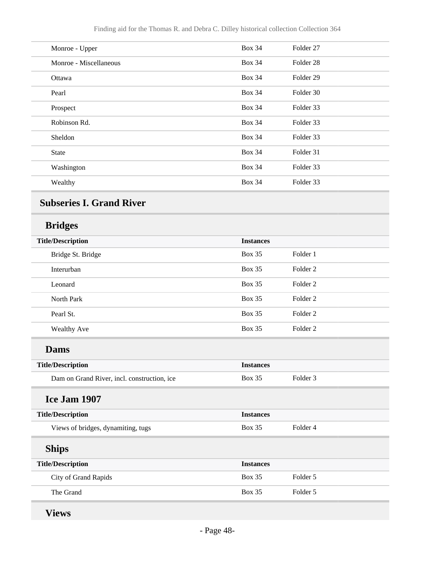| Monroe - Upper         | <b>Box 34</b> | Folder 27            |
|------------------------|---------------|----------------------|
| Monroe - Miscellaneous | <b>Box 34</b> | Folder <sub>28</sub> |
| Ottawa                 | <b>Box 34</b> | Folder <sub>29</sub> |
| Pearl                  | <b>Box 34</b> | Folder 30            |
| Prospect               | <b>Box 34</b> | Folder 33            |
| Robinson Rd.           | <b>Box 34</b> | Folder 33            |
| Sheldon                | <b>Box 34</b> | Folder 33            |
| <b>State</b>           | <b>Box 34</b> | Folder 31            |
| Washington             | <b>Box 34</b> | Folder 33            |
| Wealthy                | <b>Box 34</b> | Folder 33            |
|                        |               |                      |

## **Subseries I. Grand River**

## **Bridges**

| <b>Title/Description</b>                    | <b>Instances</b> |                     |  |
|---------------------------------------------|------------------|---------------------|--|
| Bridge St. Bridge                           | <b>Box 35</b>    | Folder 1            |  |
| Interurban                                  | <b>Box 35</b>    | Folder <sub>2</sub> |  |
| Leonard                                     | <b>Box 35</b>    | Folder <sub>2</sub> |  |
| North Park                                  | <b>Box 35</b>    | Folder <sub>2</sub> |  |
| Pearl St.                                   | <b>Box 35</b>    | Folder <sub>2</sub> |  |
| Wealthy Ave                                 | <b>Box 35</b>    | Folder <sub>2</sub> |  |
| <b>Dams</b>                                 |                  |                     |  |
| <b>Title/Description</b>                    | <b>Instances</b> |                     |  |
| Dam on Grand River, incl. construction, ice | <b>Box 35</b>    | Folder <sub>3</sub> |  |
| Ice Jam 1907                                |                  |                     |  |
| <b>Title/Description</b>                    | <b>Instances</b> |                     |  |
| Views of bridges, dynamiting, tugs          | <b>Box 35</b>    | Folder 4            |  |
| <b>Ships</b>                                |                  |                     |  |
| <b>Title/Description</b>                    | <b>Instances</b> |                     |  |
| City of Grand Rapids                        | <b>Box 35</b>    | Folder 5            |  |
| The Grand                                   | <b>Box 35</b>    | Folder 5            |  |
|                                             |                  |                     |  |

**Views**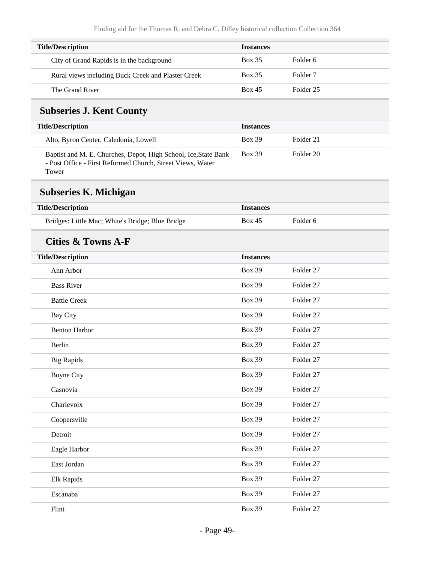| <b>Title/Description</b>                           | <b>Instances</b> |                     |
|----------------------------------------------------|------------------|---------------------|
| City of Grand Rapids is in the background          | <b>Box 35</b>    | Folder 6            |
| Rural views including Buck Creek and Plaster Creek | <b>Box 35</b>    | Folder <sub>7</sub> |
| The Grand River                                    | <b>Box 45</b>    | Folder 25           |

### **Subseries J. Kent County**

| <b>Title/Description</b>                                                                                                      | <b>Instances</b> |           |
|-------------------------------------------------------------------------------------------------------------------------------|------------------|-----------|
| Alto, Byron Center, Caledonia, Lowell                                                                                         | <b>Box 39</b>    | Folder 21 |
| Baptist and M. E. Churches, Depot, High School, Ice, State Bank<br>- Post Office - First Reformed Church, Street Views, Water | <b>Box 39</b>    | Folder 20 |

Tower

# **Subseries K. Michigan**

| <b>Title/Description</b>                         | <i><u><b>Instances</b></u></i> |          |
|--------------------------------------------------|--------------------------------|----------|
| Bridges: Little Mac; White's Bridge; Blue Bridge | <b>Box 45</b>                  | Folder 6 |

#### **Cities & Towns A-F**

| <b>Title/Description</b> | <b>Instances</b> |           |
|--------------------------|------------------|-----------|
| Ann Arbor                | <b>Box 39</b>    | Folder 27 |
| <b>Bass River</b>        | <b>Box 39</b>    | Folder 27 |
| <b>Battle Creek</b>      | <b>Box 39</b>    | Folder 27 |
| <b>Bay City</b>          | <b>Box 39</b>    | Folder 27 |
| <b>Benton Harbor</b>     | <b>Box 39</b>    | Folder 27 |
| Berlin                   | <b>Box 39</b>    | Folder 27 |
| <b>Big Rapids</b>        | <b>Box 39</b>    | Folder 27 |
| <b>Boyne City</b>        | <b>Box 39</b>    | Folder 27 |
| Casnovia                 | <b>Box 39</b>    | Folder 27 |
| Charlevoix               | <b>Box 39</b>    | Folder 27 |
| Coopersville             | <b>Box 39</b>    | Folder 27 |
| Detroit                  | <b>Box 39</b>    | Folder 27 |
| Eagle Harbor             | <b>Box 39</b>    | Folder 27 |
| East Jordan              | <b>Box 39</b>    | Folder 27 |
| Elk Rapids               | <b>Box 39</b>    | Folder 27 |
| Escanaba                 | <b>Box 39</b>    | Folder 27 |
| Flint                    | <b>Box 39</b>    | Folder 27 |
|                          |                  |           |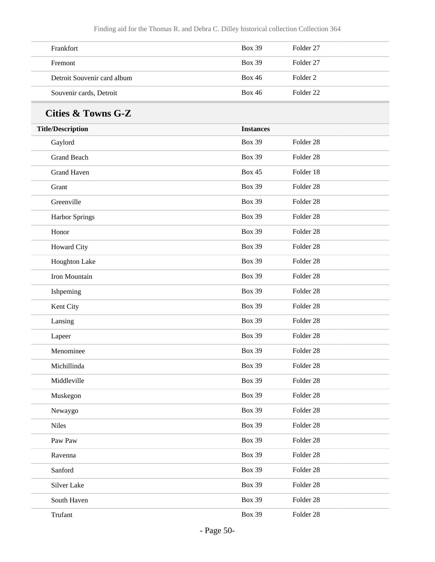| Frankfort                   | <b>Box 39</b> | Folder 27 |
|-----------------------------|---------------|-----------|
| Fremont                     | <b>Box 39</b> | Folder 27 |
| Detroit Souvenir card album | Box 46        | Folder 2  |
| Souvenir cards, Detroit     | <b>Box 46</b> | Folder 22 |

### **Cities & Towns G-Z**

| <b>Title/Description</b> | <b>Instances</b> |                      |  |
|--------------------------|------------------|----------------------|--|
| Gaylord                  | <b>Box 39</b>    | Folder 28            |  |
| <b>Grand Beach</b>       | <b>Box 39</b>    | Folder 28            |  |
| <b>Grand Haven</b>       | <b>Box 45</b>    | Folder 18            |  |
| Grant                    | <b>Box 39</b>    | Folder 28            |  |
| Greenville               | <b>Box 39</b>    | Folder 28            |  |
| Harbor Springs           | <b>Box 39</b>    | Folder 28            |  |
| Honor                    | <b>Box 39</b>    | Folder 28            |  |
| Howard City              | <b>Box 39</b>    | Folder 28            |  |
| Houghton Lake            | <b>Box 39</b>    | Folder 28            |  |
| Iron Mountain            | <b>Box 39</b>    | Folder 28            |  |
| Ishpeming                | <b>Box 39</b>    | Folder 28            |  |
| Kent City                | <b>Box 39</b>    | Folder <sub>28</sub> |  |
| Lansing                  | <b>Box 39</b>    | Folder 28            |  |
| Lapeer                   | <b>Box 39</b>    | Folder 28            |  |
| Menominee                | <b>Box 39</b>    | Folder 28            |  |
| Michillinda              | <b>Box 39</b>    | Folder <sub>28</sub> |  |
| Middleville              | <b>Box 39</b>    | Folder 28            |  |
| Muskegon                 | <b>Box 39</b>    | Folder 28            |  |
| Newaygo                  | <b>Box 39</b>    | Folder 28            |  |
| <b>Niles</b>             | <b>Box 39</b>    | Folder 28            |  |
| Paw Paw                  | <b>Box 39</b>    | Folder 28            |  |
| Ravenna                  | <b>Box 39</b>    | Folder 28            |  |
| Sanford                  | <b>Box 39</b>    | Folder 28            |  |
| Silver Lake              | <b>Box 39</b>    | Folder 28            |  |
| South Haven              | <b>Box 39</b>    | Folder 28            |  |
| Trufant                  | <b>Box 39</b>    | Folder 28            |  |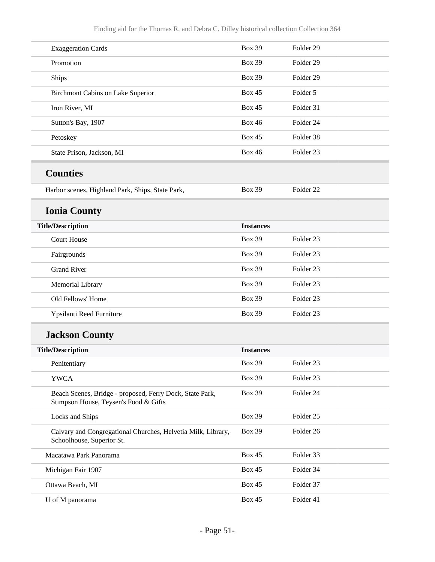| <b>Exaggeration Cards</b>                                                                         | <b>Box 39</b>    | Folder <sub>29</sub> |
|---------------------------------------------------------------------------------------------------|------------------|----------------------|
| Promotion                                                                                         | <b>Box 39</b>    | Folder <sub>29</sub> |
| Ships                                                                                             | <b>Box 39</b>    | Folder 29            |
| Birchmont Cabins on Lake Superior                                                                 | <b>Box 45</b>    | Folder 5             |
| Iron River, MI                                                                                    | <b>Box 45</b>    | Folder 31            |
| Sutton's Bay, 1907                                                                                | <b>Box 46</b>    | Folder 24            |
| Petoskey                                                                                          | <b>Box 45</b>    | Folder 38            |
| State Prison, Jackson, MI                                                                         | <b>Box 46</b>    | Folder <sub>23</sub> |
| <b>Counties</b>                                                                                   |                  |                      |
| Harbor scenes, Highland Park, Ships, State Park,                                                  | <b>Box 39</b>    | Folder <sub>22</sub> |
| <b>Ionia County</b>                                                                               |                  |                      |
| <b>Title/Description</b>                                                                          | <b>Instances</b> |                      |
| <b>Court House</b>                                                                                | <b>Box 39</b>    | Folder <sub>23</sub> |
| Fairgrounds                                                                                       | <b>Box 39</b>    | Folder <sub>23</sub> |
| <b>Grand River</b>                                                                                | <b>Box 39</b>    | Folder <sub>23</sub> |
| Memorial Library                                                                                  | <b>Box 39</b>    | Folder <sub>23</sub> |
| Old Fellows' Home                                                                                 | <b>Box 39</b>    | Folder <sub>23</sub> |
| Ypsilanti Reed Furniture                                                                          | <b>Box 39</b>    | Folder <sub>23</sub> |
| <b>Jackson County</b>                                                                             |                  |                      |
| <b>Title/Description</b>                                                                          | <b>Instances</b> |                      |
| Penitentiary                                                                                      | <b>Box 39</b>    | Folder 23            |
| <b>YWCA</b>                                                                                       | <b>Box 39</b>    | Folder 23            |
| Beach Scenes, Bridge - proposed, Ferry Dock, State Park,<br>Stimpson House, Teysen's Food & Gifts | <b>Box 39</b>    | Folder 24            |
| Locks and Ships                                                                                   | <b>Box 39</b>    | Folder 25            |
| Calvary and Congregational Churches, Helvetia Milk, Library,<br>Schoolhouse, Superior St.         | <b>Box 39</b>    | Folder 26            |
| Macatawa Park Panorama                                                                            | <b>Box 45</b>    | Folder 33            |
| Michigan Fair 1907                                                                                | <b>Box 45</b>    | Folder 34            |
| Ottawa Beach, MI                                                                                  | <b>Box 45</b>    | Folder 37            |
| U of M panorama                                                                                   | <b>Box 45</b>    | Folder 41            |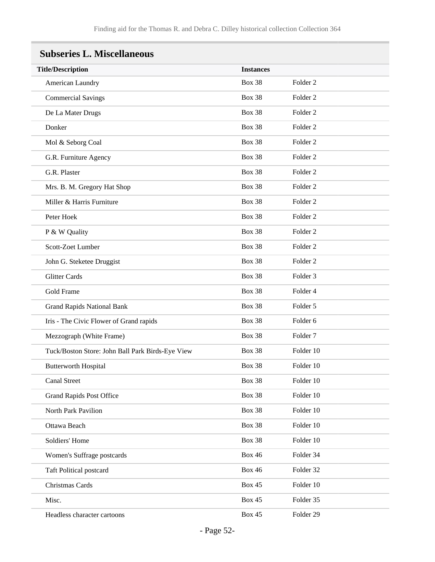| <b>Title/Description</b>                         | <b>Instances</b> |                     |
|--------------------------------------------------|------------------|---------------------|
| American Laundry                                 | <b>Box 38</b>    | Folder <sub>2</sub> |
| <b>Commercial Savings</b>                        | <b>Box 38</b>    | Folder <sub>2</sub> |
| De La Mater Drugs                                | <b>Box 38</b>    | Folder <sub>2</sub> |
| Donker                                           | <b>Box 38</b>    | Folder <sub>2</sub> |
| Mol & Seborg Coal                                | <b>Box 38</b>    | Folder <sub>2</sub> |
| G.R. Furniture Agency                            | <b>Box 38</b>    | Folder <sub>2</sub> |
| G.R. Plaster                                     | <b>Box 38</b>    | Folder <sub>2</sub> |
| Mrs. B. M. Gregory Hat Shop                      | <b>Box 38</b>    | Folder <sub>2</sub> |
| Miller & Harris Furniture                        | <b>Box 38</b>    | Folder <sub>2</sub> |
| Peter Hoek                                       | <b>Box 38</b>    | Folder <sub>2</sub> |
| P & W Quality                                    | <b>Box 38</b>    | Folder <sub>2</sub> |
| Scott-Zoet Lumber                                | <b>Box 38</b>    | Folder <sub>2</sub> |
| John G. Steketee Druggist                        | <b>Box 38</b>    | Folder <sub>2</sub> |
| <b>Glitter Cards</b>                             | <b>Box 38</b>    | Folder <sub>3</sub> |
| <b>Gold Frame</b>                                | <b>Box 38</b>    | Folder 4            |
| <b>Grand Rapids National Bank</b>                | <b>Box 38</b>    | Folder 5            |
| Iris - The Civic Flower of Grand rapids          | <b>Box 38</b>    | Folder 6            |
| Mezzograph (White Frame)                         | <b>Box 38</b>    | Folder <sub>7</sub> |
| Tuck/Boston Store: John Ball Park Birds-Eye View | <b>Box 38</b>    | Folder 10           |
| <b>Butterworth Hospital</b>                      | <b>Box 38</b>    | Folder 10           |
| <b>Canal Street</b>                              | <b>Box 38</b>    | Folder 10           |
| <b>Grand Rapids Post Office</b>                  | <b>Box 38</b>    | Folder 10           |
| North Park Pavilion                              | <b>Box 38</b>    | Folder 10           |
| Ottawa Beach                                     | <b>Box 38</b>    | Folder 10           |
| Soldiers' Home                                   | <b>Box 38</b>    | Folder 10           |
| Women's Suffrage postcards                       | <b>Box 46</b>    | Folder 34           |
| <b>Taft Political postcard</b>                   | <b>Box 46</b>    | Folder 32           |
| Christmas Cards                                  | <b>Box 45</b>    | Folder 10           |
| Misc.                                            | <b>Box 45</b>    | Folder 35           |
| Headless character cartoons                      | <b>Box 45</b>    | Folder 29           |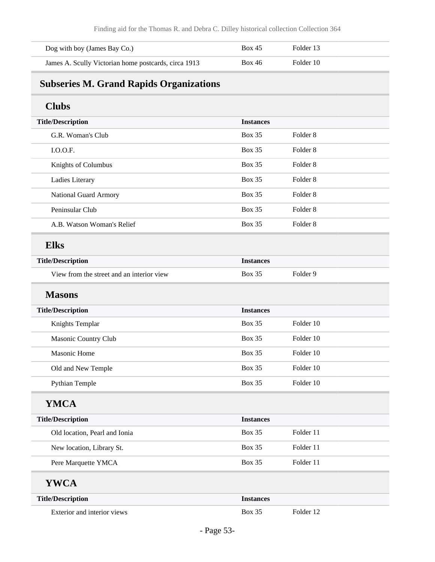| Dog with boy (James Bay Co.)                         | <b>Box 45</b> | Folder 13 |
|------------------------------------------------------|---------------|-----------|
| James A. Scully Victorian home postcards, circa 1913 | <b>Box 46</b> | Folder 10 |

## **Subseries M. Grand Rapids Organizations**

### **Clubs**

| <b>Title/Description</b>                  | <b>Instances</b> |                     |
|-------------------------------------------|------------------|---------------------|
| G.R. Woman's Club                         | <b>Box 35</b>    | Folder 8            |
| LO.O.F.                                   | <b>Box 35</b>    | Folder 8            |
| Knights of Columbus                       | <b>Box 35</b>    | Folder <sub>8</sub> |
| Ladies Literary                           | <b>Box 35</b>    | Folder <sub>8</sub> |
| National Guard Armory                     | <b>Box 35</b>    | Folder 8            |
| Peninsular Club                           | <b>Box 35</b>    | Folder 8            |
| A.B. Watson Woman's Relief                | <b>Box 35</b>    | Folder <sub>8</sub> |
| <b>Elks</b>                               |                  |                     |
| <b>Title/Description</b>                  | <b>Instances</b> |                     |
| View from the street and an interior view | <b>Box 35</b>    | Folder 9            |

#### **Masons**

| <b>Title/Description</b> | <b>Instances</b> |           |
|--------------------------|------------------|-----------|
| Knights Templar          | <b>Box 35</b>    | Folder 10 |
| Masonic Country Club     | <b>Box 35</b>    | Folder 10 |
| Masonic Home             | <b>Box 35</b>    | Folder 10 |
| Old and New Temple       | <b>Box 35</b>    | Folder 10 |
| Pythian Temple           | <b>Box 35</b>    | Folder 10 |

#### **YMCA**

| <b>Title/Description</b>      | <b>Instances</b> |           |
|-------------------------------|------------------|-----------|
| Old location, Pearl and Ionia | <b>Box 35</b>    | Folder 11 |
| New location, Library St.     | <b>Box 35</b>    | Folder 11 |
| Pere Marquette YMCA           | <b>Box 35</b>    | Folder 11 |

#### **YWCA**

| <b>Title/Description</b>    | Instances |           |
|-----------------------------|-----------|-----------|
| Exterior and interior views | Box 35    | Folder 12 |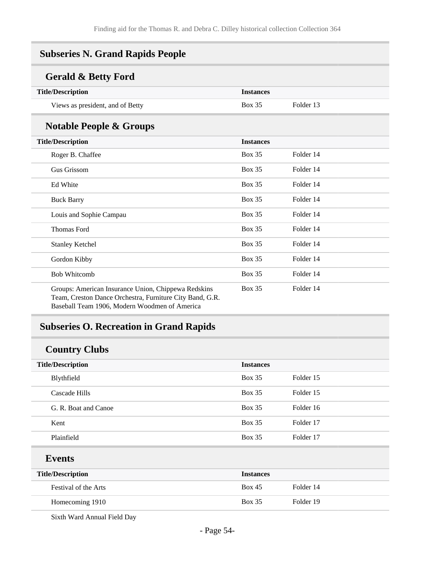#### **Subseries N. Grand Rapids People**

#### **Gerald & Betty Ford**

| <b>Title/Description</b>         | <i>Instances</i> |           |
|----------------------------------|------------------|-----------|
| Views as president, and of Betty | <b>Box 35</b>    | Folder 13 |

#### **Notable People & Groups**

| <b>Title/Description</b>                                                                                                                                         | <b>Instances</b> |           |
|------------------------------------------------------------------------------------------------------------------------------------------------------------------|------------------|-----------|
| Roger B. Chaffee                                                                                                                                                 | <b>Box 35</b>    | Folder 14 |
| Gus Grissom                                                                                                                                                      | <b>Box 35</b>    | Folder 14 |
| Ed White                                                                                                                                                         | <b>Box 35</b>    | Folder 14 |
| <b>Buck Barry</b>                                                                                                                                                | <b>Box 35</b>    | Folder 14 |
| Louis and Sophie Campau                                                                                                                                          | <b>Box 35</b>    | Folder 14 |
| <b>Thomas Ford</b>                                                                                                                                               | <b>Box 35</b>    | Folder 14 |
| <b>Stanley Ketchel</b>                                                                                                                                           | <b>Box 35</b>    | Folder 14 |
| Gordon Kibby                                                                                                                                                     | <b>Box 35</b>    | Folder 14 |
| <b>Bob Whitcomb</b>                                                                                                                                              | <b>Box 35</b>    | Folder 14 |
| Groups: American Insurance Union, Chippewa Redskins<br>Team, Creston Dance Orchestra, Furniture City Band, G.R.<br>Baseball Team 1906, Modern Woodmen of America | <b>Box 35</b>    | Folder 14 |

### **Subseries O. Recreation in Grand Rapids**

### **Country Clubs**

| <b>Title/Description</b> | <b>Instances</b>           |  |
|--------------------------|----------------------------|--|
| Blythfield               | Box 35<br>Folder 15        |  |
| Cascade Hills            | Box 35<br>Folder 15        |  |
| G. R. Boat and Canoe     | <b>Box 35</b><br>Folder 16 |  |
| Kent                     | Box 35<br>Folder 17        |  |
| Plainfield               | Folder 17<br><b>Box 35</b> |  |
| <b>Events</b>            |                            |  |

| <b>Title/Description</b> | <b>Instances</b> |           |
|--------------------------|------------------|-----------|
| Festival of the Arts     | <b>Box 45</b>    | Folder 14 |
| Homecoming 1910          | <b>Box 35</b>    | Folder 19 |

Sixth Ward Annual Field Day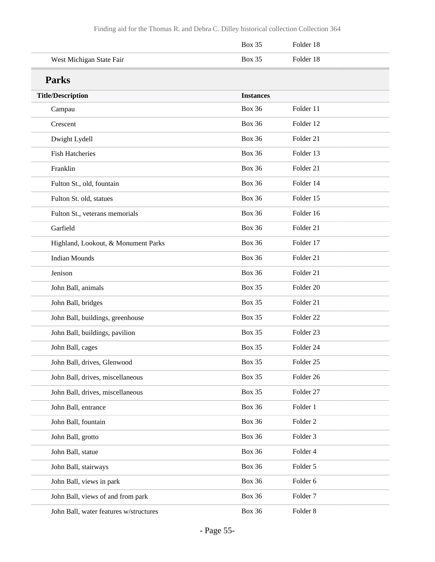|                                        | <b>Box 35</b>    | Folder 18            |
|----------------------------------------|------------------|----------------------|
| West Michigan State Fair               | <b>Box 35</b>    | Folder 18            |
| <b>Parks</b>                           |                  |                      |
| <b>Title/Description</b>               | <b>Instances</b> |                      |
| Campau                                 | <b>Box 36</b>    | Folder 11            |
| Crescent                               | <b>Box 36</b>    | Folder 12            |
| Dwight Lydell                          | <b>Box 36</b>    | Folder 21            |
| <b>Fish Hatcheries</b>                 | <b>Box 36</b>    | Folder 13            |
| Franklin                               | <b>Box 36</b>    | Folder 21            |
| Fulton St., old, fountain              | <b>Box 36</b>    | Folder 14            |
| Fulton St. old, statues                | <b>Box 36</b>    | Folder 15            |
| Fulton St., veterans memorials         | <b>Box 36</b>    | Folder 16            |
| Garfield                               | <b>Box 36</b>    | Folder 21            |
| Highland, Lookout, & Monument Parks    | <b>Box 36</b>    | Folder 17            |
| <b>Indian Mounds</b>                   | <b>Box 36</b>    | Folder 21            |
| Jenison                                | <b>Box 36</b>    | Folder 21            |
| John Ball, animals                     | <b>Box 35</b>    | Folder 20            |
| John Ball, bridges                     | <b>Box 35</b>    | Folder 21            |
| John Ball, buildings, greenhouse       | <b>Box 35</b>    | Folder <sub>22</sub> |
| John Ball, buildings, pavilion         | <b>Box 35</b>    | Folder <sub>23</sub> |
| John Ball, cages                       | <b>Box 35</b>    | Folder 24            |
| John Ball, drives, Glenwood            | <b>Box 35</b>    | Folder 25            |
| John Ball, drives, miscellaneous       | <b>Box 35</b>    | Folder 26            |
| John Ball, drives, miscellaneous       | Box 35           | Folder 27            |
| John Ball, entrance                    | <b>Box 36</b>    | Folder 1             |
| John Ball, fountain                    | <b>Box 36</b>    | Folder <sub>2</sub>  |
| John Ball, grotto                      | <b>Box 36</b>    | Folder 3             |
| John Ball, statue                      | <b>Box 36</b>    | Folder 4             |
| John Ball, stairways                   | <b>Box 36</b>    | Folder 5             |
| John Ball, views in park               | <b>Box 36</b>    | Folder 6             |
| John Ball, views of and from park      | <b>Box 36</b>    | Folder <sub>7</sub>  |
| John Ball, water features w/structures | <b>Box 36</b>    | Folder <sub>8</sub>  |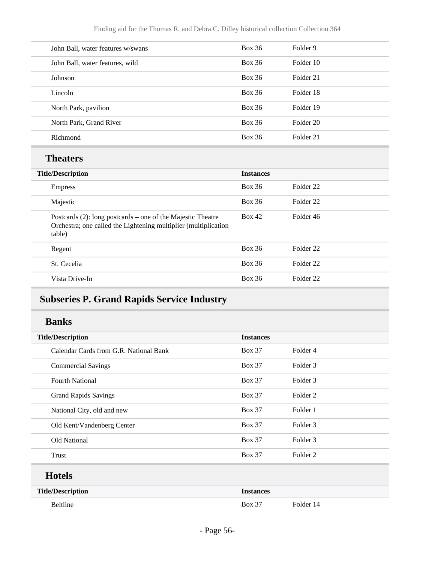| John Ball, water features w/swans                                                                                                        | <b>Box 36</b>    | Folder 9             |  |
|------------------------------------------------------------------------------------------------------------------------------------------|------------------|----------------------|--|
| John Ball, water features, wild                                                                                                          | <b>Box 36</b>    | Folder 10            |  |
| Johnson                                                                                                                                  | <b>Box 36</b>    | Folder 21            |  |
| Lincoln                                                                                                                                  | <b>Box 36</b>    | Folder 18            |  |
| North Park, pavilion                                                                                                                     | <b>Box 36</b>    | Folder 19            |  |
| North Park, Grand River                                                                                                                  | <b>Box 36</b>    | Folder 20            |  |
| Richmond                                                                                                                                 | <b>Box 36</b>    | Folder 21            |  |
| <b>Theaters</b>                                                                                                                          |                  |                      |  |
| <b>Title/Description</b>                                                                                                                 | <b>Instances</b> |                      |  |
| <b>Empress</b>                                                                                                                           | <b>Box 36</b>    | Folder <sub>22</sub> |  |
| Majestic                                                                                                                                 | <b>Box 36</b>    | Folder <sub>22</sub> |  |
| Postcards (2): long postcards – one of the Majestic Theatre<br>Orchestra; one called the Lightening multiplier (multiplication<br>table) | <b>Box 42</b>    | Folder 46            |  |
| Regent                                                                                                                                   | <b>Box 36</b>    | Folder <sub>22</sub> |  |
| St. Cecelia                                                                                                                              | <b>Box 36</b>    | Folder <sub>22</sub> |  |
| Vista Drive-In                                                                                                                           | <b>Box 36</b>    | Folder <sub>22</sub> |  |

### **Subseries P. Grand Rapids Service Industry**

#### **Banks**

| <b>Title/Description</b>               | <b>Instances</b> |                     |
|----------------------------------------|------------------|---------------------|
| Calendar Cards from G.R. National Bank | <b>Box 37</b>    | Folder 4            |
| <b>Commercial Savings</b>              | <b>Box 37</b>    | Folder 3            |
| <b>Fourth National</b>                 | <b>Box 37</b>    | Folder 3            |
| <b>Grand Rapids Savings</b>            | <b>Box 37</b>    | Folder 2            |
| National City, old and new             | <b>Box 37</b>    | Folder 1            |
| Old Kent/Vandenberg Center             | <b>Box 37</b>    | Folder 3            |
| Old National                           | <b>Box 37</b>    | Folder 3            |
| Trust                                  | <b>Box 37</b>    | Folder <sub>2</sub> |
| <b>Hotels</b>                          |                  |                     |
| <b>Title/Description</b>               | <b>Instances</b> |                     |

Beltline Box 37 Folder 14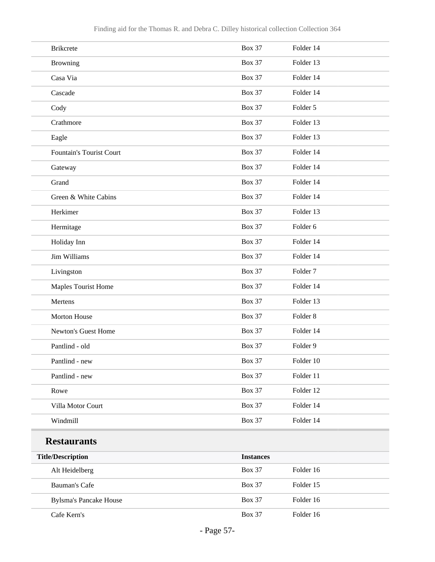| <b>Brikcrete</b>              | <b>Box 37</b>    | Folder 14           |
|-------------------------------|------------------|---------------------|
| Browning                      | <b>Box 37</b>    | Folder 13           |
| Casa Via                      | <b>Box 37</b>    | Folder 14           |
| Cascade                       | <b>Box 37</b>    | Folder 14           |
| Cody                          | <b>Box 37</b>    | Folder 5            |
| Crathmore                     | <b>Box 37</b>    | Folder 13           |
| Eagle                         | <b>Box 37</b>    | Folder 13           |
| Fountain's Tourist Court      | <b>Box 37</b>    | Folder 14           |
| Gateway                       | <b>Box 37</b>    | Folder 14           |
| Grand                         | <b>Box 37</b>    | Folder 14           |
| Green & White Cabins          | <b>Box 37</b>    | Folder 14           |
| Herkimer                      | <b>Box 37</b>    | Folder 13           |
| Hermitage                     | <b>Box 37</b>    | Folder 6            |
| Holiday Inn                   | <b>Box 37</b>    | Folder 14           |
| Jim Williams                  | <b>Box 37</b>    | Folder 14           |
| Livingston                    | <b>Box 37</b>    | Folder <sub>7</sub> |
| Maples Tourist Home           | <b>Box 37</b>    | Folder 14           |
| Mertens                       | <b>Box 37</b>    | Folder 13           |
| <b>Morton House</b>           | <b>Box 37</b>    | Folder <sub>8</sub> |
| Newton's Guest Home           | <b>Box 37</b>    | Folder 14           |
| Pantlind - old                | <b>Box 37</b>    | Folder 9            |
| Pantlind - new                | <b>Box 37</b>    | Folder 10           |
| Pantlind - new                | <b>Box 37</b>    | Folder 11           |
| Rowe                          | <b>Box 37</b>    | Folder 12           |
| Villa Motor Court             | <b>Box 37</b>    | Folder 14           |
| Windmill                      | <b>Box 37</b>    | Folder 14           |
| <b>Restaurants</b>            |                  |                     |
| <b>Title/Description</b>      | <b>Instances</b> |                     |
| Alt Heidelberg                | <b>Box 37</b>    | Folder 16           |
| Bauman's Cafe                 | <b>Box 37</b>    | Folder 15           |
| <b>Bylsma's Pancake House</b> | <b>Box 37</b>    | Folder 16           |
| Cafe Kern's                   | <b>Box 37</b>    | Folder 16           |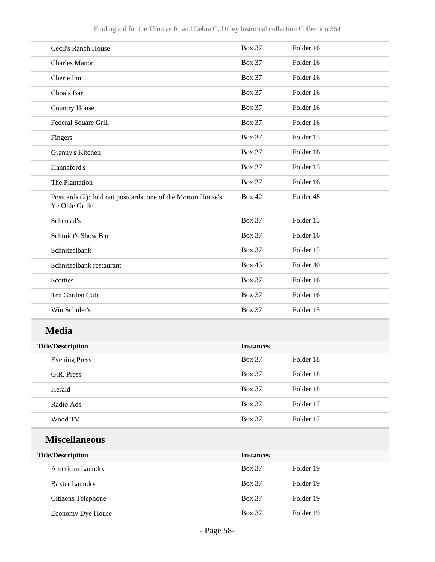| Cecil's Ranch House                                                            | <b>Box 37</b>    | Folder 16 |
|--------------------------------------------------------------------------------|------------------|-----------|
| <b>Charles Manor</b>                                                           | <b>Box 37</b>    | Folder 16 |
| Cherie Inn                                                                     | <b>Box 37</b>    | Folder 16 |
| Choals Bar                                                                     | <b>Box 37</b>    | Folder 16 |
| <b>Country House</b>                                                           | <b>Box 37</b>    | Folder 16 |
| Federal Square Grill                                                           | <b>Box 37</b>    | Folder 16 |
| Fingers                                                                        | <b>Box 37</b>    | Folder 15 |
| Granny's Kitchen                                                               | <b>Box 37</b>    | Folder 16 |
| Hannaford's                                                                    | <b>Box 37</b>    | Folder 15 |
| The Plantation                                                                 | <b>Box 37</b>    | Folder 16 |
| Postcards (2): fold out postcards, one of the Morton House's<br>Ye Olde Grille | <b>Box 42</b>    | Folder 48 |
| Schensul's                                                                     | <b>Box 37</b>    | Folder 15 |
| <b>Schmidt's Show Bar</b>                                                      | <b>Box 37</b>    | Folder 16 |
| Schnitzelbank                                                                  | <b>Box 37</b>    | Folder 15 |
| Schnitzelbank restaurant                                                       | <b>Box 45</b>    | Folder 40 |
| Scotties                                                                       | <b>Box 37</b>    | Folder 16 |
| Tea Garden Cafe                                                                | <b>Box 37</b>    | Folder 16 |
| Win Schuler's                                                                  | <b>Box 37</b>    | Folder 15 |
| <b>Media</b>                                                                   |                  |           |
| <b>Title/Description</b>                                                       | <b>Instances</b> |           |
| <b>Evening Press</b>                                                           | <b>Box 37</b>    | Folder 18 |
| G.R. Press                                                                     | <b>Box 37</b>    | Folder 18 |
| Herald                                                                         | <b>Box 37</b>    | Folder 18 |
| Radio Ads                                                                      | <b>Box 37</b>    | Folder 17 |
| Wood TV                                                                        | <b>Box 37</b>    | Folder 17 |
| <b>Miscellaneous</b>                                                           |                  |           |
| <b>Title/Description</b>                                                       | <b>Instances</b> |           |
| American Laundry                                                               | <b>Box 37</b>    | Folder 19 |
| <b>Baxter Laundry</b>                                                          | <b>Box 37</b>    | Folder 19 |
| <b>Citizens Telephone</b>                                                      | <b>Box 37</b>    | Folder 19 |

Economy Dye House Box 37 Folder 19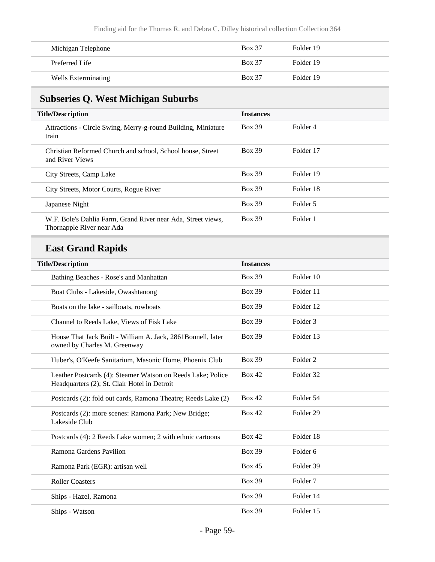| Michigan Telephone  | <b>Box 37</b> | Folder 19 |
|---------------------|---------------|-----------|
| Preferred Life      | <b>Box 37</b> | Folder 19 |
| Wells Exterminating | <b>Box 37</b> | Folder 19 |

## **Subseries Q. West Michigan Suburbs**

| <b>Title/Description</b>                                                                  | <b>Instances</b> |           |
|-------------------------------------------------------------------------------------------|------------------|-----------|
| Attractions - Circle Swing, Merry-g-round Building, Miniature<br>train                    | <b>Box 39</b>    | Folder 4  |
| Christian Reformed Church and school, School house, Street<br>and River Views             | <b>Box 39</b>    | Folder 17 |
| City Streets, Camp Lake                                                                   | <b>Box 39</b>    | Folder 19 |
| City Streets, Motor Courts, Rogue River                                                   | <b>Box 39</b>    | Folder 18 |
| Japanese Night                                                                            | <b>Box 39</b>    | Folder 5  |
| W.F. Bole's Dahlia Farm, Grand River near Ada, Street views,<br>Thornapple River near Ada | <b>Box 39</b>    | Folder 1  |

## **East Grand Rapids**

| <b>Title/Description</b>                                                                                    | <b>Instances</b> |                      |
|-------------------------------------------------------------------------------------------------------------|------------------|----------------------|
| Bathing Beaches - Rose's and Manhattan                                                                      | <b>Box 39</b>    | Folder 10            |
| Boat Clubs - Lakeside, Owashtanong                                                                          | <b>Box 39</b>    | Folder 11            |
| Boats on the lake - sailboats, rowboats                                                                     | <b>Box 39</b>    | Folder 12            |
| Channel to Reeds Lake, Views of Fisk Lake                                                                   | <b>Box 39</b>    | Folder 3             |
| House That Jack Built - William A. Jack, 2861Bonnell, later<br>owned by Charles M. Greenway                 | <b>Box 39</b>    | Folder 13            |
| Huber's, O'Keefe Sanitarium, Masonic Home, Phoenix Club                                                     | <b>Box 39</b>    | Folder <sub>2</sub>  |
| Leather Postcards (4): Steamer Watson on Reeds Lake; Police<br>Headquarters (2); St. Clair Hotel in Detroit | <b>Box 42</b>    | Folder 32            |
| Postcards (2): fold out cards, Ramona Theatre; Reeds Lake (2)                                               | <b>Box 42</b>    | Folder 54            |
| Postcards (2): more scenes: Ramona Park; New Bridge;<br>Lakeside Club                                       | Box 42           | Folder <sub>29</sub> |
| Postcards (4): 2 Reeds Lake women; 2 with ethnic cartoons                                                   | <b>Box 42</b>    | Folder 18            |
| Ramona Gardens Pavilion                                                                                     | <b>Box 39</b>    | Folder <sub>6</sub>  |
| Ramona Park (EGR): artisan well                                                                             | Box 45           | Folder 39            |
| <b>Roller Coasters</b>                                                                                      | <b>Box 39</b>    | Folder <sub>7</sub>  |
| Ships - Hazel, Ramona                                                                                       | <b>Box 39</b>    | Folder 14            |
| Ships - Watson                                                                                              | <b>Box 39</b>    | Folder 15            |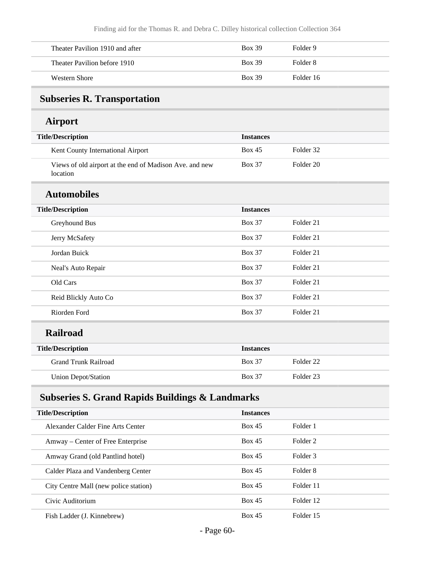| Theater Pavilion 1910 and after | <b>Box 39</b> | Folder 9  |
|---------------------------------|---------------|-----------|
| Theater Pavilion before 1910    | <b>Box 39</b> | Folder 8  |
| Western Shore                   | <b>Box 39</b> | Folder 16 |

# **Subseries R. Transportation**

#### **Airport**

| <b>Title/Description</b>                                            | <b>Instances</b> |                      |  |
|---------------------------------------------------------------------|------------------|----------------------|--|
| Kent County International Airport                                   | Box 45           | Folder 32            |  |
| Views of old airport at the end of Madison Ave. and new<br>location | <b>Box 37</b>    | Folder <sub>20</sub> |  |
| <b>Automobiles</b>                                                  |                  |                      |  |
| <b>Title/Description</b>                                            | <b>Instances</b> |                      |  |
| Greyhound Bus                                                       | <b>Box 37</b>    | Folder 21            |  |
| Jerry McSafety                                                      | <b>Box 37</b>    | Folder 21            |  |
| Jordan Buick                                                        | <b>Box 37</b>    | Folder <sub>21</sub> |  |
| Neal's Auto Repair                                                  | <b>Box 37</b>    | Folder 21            |  |
| Old Cars                                                            | <b>Box 37</b>    | Folder 21            |  |
| Reid Blickly Auto Co                                                | <b>Box 37</b>    | Folder 21            |  |
| Riorden Ford                                                        | <b>Box 37</b>    | Folder 21            |  |
| <b>Railroad</b>                                                     |                  |                      |  |
| <b>Title/Description</b>                                            | <b>Instances</b> |                      |  |
| <b>Grand Trunk Railroad</b>                                         | <b>Box 37</b>    | Folder <sub>22</sub> |  |
| <b>Union Depot/Station</b>                                          | <b>Box 37</b>    | Folder <sub>23</sub> |  |
| <b>Subseries S. Grand Rapids Buildings &amp; Landmarks</b>          |                  |                      |  |
| <b>Title/Description</b>                                            | <b>Instances</b> |                      |  |
| Alexander Calder Fine Arts Center                                   | <b>Box 45</b>    | Folder 1             |  |
| Amway – Center of Free Enterprise                                   | <b>Box 45</b>    | Folder <sub>2</sub>  |  |

Amway Grand (old Pantlind hotel) Box 45 Folder 3

Calder Plaza and Vandenberg Center **Box 45** Folder 8

City Centre Mall (new police station) Box 45 Folder 11

Civic Auditorium Box 45 Folder 12

Fish Ladder (J. Kinnebrew) Box 45 Folder 15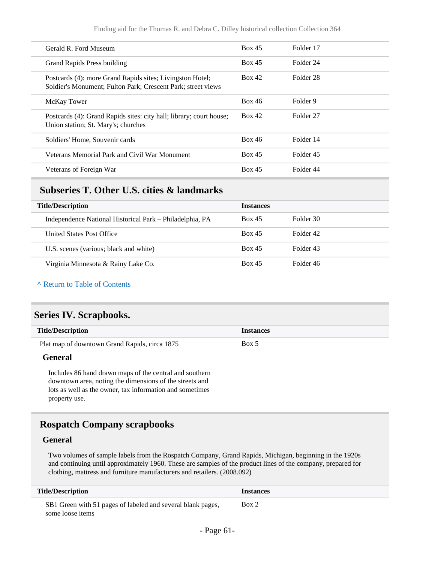| Gerald R. Ford Museum                                                                                                     | Box 45        | Folder 17 |
|---------------------------------------------------------------------------------------------------------------------------|---------------|-----------|
| Grand Rapids Press building                                                                                               | Box 45        | Folder 24 |
| Postcards (4): more Grand Rapids sites; Livingston Hotel;<br>Soldier's Monument; Fulton Park; Crescent Park; street views | Box 42        | Folder 28 |
| <b>McKay Tower</b>                                                                                                        | <b>Box 46</b> | Folder 9  |
| Postcards (4): Grand Rapids sites: city hall; library; court house;<br>Union station; St. Mary's; churches                | Box 42        | Folder 27 |
| Soldiers' Home, Souvenir cards                                                                                            | <b>Box 46</b> | Folder 14 |
| Veterans Memorial Park and Civil War Monument                                                                             | Box 45        | Folder 45 |
| Veterans of Foreign War                                                                                                   | Box 45        | Folder 44 |

#### **Subseries T. Other U.S. cities & landmarks**

| <b>Title/Description</b>                                 | <b>Instances</b> |           |
|----------------------------------------------------------|------------------|-----------|
| Independence National Historical Park – Philadelphia, PA | <b>Box 45</b>    | Folder 30 |
| United States Post Office                                | <b>Box 45</b>    | Folder 42 |
| U.S. scenes (various; black and white)                   | <b>Box 45</b>    | Folder 43 |
| Virginia Minnesota & Rainy Lake Co.                      | <b>Box 45</b>    | Folder 46 |

**^** [Return to Table of Contents](#page-1-0)

#### **Series IV. Scrapbooks.**

| <b>Title/Description</b>                                                                                           | <b>Instances</b> |
|--------------------------------------------------------------------------------------------------------------------|------------------|
| Plat map of downtown Grand Rapids, circa 1875                                                                      | Box 5            |
| General                                                                                                            |                  |
| Includes 86 hand drawn maps of the central and southern<br>downtown area, noting the dimensions of the streets and |                  |

downtown area, noting the dimensions of the streets and lots as well as the owner, tax information and sometimes property use.

#### **Rospatch Company scrapbooks**

#### **General**

Two volumes of sample labels from the Rospatch Company, Grand Rapids, Michigan, beginning in the 1920s and continuing until approximately 1960. These are samples of the product lines of the company, prepared for clothing, mattress and furniture manufacturers and retailers. (2008.092)

| <b>Title/Description</b>                                                        | <i><u><b>Instances</b></u></i> |
|---------------------------------------------------------------------------------|--------------------------------|
| SB1 Green with 51 pages of labeled and several blank pages,<br>some loose items | Box 2                          |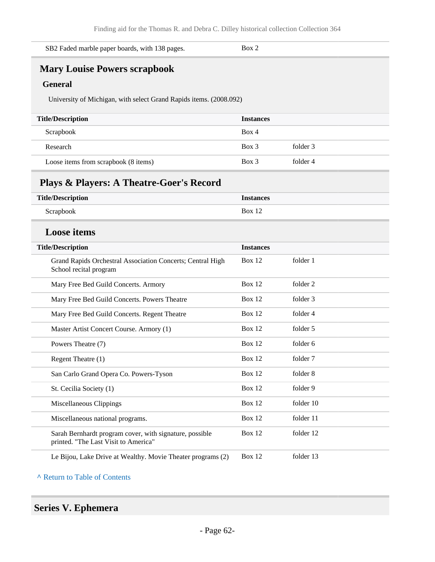| SB2 Faded marble paper boards, with 138 pages. | Box 2 |  |
|------------------------------------------------|-------|--|
|------------------------------------------------|-------|--|

# **Mary Louise Powers scrapbook**

#### **General**

University of Michigan, with select Grand Rapids items. (2008.092)

| <b>Title/Description</b>             | <b>Instances</b> |          |
|--------------------------------------|------------------|----------|
| Scrapbook                            | Box 4            |          |
| Research                             | $Box$ 3          | folder 3 |
| Loose items from scrapbook (8 items) | $Box$ 3          | folder 4 |

#### **Plays & Players: A Theatre-Goer's Record**

| <b>Title/Description</b>                                                                        | <b>Instances</b> |           |
|-------------------------------------------------------------------------------------------------|------------------|-----------|
| Scrapbook                                                                                       | <b>Box 12</b>    |           |
| <b>Loose</b> items                                                                              |                  |           |
| <b>Title/Description</b>                                                                        | <b>Instances</b> |           |
| Grand Rapids Orchestral Association Concerts; Central High<br>School recital program            | <b>Box 12</b>    | folder 1  |
| Mary Free Bed Guild Concerts. Armory                                                            | <b>Box 12</b>    | folder 2  |
| Mary Free Bed Guild Concerts. Powers Theatre                                                    | <b>Box 12</b>    | folder 3  |
| Mary Free Bed Guild Concerts. Regent Theatre                                                    | <b>Box 12</b>    | folder 4  |
| Master Artist Concert Course. Armory (1)                                                        | <b>Box 12</b>    | folder 5  |
| Powers Theatre (7)                                                                              | <b>Box 12</b>    | folder 6  |
| Regent Theatre (1)                                                                              | <b>Box 12</b>    | folder 7  |
| San Carlo Grand Opera Co. Powers-Tyson                                                          | <b>Box 12</b>    | folder 8  |
| St. Cecilia Society (1)                                                                         | <b>Box 12</b>    | folder 9  |
| Miscellaneous Clippings                                                                         | <b>Box 12</b>    | folder 10 |
| Miscellaneous national programs.                                                                | <b>Box 12</b>    | folder 11 |
| Sarah Bernhardt program cover, with signature, possible<br>printed. "The Last Visit to America" | <b>Box 12</b>    | folder 12 |
| Le Bijou, Lake Drive at Wealthy. Movie Theater programs (2)                                     | Box 12           | folder 13 |

**^** [Return to Table of Contents](#page-1-0)

#### **Series V. Ephemera**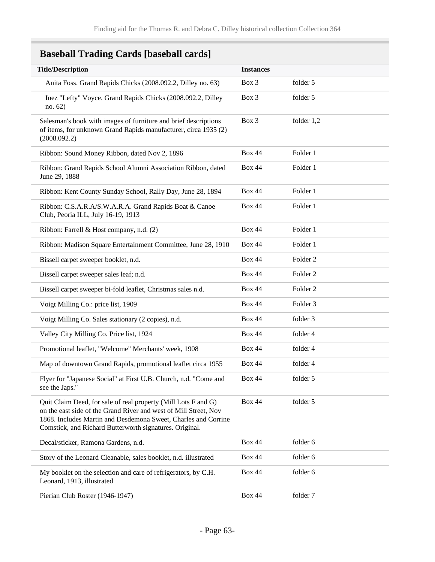## **Baseball Trading Cards [baseball cards]**

| <b>Title/Description</b>                                                                                                                                                                                                                                        | <b>Instances</b> |                     |
|-----------------------------------------------------------------------------------------------------------------------------------------------------------------------------------------------------------------------------------------------------------------|------------------|---------------------|
| Anita Foss. Grand Rapids Chicks (2008.092.2, Dilley no. 63)                                                                                                                                                                                                     | Box 3            | folder 5            |
| Inez "Lefty" Voyce. Grand Rapids Chicks (2008.092.2, Dilley<br>no. 62)                                                                                                                                                                                          | Box 3            | folder 5            |
| Salesman's book with images of furniture and brief descriptions<br>of items, for unknown Grand Rapids manufacturer, circa 1935 (2)<br>(2008.092.2)                                                                                                              | Box 3            | folder $1,2$        |
| Ribbon: Sound Money Ribbon, dated Nov 2, 1896                                                                                                                                                                                                                   | <b>Box 44</b>    | Folder 1            |
| Ribbon: Grand Rapids School Alumni Association Ribbon, dated<br>June 29, 1888                                                                                                                                                                                   | <b>Box 44</b>    | Folder 1            |
| Ribbon: Kent County Sunday School, Rally Day, June 28, 1894                                                                                                                                                                                                     | <b>Box 44</b>    | Folder 1            |
| Ribbon: C.S.A.R.A/S.W.A.R.A. Grand Rapids Boat & Canoe<br>Club, Peoria ILL, July 16-19, 1913                                                                                                                                                                    | <b>Box 44</b>    | Folder 1            |
| Ribbon: Farrell & Host company, n.d. (2)                                                                                                                                                                                                                        | <b>Box 44</b>    | Folder 1            |
| Ribbon: Madison Square Entertainment Committee, June 28, 1910                                                                                                                                                                                                   | <b>Box 44</b>    | Folder 1            |
| Bissell carpet sweeper booklet, n.d.                                                                                                                                                                                                                            | <b>Box 44</b>    | Folder <sub>2</sub> |
| Bissell carpet sweeper sales leaf; n.d.                                                                                                                                                                                                                         | <b>Box 44</b>    | Folder <sub>2</sub> |
| Bissell carpet sweeper bi-fold leaflet, Christmas sales n.d.                                                                                                                                                                                                    | <b>Box 44</b>    | Folder <sub>2</sub> |
| Voigt Milling Co.: price list, 1909                                                                                                                                                                                                                             | <b>Box 44</b>    | Folder 3            |
| Voigt Milling Co. Sales stationary (2 copies), n.d.                                                                                                                                                                                                             | <b>Box 44</b>    | folder 3            |
| Valley City Milling Co. Price list, 1924                                                                                                                                                                                                                        | <b>Box 44</b>    | folder 4            |
| Promotional leaflet, "Welcome" Merchants' week, 1908                                                                                                                                                                                                            | <b>Box 44</b>    | folder 4            |
| Map of downtown Grand Rapids, promotional leaflet circa 1955                                                                                                                                                                                                    | <b>Box 44</b>    | folder 4            |
| Flyer for "Japanese Social" at First U.B. Church, n.d. "Come and<br>see the Japs."                                                                                                                                                                              | <b>Box 44</b>    | folder 5            |
| Quit Claim Deed, for sale of real property (Mill Lots F and G)<br>on the east side of the Grand River and west of Mill Street, Nov<br>1868. Includes Martin and Desdemona Sweet, Charles and Corrine<br>Comstick, and Richard Butterworth signatures. Original. | <b>Box 44</b>    | folder 5            |
| Decal/sticker, Ramona Gardens, n.d.                                                                                                                                                                                                                             | <b>Box 44</b>    | folder 6            |
| Story of the Leonard Cleanable, sales booklet, n.d. illustrated                                                                                                                                                                                                 | <b>Box 44</b>    | folder 6            |
| My booklet on the selection and care of refrigerators, by C.H.<br>Leonard, 1913, illustrated                                                                                                                                                                    | <b>Box 44</b>    | folder 6            |
| Pierian Club Roster (1946-1947)                                                                                                                                                                                                                                 | <b>Box 44</b>    | folder 7            |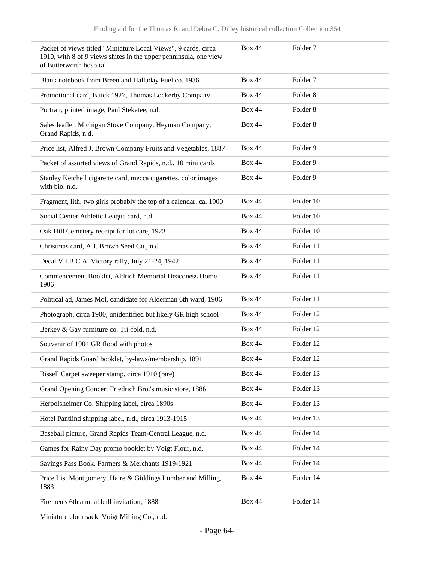| Packet of views titled "Miniature Local Views", 9 cards, circa<br>1910, with 8 of 9 views shites in the upper penninsula, one view<br>of Butterworth hospital | <b>Box 44</b> | Folder <sub>7</sub> |
|---------------------------------------------------------------------------------------------------------------------------------------------------------------|---------------|---------------------|
| Blank notebook from Breen and Halladay Fuel co. 1936                                                                                                          | <b>Box 44</b> | Folder <sub>7</sub> |
| Promotional card, Buick 1927, Thomas Lockerby Company                                                                                                         | <b>Box 44</b> | Folder <sub>8</sub> |
| Portrait, printed image, Paul Steketee, n.d.                                                                                                                  | <b>Box 44</b> | Folder <sub>8</sub> |
| Sales leaflet, Michigan Stove Company, Heyman Company,<br>Grand Rapids, n.d.                                                                                  | <b>Box 44</b> | Folder <sub>8</sub> |
| Price list, Alfred J. Brown Company Fruits and Vegetables, 1887                                                                                               | <b>Box 44</b> | Folder 9            |
| Packet of assorted views of Grand Rapids, n.d., 10 mini cards                                                                                                 | <b>Box 44</b> | Folder 9            |
| Stanley Ketchell cigarette card, mecca cigarettes, color images<br>with bio, n.d.                                                                             | <b>Box 44</b> | Folder 9            |
| Fragment, lith, two girls probably the top of a calendar, ca. 1900                                                                                            | <b>Box 44</b> | Folder 10           |
| Social Center Athletic League card, n.d.                                                                                                                      | <b>Box 44</b> | Folder 10           |
| Oak Hill Cemetery receipt for lot care, 1923                                                                                                                  | <b>Box 44</b> | Folder 10           |
| Christmas card, A.J. Brown Seed Co., n.d.                                                                                                                     | <b>Box 44</b> | Folder 11           |
| Decal V.I.B.C.A. Victory rally, July 21-24, 1942                                                                                                              | <b>Box 44</b> | Folder 11           |
| Commencement Booklet, Aldrich Memorial Deaconess Home<br>1906                                                                                                 | <b>Box 44</b> | Folder 11           |
| Political ad, James Mol, candidate for Alderman 6th ward, 1906                                                                                                | <b>Box 44</b> | Folder 11           |
| Photograph, circa 1900, unidentified but likely GR high school                                                                                                | <b>Box 44</b> | Folder 12           |
| Berkey & Gay furniture co. Tri-fold, n.d.                                                                                                                     | <b>Box 44</b> | Folder 12           |
| Souvenir of 1904 GR flood with photos                                                                                                                         | <b>Box 44</b> | Folder 12           |
| Grand Rapids Guard booklet, by-laws/membership, 1891                                                                                                          | <b>Box 44</b> | Folder 12           |
| Bissell Carpet sweeper stamp, circa 1910 (rare)                                                                                                               | <b>Box 44</b> | Folder 13           |
| Grand Opening Concert Friedrich Bro.'s music store, 1886                                                                                                      | <b>Box 44</b> | Folder 13           |
| Herpolsheimer Co. Shipping label, circa 1890s                                                                                                                 | <b>Box 44</b> | Folder 13           |
| Hotel Pantlind shipping label, n.d., circa 1913-1915                                                                                                          | <b>Box 44</b> | Folder 13           |
| Baseball picture, Grand Rapids Team-Central League, n.d.                                                                                                      | <b>Box 44</b> | Folder 14           |
| Games for Rainy Day promo booklet by Voigt Flour, n.d.                                                                                                        | <b>Box 44</b> | Folder 14           |
| Savings Pass Book, Farmers & Merchants 1919-1921                                                                                                              | <b>Box 44</b> | Folder 14           |
| Price List Montgomery, Haire & Giddings Lumber and Milling,<br>1883                                                                                           | <b>Box 44</b> | Folder 14           |
| Firemen's 6th annual ball invitation, 1888                                                                                                                    | <b>Box 44</b> | Folder 14           |

Miniature cloth sack, Voigt Milling Co., n.d.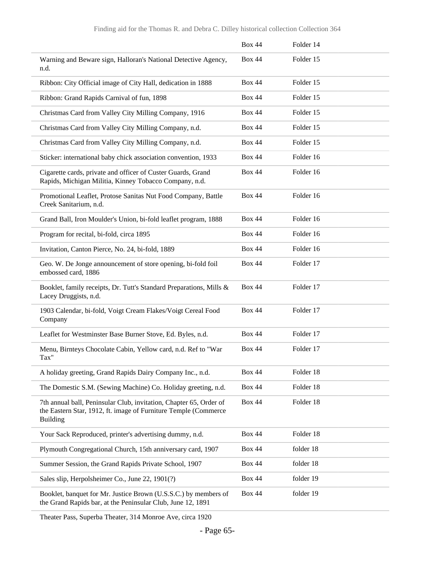|                                                                                                                                                          | <b>Box 44</b> | Folder 14 |
|----------------------------------------------------------------------------------------------------------------------------------------------------------|---------------|-----------|
| Warning and Beware sign, Halloran's National Detective Agency,<br>n.d.                                                                                   | <b>Box 44</b> | Folder 15 |
| Ribbon: City Official image of City Hall, dedication in 1888                                                                                             | <b>Box 44</b> | Folder 15 |
| Ribbon: Grand Rapids Carnival of fun, 1898                                                                                                               | <b>Box 44</b> | Folder 15 |
| Christmas Card from Valley City Milling Company, 1916                                                                                                    | <b>Box 44</b> | Folder 15 |
| Christmas Card from Valley City Milling Company, n.d.                                                                                                    | <b>Box 44</b> | Folder 15 |
| Christmas Card from Valley City Milling Company, n.d.                                                                                                    | <b>Box 44</b> | Folder 15 |
| Sticker: international baby chick association convention, 1933                                                                                           | <b>Box 44</b> | Folder 16 |
| Cigarette cards, private and officer of Custer Guards, Grand<br>Rapids, Michigan Militia, Kinney Tobacco Company, n.d.                                   | <b>Box 44</b> | Folder 16 |
| Promotional Leaflet, Protose Sanitas Nut Food Company, Battle<br>Creek Sanitarium, n.d.                                                                  | <b>Box 44</b> | Folder 16 |
| Grand Ball, Iron Moulder's Union, bi-fold leaflet program, 1888                                                                                          | <b>Box 44</b> | Folder 16 |
| Program for recital, bi-fold, circa 1895                                                                                                                 | <b>Box 44</b> | Folder 16 |
| Invitation, Canton Pierce, No. 24, bi-fold, 1889                                                                                                         | <b>Box 44</b> | Folder 16 |
| Geo. W. De Jonge announcement of store opening, bi-fold foil<br>embossed card, 1886                                                                      | <b>Box 44</b> | Folder 17 |
| Booklet, family receipts, Dr. Tutt's Standard Preparations, Mills &<br>Lacey Druggists, n.d.                                                             | <b>Box 44</b> | Folder 17 |
| 1903 Calendar, bi-fold, Voigt Cream Flakes/Voigt Cereal Food<br>Company                                                                                  | <b>Box 44</b> | Folder 17 |
| Leaflet for Westminster Base Burner Stove, Ed. Byles, n.d.                                                                                               | <b>Box 44</b> | Folder 17 |
| Menu, Birnteys Chocolate Cabin, Yellow card, n.d. Ref to "War<br>Tax"                                                                                    | <b>Box 44</b> | Folder 17 |
| A holiday greeting, Grand Rapids Dairy Company Inc., n.d.                                                                                                | <b>Box 44</b> | Folder 18 |
| The Domestic S.M. (Sewing Machine) Co. Holiday greeting, n.d.                                                                                            | <b>Box 44</b> | Folder 18 |
| 7th annual ball, Peninsular Club, invitation, Chapter 65, Order of<br>the Eastern Star, 1912, ft. image of Furniture Temple (Commerce<br><b>Building</b> | <b>Box 44</b> | Folder 18 |
| Your Sack Reproduced, printer's advertising dummy, n.d.                                                                                                  | <b>Box 44</b> | Folder 18 |
| Plymouth Congregational Church, 15th anniversary card, 1907                                                                                              | <b>Box 44</b> | folder 18 |
| Summer Session, the Grand Rapids Private School, 1907                                                                                                    | <b>Box 44</b> | folder 18 |
| Sales slip, Herpolsheimer Co., June 22, 1901(?)                                                                                                          | <b>Box 44</b> | folder 19 |
| Booklet, banquet for Mr. Justice Brown (U.S.S.C.) by members of<br>the Grand Rapids bar, at the Peninsular Club, June 12, 1891                           | <b>Box 44</b> | folder 19 |

Theater Pass, Superba Theater, 314 Monroe Ave, circa 1920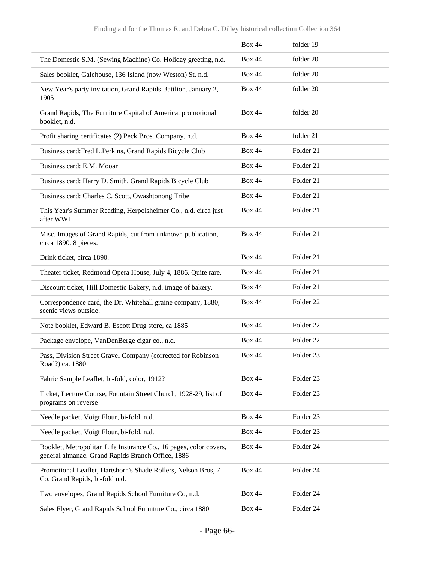|                                                                                                                        | <b>Box 44</b> | folder 19            |
|------------------------------------------------------------------------------------------------------------------------|---------------|----------------------|
| The Domestic S.M. (Sewing Machine) Co. Holiday greeting, n.d.                                                          | <b>Box 44</b> | folder 20            |
| Sales booklet, Galehouse, 136 Island (now Weston) St. n.d.                                                             | <b>Box 44</b> | folder 20            |
| New Year's party invitation, Grand Rapids Battlion. January 2,<br>1905                                                 | <b>Box 44</b> | folder 20            |
| Grand Rapids, The Furniture Capital of America, promotional<br>booklet, n.d.                                           | <b>Box 44</b> | folder 20            |
| Profit sharing certificates (2) Peck Bros. Company, n.d.                                                               | <b>Box 44</b> | folder 21            |
| Business card: Fred L. Perkins, Grand Rapids Bicycle Club                                                              | <b>Box 44</b> | Folder 21            |
| Business card: E.M. Mooar                                                                                              | <b>Box 44</b> | Folder 21            |
| Business card: Harry D. Smith, Grand Rapids Bicycle Club                                                               | <b>Box 44</b> | Folder 21            |
| Business card: Charles C. Scott, Owashtonong Tribe                                                                     | <b>Box 44</b> | Folder 21            |
| This Year's Summer Reading, Herpolsheimer Co., n.d. circa just<br>after WWI                                            | <b>Box 44</b> | Folder 21            |
| Misc. Images of Grand Rapids, cut from unknown publication,<br>circa 1890. 8 pieces.                                   | <b>Box 44</b> | Folder 21            |
| Drink ticket, circa 1890.                                                                                              | <b>Box 44</b> | Folder 21            |
| Theater ticket, Redmond Opera House, July 4, 1886. Quite rare.                                                         | <b>Box 44</b> | Folder 21            |
| Discount ticket, Hill Domestic Bakery, n.d. image of bakery.                                                           | <b>Box 44</b> | Folder 21            |
| Correspondence card, the Dr. Whitehall graine company, 1880,<br>scenic views outside.                                  | <b>Box 44</b> | Folder 22            |
| Note booklet, Edward B. Escott Drug store, ca 1885                                                                     | <b>Box 44</b> | Folder 22            |
| Package envelope, VanDenBerge cigar co., n.d.                                                                          | <b>Box 44</b> | Folder <sub>22</sub> |
| Pass, Division Street Gravel Company (corrected for Robinson<br>Road?) ca. 1880                                        | <b>Box 44</b> | Folder <sub>23</sub> |
| Fabric Sample Leaflet, bi-fold, color, 1912?                                                                           | <b>Box 44</b> | Folder 23            |
| Ticket, Lecture Course, Fountain Street Church, 1928-29, list of<br>programs on reverse                                | <b>Box 44</b> | Folder <sub>23</sub> |
| Needle packet, Voigt Flour, bi-fold, n.d.                                                                              | <b>Box 44</b> | Folder 23            |
| Needle packet, Voigt Flour, bi-fold, n.d.                                                                              | <b>Box 44</b> | Folder <sub>23</sub> |
| Booklet, Metropolitan Life Insurance Co., 16 pages, color covers,<br>general almanac, Grand Rapids Branch Office, 1886 | <b>Box 44</b> | Folder 24            |
| Promotional Leaflet, Hartshorn's Shade Rollers, Nelson Bros, 7<br>Co. Grand Rapids, bi-fold n.d.                       | <b>Box 44</b> | Folder 24            |
| Two envelopes, Grand Rapids School Furniture Co, n.d.                                                                  | <b>Box 44</b> | Folder 24            |
| Sales Flyer, Grand Rapids School Furniture Co., circa 1880                                                             | <b>Box 44</b> | Folder 24            |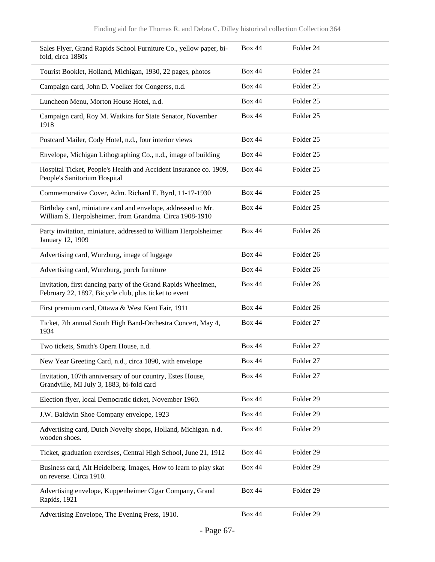| Sales Flyer, Grand Rapids School Furniture Co., yellow paper, bi-<br>fold, circa 1880s                                  | <b>Box 44</b> | Folder 24            |  |
|-------------------------------------------------------------------------------------------------------------------------|---------------|----------------------|--|
| Tourist Booklet, Holland, Michigan, 1930, 22 pages, photos                                                              | <b>Box 44</b> | Folder 24            |  |
| Campaign card, John D. Voelker for Congerss, n.d.                                                                       | <b>Box 44</b> | Folder <sub>25</sub> |  |
| Luncheon Menu, Morton House Hotel, n.d.                                                                                 | <b>Box 44</b> | Folder <sub>25</sub> |  |
| Campaign card, Roy M. Watkins for State Senator, November<br>1918                                                       | <b>Box 44</b> | Folder <sub>25</sub> |  |
| Postcard Mailer, Cody Hotel, n.d., four interior views                                                                  | <b>Box 44</b> | Folder <sub>25</sub> |  |
| Envelope, Michigan Lithographing Co., n.d., image of building                                                           | <b>Box 44</b> | Folder <sub>25</sub> |  |
| Hospital Ticket, People's Health and Accident Insurance co. 1909,<br>People's Sanitorium Hospital                       | <b>Box 44</b> | Folder <sub>25</sub> |  |
| Commemorative Cover, Adm. Richard E. Byrd, 11-17-1930                                                                   | <b>Box 44</b> | Folder <sub>25</sub> |  |
| Birthday card, miniature card and envelope, addressed to Mr.<br>William S. Herpolsheimer, from Grandma. Circa 1908-1910 | <b>Box 44</b> | Folder <sub>25</sub> |  |
| Party invitation, miniature, addressed to William Herpolsheimer<br>January 12, 1909                                     | <b>Box 44</b> | Folder 26            |  |
| Advertising card, Wurzburg, image of luggage                                                                            | <b>Box 44</b> | Folder 26            |  |
| Advertising card, Wurzburg, porch furniture                                                                             | <b>Box 44</b> | Folder 26            |  |
| Invitation, first dancing party of the Grand Rapids Wheelmen,<br>February 22, 1897, Bicycle club, plus ticket to event  | <b>Box 44</b> | Folder 26            |  |
| First premium card, Ottawa & West Kent Fair, 1911                                                                       | <b>Box 44</b> | Folder 26            |  |
| Ticket, 7th annual South High Band-Orchestra Concert, May 4,<br>1934                                                    | <b>Box 44</b> | Folder 27            |  |
| Two tickets, Smith's Opera House, n.d.                                                                                  | <b>Box 44</b> | Folder 27            |  |
| New Year Greeting Card, n.d., circa 1890, with envelope                                                                 | <b>Box 44</b> | Folder 27            |  |
| Invitation, 107th anniversary of our country, Estes House,<br>Grandville, MI July 3, 1883, bi-fold card                 | <b>Box 44</b> | Folder 27            |  |
| Election flyer, local Democratic ticket, November 1960.                                                                 | <b>Box 44</b> | Folder 29            |  |
| J.W. Baldwin Shoe Company envelope, 1923                                                                                | <b>Box 44</b> | Folder 29            |  |
| Advertising card, Dutch Novelty shops, Holland, Michigan. n.d.<br>wooden shoes.                                         | <b>Box 44</b> | Folder 29            |  |
| Ticket, graduation exercises, Central High School, June 21, 1912                                                        | <b>Box 44</b> | Folder 29            |  |
| Business card, Alt Heidelberg. Images, How to learn to play skat<br>on reverse. Circa 1910.                             | <b>Box 44</b> | Folder 29            |  |
| Advertising envelope, Kuppenheimer Cigar Company, Grand<br>Rapids, 1921                                                 | <b>Box 44</b> | Folder 29            |  |
| Advertising Envelope, The Evening Press, 1910.                                                                          | <b>Box 44</b> | Folder 29            |  |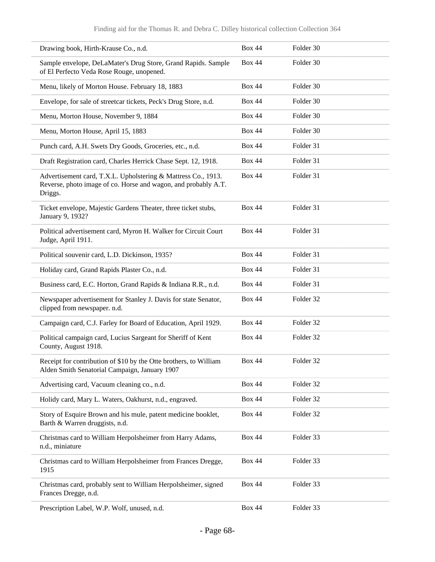| Drawing book, Hirth-Krause Co., n.d.                                                                                                       | <b>Box 44</b> | Folder 30 |
|--------------------------------------------------------------------------------------------------------------------------------------------|---------------|-----------|
| Sample envelope, DeLaMater's Drug Store, Grand Rapids. Sample<br>of El Perfecto Veda Rose Rouge, unopened.                                 | <b>Box 44</b> | Folder 30 |
| Menu, likely of Morton House. February 18, 1883                                                                                            | <b>Box 44</b> | Folder 30 |
| Envelope, for sale of streetcar tickets, Peck's Drug Store, n.d.                                                                           | <b>Box 44</b> | Folder 30 |
| Menu, Morton House, November 9, 1884                                                                                                       | <b>Box 44</b> | Folder 30 |
| Menu, Morton House, April 15, 1883                                                                                                         | <b>Box 44</b> | Folder 30 |
| Punch card, A.H. Swets Dry Goods, Groceries, etc., n.d.                                                                                    | <b>Box 44</b> | Folder 31 |
| Draft Registration card, Charles Herrick Chase Sept. 12, 1918.                                                                             | <b>Box 44</b> | Folder 31 |
| Advertisement card, T.X.L. Upholstering & Mattress Co., 1913.<br>Reverse, photo image of co. Horse and wagon, and probably A.T.<br>Driggs. | <b>Box 44</b> | Folder 31 |
| Ticket envelope, Majestic Gardens Theater, three ticket stubs,<br>January 9, 1932?                                                         | <b>Box 44</b> | Folder 31 |
| Political advertisement card, Myron H. Walker for Circuit Court<br>Judge, April 1911.                                                      | <b>Box 44</b> | Folder 31 |
| Political souvenir card, L.D. Dickinson, 1935?                                                                                             | <b>Box 44</b> | Folder 31 |
| Holiday card, Grand Rapids Plaster Co., n.d.                                                                                               | <b>Box 44</b> | Folder 31 |
| Business card, E.C. Horton, Grand Rapids & Indiana R.R., n.d.                                                                              | <b>Box 44</b> | Folder 31 |
| Newspaper advertisement for Stanley J. Davis for state Senator,<br>clipped from newspaper. n.d.                                            | <b>Box 44</b> | Folder 32 |
| Campaign card, C.J. Farley for Board of Education, April 1929.                                                                             | <b>Box 44</b> | Folder 32 |
| Political campaign card, Lucius Sargeant for Sheriff of Kent<br>County, August 1918.                                                       | <b>Box 44</b> | Folder 32 |
| Receipt for contribution of \$10 by the Otte brothers, to William<br>Alden Smith Senatorial Campaign, January 1907                         | <b>Box 44</b> | Folder 32 |
| Advertising card, Vacuum cleaning co., n.d.                                                                                                | <b>Box 44</b> | Folder 32 |
| Holidy card, Mary L. Waters, Oakhurst, n.d., engraved.                                                                                     | <b>Box 44</b> | Folder 32 |
| Story of Esquire Brown and his mule, patent medicine booklet,<br>Barth & Warren druggists, n.d.                                            | <b>Box 44</b> | Folder 32 |
| Christmas card to William Herpolsheimer from Harry Adams,<br>n.d., miniature                                                               | <b>Box 44</b> | Folder 33 |
| Christmas card to William Herpolsheimer from Frances Dregge,<br>1915                                                                       | <b>Box 44</b> | Folder 33 |
| Christmas card, probably sent to William Herpolsheimer, signed<br>Frances Dregge, n.d.                                                     | <b>Box 44</b> | Folder 33 |
| Prescription Label, W.P. Wolf, unused, n.d.                                                                                                | <b>Box 44</b> | Folder 33 |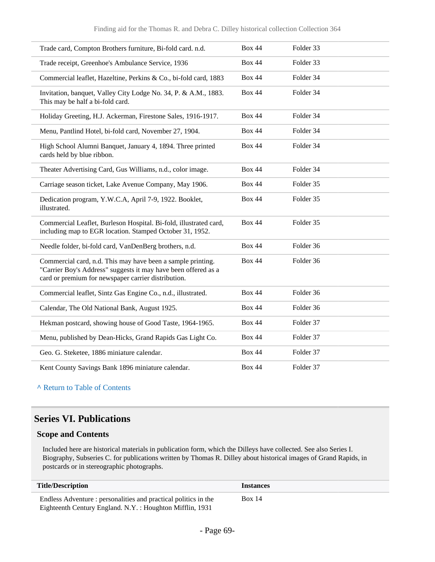| Trade card, Compton Brothers furniture, Bi-fold card. n.d.                                                                                                                           | <b>Box 44</b> | Folder 33 |  |
|--------------------------------------------------------------------------------------------------------------------------------------------------------------------------------------|---------------|-----------|--|
| Trade receipt, Greenhoe's Ambulance Service, 1936                                                                                                                                    | <b>Box 44</b> | Folder 33 |  |
| Commercial leaflet, Hazeltine, Perkins & Co., bi-fold card, 1883                                                                                                                     | <b>Box 44</b> | Folder 34 |  |
| Invitation, banquet, Valley City Lodge No. 34, P. & A.M., 1883.<br>This may be half a bi-fold card.                                                                                  | <b>Box 44</b> | Folder 34 |  |
| Holiday Greeting, H.J. Ackerman, Firestone Sales, 1916-1917.                                                                                                                         | <b>Box 44</b> | Folder 34 |  |
| Menu, Pantlind Hotel, bi-fold card, November 27, 1904.                                                                                                                               | <b>Box 44</b> | Folder 34 |  |
| High School Alumni Banquet, January 4, 1894. Three printed<br>cards held by blue ribbon.                                                                                             | <b>Box 44</b> | Folder 34 |  |
| Theater Advertising Card, Gus Williams, n.d., color image.                                                                                                                           | <b>Box 44</b> | Folder 34 |  |
| Carriage season ticket, Lake Avenue Company, May 1906.                                                                                                                               | <b>Box 44</b> | Folder 35 |  |
| Dedication program, Y.W.C.A, April 7-9, 1922. Booklet,<br>illustrated.                                                                                                               | <b>Box 44</b> | Folder 35 |  |
| Commercial Leaflet, Burleson Hospital. Bi-fold, illustrated card,<br>including map to EGR location. Stamped October 31, 1952.                                                        | <b>Box 44</b> | Folder 35 |  |
| Needle folder, bi-fold card, VanDenBerg brothers, n.d.                                                                                                                               | <b>Box 44</b> | Folder 36 |  |
| Commercial card, n.d. This may have been a sample printing.<br>"Carrier Boy's Address" suggests it may have been offered as a<br>card or premium for newspaper carrier distribution. | <b>Box 44</b> | Folder 36 |  |
| Commercial leaflet, Sintz Gas Engine Co., n.d., illustrated.                                                                                                                         | <b>Box 44</b> | Folder 36 |  |
| Calendar, The Old National Bank, August 1925.                                                                                                                                        | <b>Box 44</b> | Folder 36 |  |
| Hekman postcard, showing house of Good Taste, 1964-1965.                                                                                                                             | <b>Box 44</b> | Folder 37 |  |
| Menu, published by Dean-Hicks, Grand Rapids Gas Light Co.                                                                                                                            | <b>Box 44</b> | Folder 37 |  |
| Geo. G. Steketee, 1886 miniature calendar.                                                                                                                                           | <b>Box 44</b> | Folder 37 |  |
| Kent County Savings Bank 1896 miniature calendar.                                                                                                                                    | <b>Box 44</b> | Folder 37 |  |

**^** [Return to Table of Contents](#page-1-0)

#### **Series VI. Publications**

#### **Scope and Contents**

L

Included here are historical materials in publication form, which the Dilleys have collected. See also Series I. Biography, Subseries C. for publications written by Thomas R. Dilley about historical images of Grand Rapids, in postcards or in stereographic photographs.

| <b>Title/Description</b>                                        | <i><u><b>Instances</b></u></i> |
|-----------------------------------------------------------------|--------------------------------|
| Endless Adventure : personalities and practical politics in the | <b>Box 14</b>                  |
| Eighteenth Century England. N.Y. : Houghton Mifflin, 1931       |                                |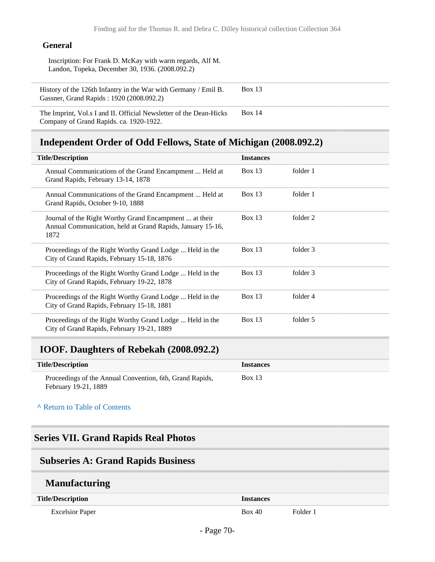#### **General**

Inscription: For Frank D. McKay with warm regards, Alf M. Landon, Topeka, December 30, 1936. (2008.092.2)

History of the 126th Infantry in the War with Germany / Emil B. Gassner, Grand Rapids : 1920 (2008.092.2) Box 13

The Imprint, Vol.s I and II. Official Newsletter of the Dean-Hicks Company of Grand Rapids. ca. 1920-1922. Box 14

#### **Independent Order of Odd Fellows, State of Michigan (2008.092.2)**

| <b>Title/Description</b>                                                                                                     | <b>Instances</b> |          |
|------------------------------------------------------------------------------------------------------------------------------|------------------|----------|
| Annual Communications of the Grand Encampment  Held at<br>Grand Rapids, February 13-14, 1878                                 | Box $13$         | folder 1 |
| Annual Communications of the Grand Encampment  Held at<br>Grand Rapids, October 9-10, 1888                                   | Box 13           | folder 1 |
| Journal of the Right Worthy Grand Encampment  at their<br>Annual Communication, held at Grand Rapids, January 15-16,<br>1872 | Box 13           | folder 2 |
| Proceedings of the Right Worthy Grand Lodge  Held in the<br>City of Grand Rapids, February 15-18, 1876                       | Box $13$         | folder 3 |
| Proceedings of the Right Worthy Grand Lodge  Held in the<br>City of Grand Rapids, February 19-22, 1878                       | Box 13           | folder 3 |
| Proceedings of the Right Worthy Grand Lodge  Held in the<br>City of Grand Rapids, February 15-18, 1881                       | Box $13$         | folder 4 |
| Proceedings of the Right Worthy Grand Lodge  Held in the<br>City of Grand Rapids, February 19-21, 1889                       | Box $13$         | folder 5 |

#### **IOOF. Daughters of Rebekah (2008.092.2)**

| <b>Title/Description</b>                                 | <i><u><b>Instances</b></u></i> |
|----------------------------------------------------------|--------------------------------|
| Proceedings of the Annual Convention, 6th, Grand Rapids, | Box 13                         |
| February 19-21, 1889                                     |                                |

**^** [Return to Table of Contents](#page-1-0)

#### **Series VII. Grand Rapids Real Photos**

#### **Subseries A: Grand Rapids Business**

#### **Manufacturing**

| <b>Title/Description</b> | Instances |               |
|--------------------------|-----------|---------------|
| <b>Excelsior Paper</b>   | 3ox 40    | <b>Folder</b> |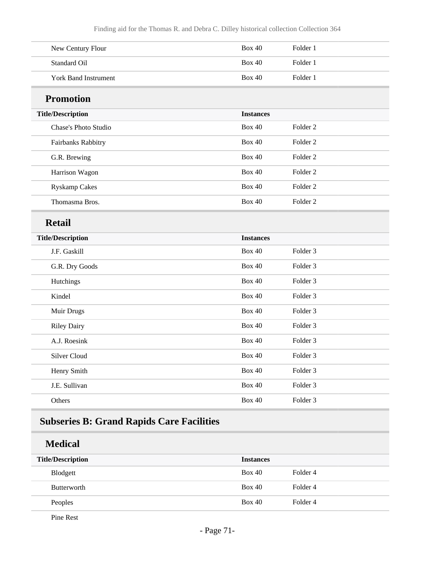| New Century Flour           | <b>Box 40</b>    | Folder 1            |
|-----------------------------|------------------|---------------------|
| <b>Standard Oil</b>         | <b>Box 40</b>    | Folder 1            |
| <b>York Band Instrument</b> | <b>Box 40</b>    | Folder 1            |
| <b>Promotion</b>            |                  |                     |
| <b>Title/Description</b>    | <b>Instances</b> |                     |
| Chase's Photo Studio        | <b>Box 40</b>    | Folder <sub>2</sub> |
| Fairbanks Rabbitry          | <b>Box 40</b>    | Folder <sub>2</sub> |
| G.R. Brewing                | <b>Box 40</b>    | Folder <sub>2</sub> |
| Harrison Wagon              | <b>Box 40</b>    | Folder <sub>2</sub> |
| <b>Ryskamp Cakes</b>        | <b>Box 40</b>    | Folder <sub>2</sub> |
| Thomasma Bros.              | <b>Box 40</b>    | Folder <sub>2</sub> |
| <b>Retail</b>               |                  |                     |
| <b>Title/Description</b>    | <b>Instances</b> |                     |
| J.F. Gaskill                | <b>Box 40</b>    | Folder <sub>3</sub> |
| G.R. Dry Goods              | <b>Box 40</b>    | Folder 3            |
| Hutchings                   | <b>Box 40</b>    | Folder <sub>3</sub> |
| Kindel                      |                  |                     |
|                             | <b>Box 40</b>    | Folder <sub>3</sub> |
| Muir Drugs                  | <b>Box 40</b>    | Folder <sub>3</sub> |
| <b>Riley Dairy</b>          | <b>Box 40</b>    | Folder 3            |
| A.J. Roesink                | <b>Box 40</b>    | Folder <sub>3</sub> |
| Silver Cloud                | <b>Box 40</b>    | Folder 3            |
| Henry Smith                 | <b>Box 40</b>    | Folder 3            |
| J.E. Sullivan               | Box $40\,$       | Folder 3            |

## **Subseries B: Grand Rapids Care Facilities**

**Medical**

| <b>Title/Description</b> | <b>Instances</b> |                     |
|--------------------------|------------------|---------------------|
| Blodgett                 | Box 40           | Folder 4            |
| <b>Butterworth</b>       | Box 40           | Folder <sub>4</sub> |
| Peoples                  | Box 40           | Folder 4            |

Pine Rest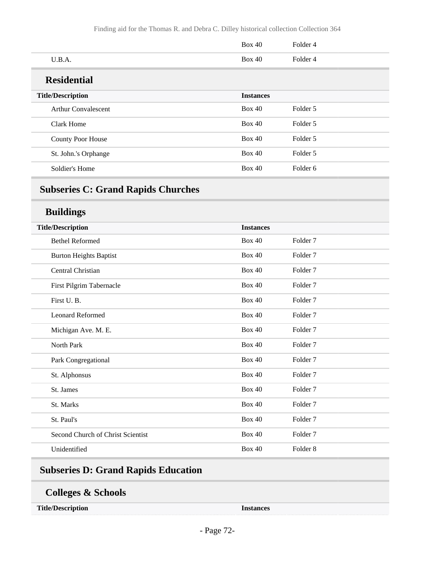|                            | <b>Box 40</b>    | Folder 4 |
|----------------------------|------------------|----------|
| U.B.A.                     | <b>Box 40</b>    | Folder 4 |
| <b>Residential</b>         |                  |          |
| <b>Title/Description</b>   | <b>Instances</b> |          |
| <b>Arthur Convalescent</b> | Box 40           | Folder 5 |
| Clark Home                 | <b>Box 40</b>    | Folder 5 |
| <b>County Poor House</b>   | <b>Box 40</b>    | Folder 5 |
| St. John.'s Orphange       | <b>Box 40</b>    | Folder 5 |
| Soldier's Home             | <b>Box 40</b>    | Folder 6 |

## **Subseries C: Grand Rapids Churches**

#### **Buildings**

| <b>Bethel Reformed</b><br><b>Box 40</b><br>Folder <sub>7</sub><br><b>Box 40</b><br>Folder <sub>7</sub><br><b>Burton Heights Baptist</b><br><b>Box 40</b><br>Folder <sub>7</sub><br>Central Christian<br><b>Box 40</b><br>Folder <sub>7</sub><br>First Pilgrim Tabernacle<br>First U.B.<br><b>Box 40</b><br>Folder <sub>7</sub><br><b>Box 40</b><br>Folder <sub>7</sub><br><b>Leonard Reformed</b><br><b>Box 40</b><br>Folder <sub>7</sub><br>Michigan Ave. M. E.<br><b>Box 40</b><br>Folder <sub>7</sub><br>North Park<br><b>Box 40</b><br>Folder <sub>7</sub><br>Park Congregational<br><b>Box 40</b><br>Folder <sub>7</sub><br>St. Alphonsus<br><b>Box 40</b><br>Folder <sub>7</sub><br>St. James<br><b>Box 40</b><br>Folder <sub>7</sub><br>St. Marks<br><b>Box 40</b><br>Folder <sub>7</sub><br>St. Paul's<br><b>Box 40</b><br>Folder <sub>7</sub><br>Second Church of Christ Scientist<br>Folder <sub>8</sub><br>Unidentified<br><b>Box 40</b> | <b>Title/Description</b> | <b>Instances</b> |  |
|-----------------------------------------------------------------------------------------------------------------------------------------------------------------------------------------------------------------------------------------------------------------------------------------------------------------------------------------------------------------------------------------------------------------------------------------------------------------------------------------------------------------------------------------------------------------------------------------------------------------------------------------------------------------------------------------------------------------------------------------------------------------------------------------------------------------------------------------------------------------------------------------------------------------------------------------------------|--------------------------|------------------|--|
|                                                                                                                                                                                                                                                                                                                                                                                                                                                                                                                                                                                                                                                                                                                                                                                                                                                                                                                                                     |                          |                  |  |
|                                                                                                                                                                                                                                                                                                                                                                                                                                                                                                                                                                                                                                                                                                                                                                                                                                                                                                                                                     |                          |                  |  |
|                                                                                                                                                                                                                                                                                                                                                                                                                                                                                                                                                                                                                                                                                                                                                                                                                                                                                                                                                     |                          |                  |  |
|                                                                                                                                                                                                                                                                                                                                                                                                                                                                                                                                                                                                                                                                                                                                                                                                                                                                                                                                                     |                          |                  |  |
|                                                                                                                                                                                                                                                                                                                                                                                                                                                                                                                                                                                                                                                                                                                                                                                                                                                                                                                                                     |                          |                  |  |
|                                                                                                                                                                                                                                                                                                                                                                                                                                                                                                                                                                                                                                                                                                                                                                                                                                                                                                                                                     |                          |                  |  |
|                                                                                                                                                                                                                                                                                                                                                                                                                                                                                                                                                                                                                                                                                                                                                                                                                                                                                                                                                     |                          |                  |  |
|                                                                                                                                                                                                                                                                                                                                                                                                                                                                                                                                                                                                                                                                                                                                                                                                                                                                                                                                                     |                          |                  |  |
|                                                                                                                                                                                                                                                                                                                                                                                                                                                                                                                                                                                                                                                                                                                                                                                                                                                                                                                                                     |                          |                  |  |
|                                                                                                                                                                                                                                                                                                                                                                                                                                                                                                                                                                                                                                                                                                                                                                                                                                                                                                                                                     |                          |                  |  |
|                                                                                                                                                                                                                                                                                                                                                                                                                                                                                                                                                                                                                                                                                                                                                                                                                                                                                                                                                     |                          |                  |  |
|                                                                                                                                                                                                                                                                                                                                                                                                                                                                                                                                                                                                                                                                                                                                                                                                                                                                                                                                                     |                          |                  |  |
|                                                                                                                                                                                                                                                                                                                                                                                                                                                                                                                                                                                                                                                                                                                                                                                                                                                                                                                                                     |                          |                  |  |
|                                                                                                                                                                                                                                                                                                                                                                                                                                                                                                                                                                                                                                                                                                                                                                                                                                                                                                                                                     |                          |                  |  |
|                                                                                                                                                                                                                                                                                                                                                                                                                                                                                                                                                                                                                                                                                                                                                                                                                                                                                                                                                     |                          |                  |  |

# **Subseries D: Grand Rapids Education**

#### **Colleges & Schools**

| <b>Title/Description</b> |
|--------------------------|
|--------------------------|

**Instances**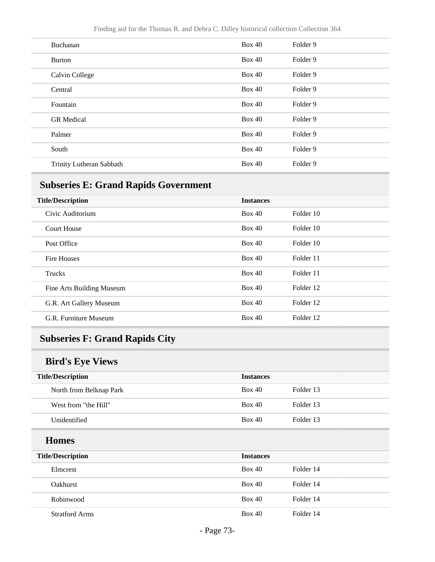| Buchanan                 | <b>Box 40</b> | Folder 9 |
|--------------------------|---------------|----------|
| <b>Burton</b>            | <b>Box 40</b> | Folder 9 |
| Calvin College           | Box 40        | Folder 9 |
| Central                  | <b>Box 40</b> | Folder 9 |
| Fountain                 | <b>Box 40</b> | Folder 9 |
| <b>GR</b> Medical        | <b>Box 40</b> | Folder 9 |
| Palmer                   | Box 40        | Folder 9 |
| South                    | <b>Box 40</b> | Folder 9 |
| Trinity Lutheran Sabbath | <b>Box 40</b> | Folder 9 |
|                          |               |          |

# **Subseries E: Grand Rapids Government**

| <b>Title/Description</b>  | <b>Instances</b> |           |
|---------------------------|------------------|-----------|
| Civic Auditorium          | Box 40           | Folder 10 |
| <b>Court House</b>        | Box 40           | Folder 10 |
| Post Office               | Box 40           | Folder 10 |
| Fire Houses               | Box 40           | Folder 11 |
| Trucks                    | Box 40           | Folder 11 |
| Fine Arts Building Museum | Box 40           | Folder 12 |
| G.R. Art Gallery Museum   | Box 40           | Folder 12 |
| G.R. Furniture Museum     | Box 40           | Folder 12 |

# **Subseries F: Grand Rapids City**

## **Bird's Eye Views**

| Folder 13<br>Box 40<br>North from Belknap Park<br>Box 40<br>Folder 13<br>West from "the Hill"<br>Box 40<br>Folder 13<br>Unidentified | <b>Title/Description</b> | <b>Instances</b> |  |
|--------------------------------------------------------------------------------------------------------------------------------------|--------------------------|------------------|--|
|                                                                                                                                      |                          |                  |  |
|                                                                                                                                      |                          |                  |  |
|                                                                                                                                      |                          |                  |  |

## **Homes**

| <b>Title/Description</b> | <b>Instances</b> |           |
|--------------------------|------------------|-----------|
| Elmerest                 | Box 40           | Folder 14 |
| <b>Oakhurst</b>          | Box 40           | Folder 14 |
| Robinwood                | Box 40           | Folder 14 |
| <b>Stratford Arms</b>    | Box 40           | Folder 14 |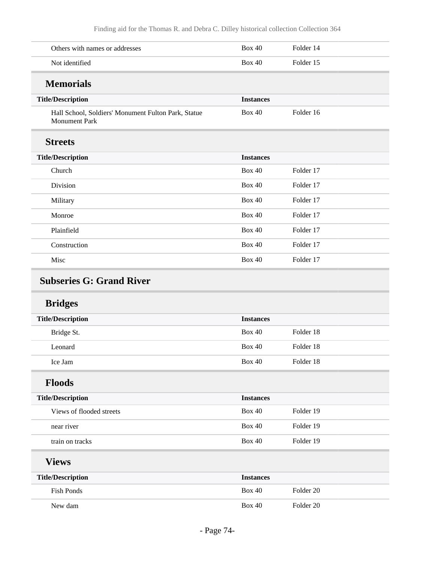| Others with names or addresses                                              | <b>Box 40</b>    | Folder 14 |  |
|-----------------------------------------------------------------------------|------------------|-----------|--|
| Not identified                                                              | <b>Box 40</b>    | Folder 15 |  |
| <b>Memorials</b>                                                            |                  |           |  |
| <b>Title/Description</b>                                                    | <b>Instances</b> |           |  |
| Hall School, Soldiers' Monument Fulton Park, Statue<br><b>Monument Park</b> | <b>Box 40</b>    | Folder 16 |  |
| <b>Streets</b>                                                              |                  |           |  |
| <b>Title/Description</b>                                                    | <b>Instances</b> |           |  |
| Church                                                                      | <b>Box 40</b>    | Folder 17 |  |
| Division                                                                    | <b>Box 40</b>    | Folder 17 |  |
| Military                                                                    | <b>Box 40</b>    | Folder 17 |  |
| Monroe                                                                      | <b>Box 40</b>    | Folder 17 |  |
| Plainfield                                                                  | <b>Box 40</b>    | Folder 17 |  |
| Construction                                                                | <b>Box 40</b>    | Folder 17 |  |
| Misc                                                                        | <b>Box 40</b>    | Folder 17 |  |
| <b>Subseries G: Grand River</b><br><b>Bridges</b>                           |                  |           |  |
| <b>Title/Description</b>                                                    | <b>Instances</b> |           |  |
| Bridge St.                                                                  | <b>Box 40</b>    | Folder 18 |  |
| Leonard                                                                     | <b>Box 40</b>    | Folder 18 |  |
| Ice Jam                                                                     | <b>Box 40</b>    | Folder 18 |  |
| <b>Floods</b>                                                               |                  |           |  |
| <b>Title/Description</b>                                                    | <b>Instances</b> |           |  |
| Views of flooded streets                                                    | <b>Box 40</b>    | Folder 19 |  |
| near river                                                                  | <b>Box 40</b>    | Folder 19 |  |
| train on tracks                                                             | <b>Box 40</b>    | Folder 19 |  |
| <b>Views</b>                                                                |                  |           |  |
| <b>Title/Description</b>                                                    | <b>Instances</b> |           |  |
| <b>Fish Ponds</b>                                                           | <b>Box 40</b>    | Folder 20 |  |
| New dam                                                                     | <b>Box 40</b>    | Folder 20 |  |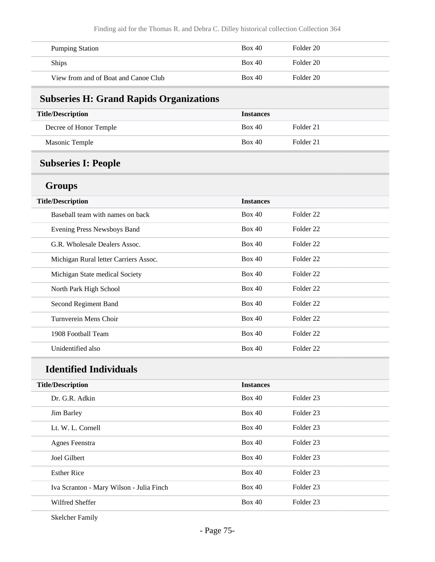| <b>Pumping Station</b>               | Box 40 | Folder 20 |
|--------------------------------------|--------|-----------|
| <b>Ships</b>                         | Box 40 | Folder 20 |
| View from and of Boat and Canoe Club | Box 40 | Folder 20 |

## **Subseries H: Grand Rapids Organizations**

| <b>Title/Description</b> | <b>Instances</b> |           |
|--------------------------|------------------|-----------|
| Decree of Honor Temple   | Box 40           | Folder 21 |
| Masonic Temple           | Box 40           | Folder 21 |

## **Subseries I: People**

### **Groups**

| <b>Title/Description</b>              | <b>Instances</b> |                      |
|---------------------------------------|------------------|----------------------|
| Baseball team with names on back      | Box 40           | Folder <sub>22</sub> |
| Evening Press Newsboys Band           | Box 40           | Folder <sub>22</sub> |
| G.R. Wholesale Dealers Assoc.         | Box 40           | Folder 22            |
| Michigan Rural letter Carriers Assoc. | Box 40           | Folder <sub>22</sub> |
| Michigan State medical Society        | Box 40           | Folder <sub>22</sub> |
| North Park High School                | Box 40           | Folder <sub>22</sub> |
| Second Regiment Band                  | Box 40           | Folder <sub>22</sub> |
| Turnverein Mens Choir                 | Box 40           | Folder <sub>22</sub> |
| 1908 Football Team                    | Box 40           | Folder <sub>22</sub> |
| Unidentified also                     | Box 40           | Folder <sub>22</sub> |

# **Identified Individuals**

| <b>Title/Description</b>                 | <b>Instances</b> |                      |
|------------------------------------------|------------------|----------------------|
| Dr. G.R. Adkin                           | Box 40           | Folder <sub>23</sub> |
| <b>Jim Barley</b>                        | Box 40           | Folder <sub>23</sub> |
| Lt. W. L. Cornell                        | Box 40           | Folder 23            |
| Agnes Feenstra                           | Box 40           | Folder <sub>23</sub> |
| Joel Gilbert                             | Box 40           | Folder 23            |
| <b>Esther Rice</b>                       | Box 40           | Folder 23            |
| Iva Scranton - Mary Wilson - Julia Finch | Box 40           | Folder 23            |
| Wilfred Sheffer                          | Box 40           | Folder 23            |
|                                          |                  |                      |

Skelcher Family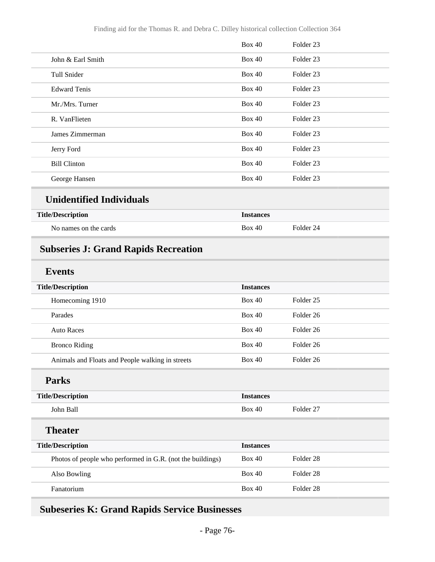|                     | Box 40        | Folder 23            |  |
|---------------------|---------------|----------------------|--|
| John & Earl Smith   | Box 40        | Folder <sub>23</sub> |  |
| Tull Snider         | Box 40        | Folder <sub>23</sub> |  |
| <b>Edward Tenis</b> | Box 40        | Folder <sub>23</sub> |  |
| Mr./Mrs. Turner     | Box 40        | Folder <sub>23</sub> |  |
| R. VanFlieten       | Box 40        | Folder <sub>23</sub> |  |
| James Zimmerman     | Box 40        | Folder <sub>23</sub> |  |
| Jerry Ford          | Box 40        | Folder <sub>23</sub> |  |
| <b>Bill Clinton</b> | <b>Box 40</b> | Folder <sub>23</sub> |  |
| George Hansen       | Box 40        | Folder <sub>23</sub> |  |
|                     |               |                      |  |

#### **Unidentified Individuals**

| <b>Title/Description</b> | <b>Instances</b> |           |
|--------------------------|------------------|-----------|
| No names on the cards    | <b>Box 40</b>    | Folder 24 |

# **Subseries J: Grand Rapids Recreation**

### **Events**

| <b>Title/Description</b>                                   | <b>Instances</b> |                      |
|------------------------------------------------------------|------------------|----------------------|
| Homecoming 1910                                            | Box 40           | Folder <sub>25</sub> |
| Parades                                                    | Box 40           | Folder 26            |
| <b>Auto Races</b>                                          | <b>Box 40</b>    | Folder <sub>26</sub> |
| <b>Bronco Riding</b>                                       | Box 40           | Folder 26            |
| Animals and Floats and People walking in streets           | Box 40           | Folder 26            |
| <b>Parks</b>                                               |                  |                      |
| <b>Title/Description</b>                                   | <b>Instances</b> |                      |
| John Ball                                                  | <b>Box 40</b>    | Folder 27            |
| <b>Theater</b>                                             |                  |                      |
| <b>Title/Description</b>                                   | <b>Instances</b> |                      |
| Photos of people who performed in G.R. (not the buildings) | <b>Box 40</b>    | Folder <sub>28</sub> |
| Also Bowling                                               | <b>Box 40</b>    | Folder <sub>28</sub> |
| Fanatorium                                                 | Box 40           | Folder <sub>28</sub> |
|                                                            |                  |                      |

### **Subeseries K: Grand Rapids Service Businesses**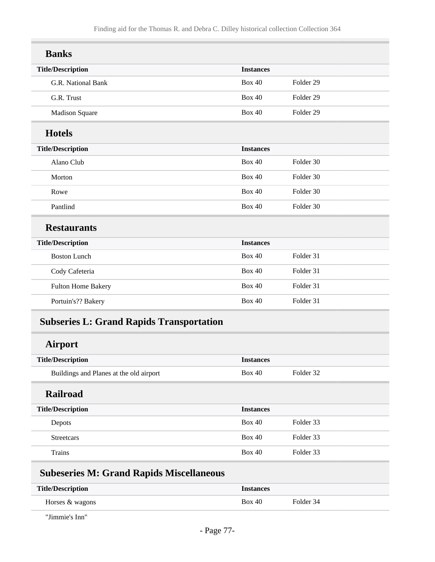| <b>Banks</b>             |                  |                      |
|--------------------------|------------------|----------------------|
| <b>Title/Description</b> | <b>Instances</b> |                      |
| G.R. National Bank       | <b>Box 40</b>    | Folder <sub>29</sub> |
| G.R. Trust               | <b>Box 40</b>    | Folder <sub>29</sub> |
| <b>Madison Square</b>    | <b>Box 40</b>    | Folder <sub>29</sub> |
| <b>Hotels</b>            |                  |                      |
| <b>Title/Description</b> | <b>Instances</b> |                      |
| Alano Club               | <b>Box 40</b>    | Folder 30            |
| Morton                   | <b>Box 40</b>    | Folder 30            |
| Rowe                     | <b>Box 40</b>    | Folder 30            |
| Pantlind                 | <b>Box 40</b>    | Folder 30            |
| <b>Restaurants</b>       |                  |                      |
| <b>Title/Description</b> | <b>Instances</b> |                      |
| <b>Boston Lunch</b>      | <b>Box 40</b>    | Folder 31            |
| Cody Cafeteria           | <b>Box 40</b>    | Folder 31            |
| Fulton Home Bakery       | <b>Box 40</b>    | Folder 31            |
| Portuin's?? Bakery       | <b>Box 40</b>    | Folder 31            |

## **Subseries L: Grand Rapids Transportation**

### **Airport**

| <b>Title/Description</b>                | <b>Instances</b> |           |
|-----------------------------------------|------------------|-----------|
| Buildings and Planes at the old airport | Box 40           | Folder 32 |
| <b>Railroad</b>                         |                  |           |
| <b>Title/Description</b>                | <b>Instances</b> |           |
| Depots                                  | Box 40           | Folder 33 |
| <b>Streetcars</b>                       | Box 40           | Folder 33 |

Trains Box 40 Folder 33

### **Subeseries M: Grand Rapids Miscellaneous**

| <b>Title/Description</b> | <i>Instances</i> |           |
|--------------------------|------------------|-----------|
| Horses & wagons          | <b>Box 40</b>    | Folder 34 |

"Jimmie's Inn"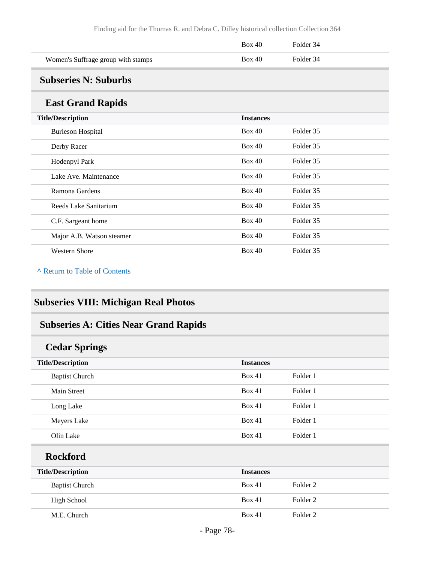|                                    | Box 40 | Folder 34 |
|------------------------------------|--------|-----------|
| Women's Suffrage group with stamps | Box 40 | Folder 34 |

### **Subseries N: Suburbs**

#### **East Grand Rapids**

| . ___.___________         |                  |           |
|---------------------------|------------------|-----------|
| <b>Title/Description</b>  | <b>Instances</b> |           |
| <b>Burleson Hospital</b>  | Box 40           | Folder 35 |
| Derby Racer               | Box 40           | Folder 35 |
| Hodenpyl Park             | Box 40           | Folder 35 |
| Lake Ave. Maintenance     | Box 40           | Folder 35 |
| Ramona Gardens            | Box 40           | Folder 35 |
| Reeds Lake Sanitarium     | Box 40           | Folder 35 |
| C.F. Sargeant home        | Box 40           | Folder 35 |
| Major A.B. Watson steamer | Box 40           | Folder 35 |
| <b>Western Shore</b>      | Box 40           | Folder 35 |

#### **^** [Return to Table of Contents](#page-1-0)

## **Subseries VIII: Michigan Real Photos**

## **Subseries A: Cities Near Grand Rapids**

| <b>Cedar Springs</b>     |                  |          |
|--------------------------|------------------|----------|
| <b>Title/Description</b> | <b>Instances</b> |          |
| <b>Baptist Church</b>    | Box 41           | Folder 1 |
| Main Street              | Box 41           | Folder 1 |
| Long Lake                | Box 41           | Folder 1 |
| Meyers Lake              | Box 41           | Folder 1 |
| Olin Lake                | <b>Box 41</b>    | Folder 1 |
| <b>Rockford</b>          |                  |          |
| <b>Title/Description</b> | <b>Instances</b> |          |
| <b>Baptist Church</b>    | Box 41           | Folder 2 |
| <b>High School</b>       | Box 41           | Folder 2 |
| M.E. Church              | Box 41           | Folder 2 |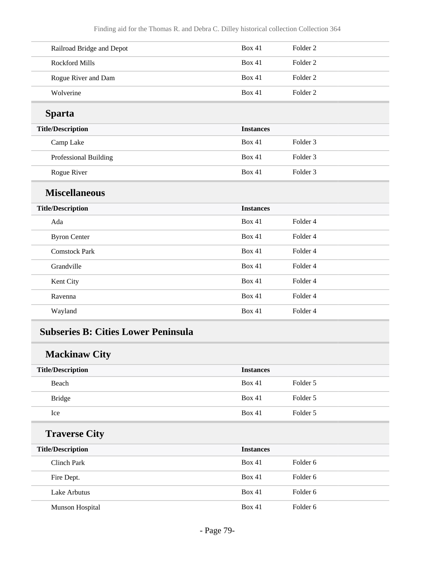| Railroad Bridge and Depot | <b>Box 41</b>    | Folder <sub>2</sub> |
|---------------------------|------------------|---------------------|
| <b>Rockford Mills</b>     | <b>Box 41</b>    | Folder <sub>2</sub> |
| Rogue River and Dam       | <b>Box 41</b>    | Folder <sub>2</sub> |
| Wolverine                 | <b>Box 41</b>    | Folder <sub>2</sub> |
| <b>Sparta</b>             |                  |                     |
| <b>Title/Description</b>  | <b>Instances</b> |                     |
| Camp Lake                 | <b>Box 41</b>    | Folder 3            |
| Professional Building     | <b>Box 41</b>    | Folder <sub>3</sub> |
| Rogue River               | <b>Box 41</b>    | Folder <sub>3</sub> |
| <b>Miscellaneous</b>      |                  |                     |
| <b>Title/Description</b>  | <b>Instances</b> |                     |
| Ada                       | <b>Box 41</b>    | Folder 4            |
| <b>Byron Center</b>       | <b>Box 41</b>    | Folder 4            |
| <b>Comstock Park</b>      | <b>Box 41</b>    | Folder 4            |
| Grandville                | <b>Box 41</b>    | Folder 4            |
| Kent City                 | Box 41           | Folder 4            |
| Ravenna                   | Box 41           | Folder 4            |
| Wayland                   | <b>Box 41</b>    | Folder 4            |
|                           |                  |                     |

### **Subseries B: Cities Lower Peninsula**

## **Mackinaw City**

| <b>Title/Description</b> | <b>Instances</b> |                     |
|--------------------------|------------------|---------------------|
| Beach                    | Box 41           | Folder 5            |
| <b>Bridge</b>            | Box 41           | Folder 5            |
| Ice                      | Box 41           | Folder 5            |
| <b>Traverse City</b>     |                  |                     |
|                          |                  |                     |
| <b>Title/Description</b> | <b>Instances</b> |                     |
| Clinch Park              | Box 41           | Folder <sub>6</sub> |
| Fire Dept.               | Box 41           | Folder <sub>6</sub> |
| Lake Arbutus             | Box 41           | Folder <sub>6</sub> |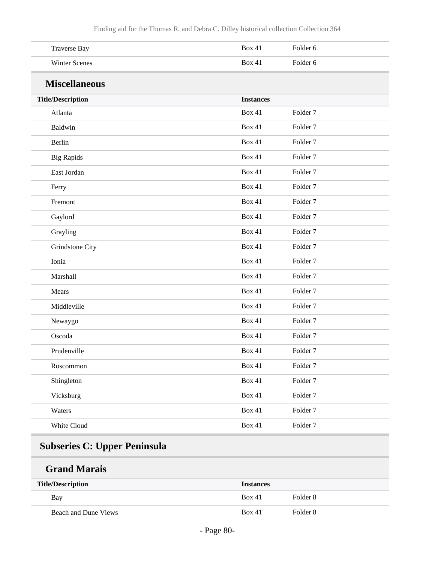| <b>Traverse Bay</b>      | <b>Box 41</b>    | Folder 6            |
|--------------------------|------------------|---------------------|
| <b>Winter Scenes</b>     | <b>Box 41</b>    | Folder 6            |
| <b>Miscellaneous</b>     |                  |                     |
| <b>Title/Description</b> | <b>Instances</b> |                     |
| Atlanta                  | <b>Box 41</b>    | Folder <sub>7</sub> |
| Baldwin                  | <b>Box 41</b>    | Folder <sub>7</sub> |
| Berlin                   | <b>Box 41</b>    | Folder <sub>7</sub> |
| <b>Big Rapids</b>        | <b>Box 41</b>    | Folder <sub>7</sub> |
| East Jordan              | <b>Box 41</b>    | Folder <sub>7</sub> |
| Ferry                    | <b>Box 41</b>    | Folder <sub>7</sub> |
| Fremont                  | <b>Box 41</b>    | Folder <sub>7</sub> |
| Gaylord                  | <b>Box 41</b>    | Folder <sub>7</sub> |
| Grayling                 | <b>Box 41</b>    | Folder <sub>7</sub> |
| Grindstone City          | <b>Box 41</b>    | Folder <sub>7</sub> |
| Ionia                    | <b>Box 41</b>    | Folder <sub>7</sub> |
| Marshall                 | <b>Box 41</b>    | Folder <sub>7</sub> |
| Mears                    | <b>Box 41</b>    | Folder <sub>7</sub> |
| Middleville              | <b>Box 41</b>    | Folder <sub>7</sub> |
| Newaygo                  | <b>Box 41</b>    | Folder <sub>7</sub> |
| Oscoda                   | Box 41           | Folder <sub>7</sub> |
| Prudenville              | Box 41           | Folder <sub>7</sub> |
| Roscommon                | <b>Box 41</b>    | Folder 7            |
| Shingleton               | <b>Box 41</b>    | Folder 7            |
| Vicksburg                | <b>Box 41</b>    | Folder 7            |
| Waters                   | <b>Box 41</b>    | Folder <sub>7</sub> |
| White Cloud              | <b>Box 41</b>    | Folder 7            |

# **Subseries C: Upper Peninsula**

## **Grand Marais**

| <b>Title/Description</b> | <b>Instances</b> |          |
|--------------------------|------------------|----------|
| Bay                      | <b>Box 41</b>    | Folder 8 |
| Beach and Dune Views     | Box 41           | Folder 8 |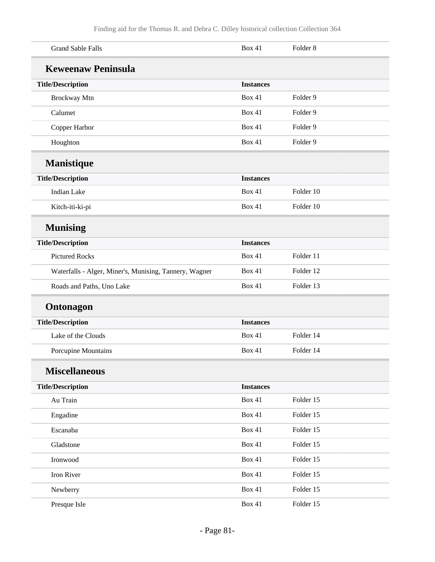| <b>Grand Sable Falls</b>                               | <b>Box 41</b>    | Folder <sub>8</sub> |
|--------------------------------------------------------|------------------|---------------------|
| <b>Keweenaw Peninsula</b>                              |                  |                     |
| <b>Title/Description</b>                               | <b>Instances</b> |                     |
| Brockway Mtn                                           | <b>Box 41</b>    | Folder 9            |
| Calumet                                                | <b>Box 41</b>    | Folder 9            |
| Copper Harbor                                          | <b>Box 41</b>    | Folder 9            |
| Houghton                                               | <b>Box 41</b>    | Folder 9            |
| <b>Manistique</b>                                      |                  |                     |
| <b>Title/Description</b>                               | <b>Instances</b> |                     |
| <b>Indian Lake</b>                                     | <b>Box 41</b>    | Folder 10           |
| Kitch-iti-ki-pi                                        | <b>Box 41</b>    | Folder 10           |
| <b>Munising</b>                                        |                  |                     |
| <b>Title/Description</b>                               | <b>Instances</b> |                     |
| <b>Pictured Rocks</b>                                  | <b>Box 41</b>    | Folder 11           |
| Waterfalls - Alger, Miner's, Munising, Tannery, Wagner | <b>Box 41</b>    | Folder 12           |
| Roads and Paths, Uno Lake                              | <b>Box 41</b>    | Folder 13           |
| <b>Ontonagon</b>                                       |                  |                     |
| <b>Title/Description</b>                               | <b>Instances</b> |                     |
| Lake of the Clouds                                     | Box 41           | Folder 14           |
| Porcupine Mountains                                    | <b>Box 41</b>    | Folder 14           |
| <b>Miscellaneous</b>                                   |                  |                     |
| <b>Title/Description</b>                               | <b>Instances</b> |                     |
| Au Train                                               | Box 41           | Folder 15           |
| Engadine                                               | <b>Box 41</b>    | Folder 15           |
| Escanaba                                               | <b>Box 41</b>    | Folder 15           |
| Gladstone                                              | <b>Box 41</b>    | Folder 15           |
| Ironwood                                               | <b>Box 41</b>    | Folder 15           |
| Iron River                                             | <b>Box 41</b>    | Folder 15           |
| Newberry                                               | <b>Box 41</b>    | Folder 15           |
| Presque Isle                                           | <b>Box 41</b>    | Folder 15           |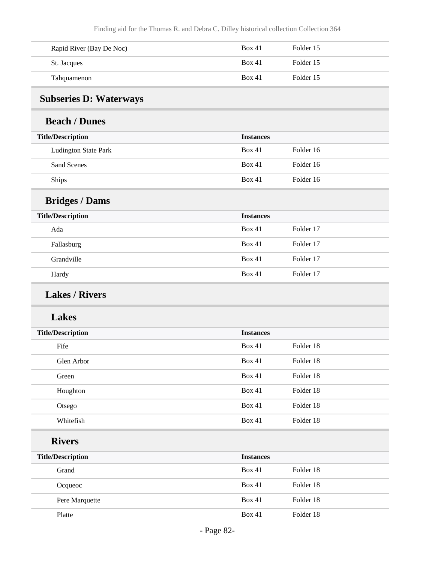| Rapid River (Bay De Noc) | Box 41 | Folder 15 |
|--------------------------|--------|-----------|
| St. Jacques              | Box 41 | Folder 15 |
| Tahquamenon              | Box 41 | Folder 15 |

### **Subseries D: Waterways**

#### **Beach / Dunes**

| <b>Title/Description</b>    | <b>Instances</b> |           |
|-----------------------------|------------------|-----------|
| <b>Ludington State Park</b> | Box 41           | Folder 16 |
| Sand Scenes                 | Box 41           | Folder 16 |
| <b>Ships</b>                | Box 41           | Folder 16 |

# **Bridges / Dams**

| <b>Title/Description</b> | <b>Instances</b> |           |
|--------------------------|------------------|-----------|
| Ada                      | Box 41           | Folder 17 |
| Fallasburg               | Box 41           | Folder 17 |
| Grandville               | Box 41           | Folder 17 |
| Hardy                    | Box 41           | Folder 17 |

### **Lakes / Rivers**

#### **Lakes**

| <b>Title/Description</b> | <b>Instances</b> |           |  |
|--------------------------|------------------|-----------|--|
| Fife                     | Box 41           | Folder 18 |  |
| Glen Arbor               | Box 41           | Folder 18 |  |
| Green                    | Box 41           | Folder 18 |  |
| Houghton                 | Box 41           | Folder 18 |  |
| Otsego                   | Box 41           | Folder 18 |  |
| Whitefish                | Box 41           | Folder 18 |  |

### **Rivers**

| <b>Title/Description</b> | <b>Instances</b> |           |
|--------------------------|------------------|-----------|
| Grand                    | Box 41           | Folder 18 |
| Ocqueoc                  | Box 41           | Folder 18 |
| Pere Marquette           | Box 41           | Folder 18 |
| Platte                   | Box 41           | Folder 18 |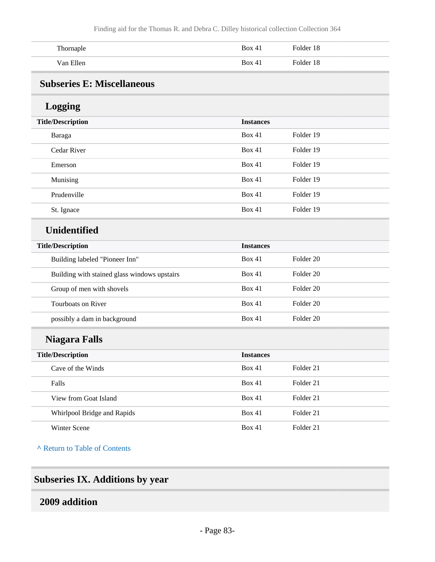| Thornaple | Box 41 | Folder 18 |
|-----------|--------|-----------|
| Van Ellen | Box 41 | Folder 18 |

### **Subseries E: Miscellaneous**

### **Logging**

| <b>Title/Description</b> | <b>Instances</b> |           |
|--------------------------|------------------|-----------|
| Baraga                   | Box 41           | Folder 19 |
| Cedar River              | Box 41           | Folder 19 |
| Emerson                  | Box 41           | Folder 19 |
| Munising                 | Box 41           | Folder 19 |
| Prudenville              | Box 41           | Folder 19 |
| St. Ignace               | Box 41           | Folder 19 |

#### **Unidentified**

| <b>Title/Description</b>                     | <b>Instances</b> |           |
|----------------------------------------------|------------------|-----------|
| Building labeled "Pioneer Inn"               | Box 41           | Folder 20 |
| Building with stained glass windows upstairs | Box 41           | Folder 20 |
| Group of men with shovels                    | Box 41           | Folder 20 |
| Tourboats on River                           | Box 41           | Folder 20 |
| possibly a dam in background                 | Box 41           | Folder 20 |

## **Niagara Falls**

| <b>Title/Description</b>    | <b>Instances</b> |           |
|-----------------------------|------------------|-----------|
| Cave of the Winds           | Box 41           | Folder 21 |
| Falls                       | Box 41           | Folder 21 |
| View from Goat Island       | Box 41           | Folder 21 |
| Whirlpool Bridge and Rapids | Box 41           | Folder 21 |
| <b>Winter Scene</b>         | Box 41           | Folder 21 |

**^** [Return to Table of Contents](#page-1-0)

### **Subseries IX. Additions by year**

### **2009 addition**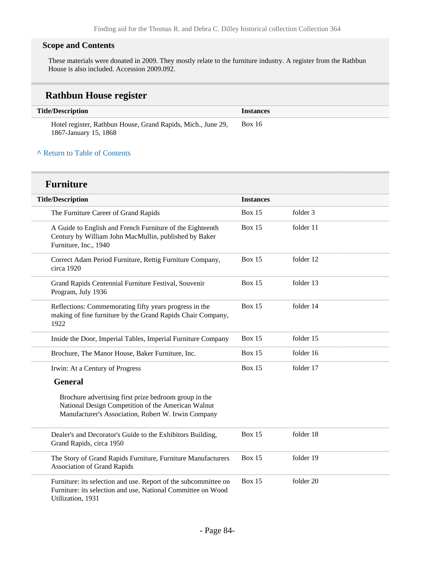#### **Scope and Contents**

These materials were donated in 2009. They mostly relate to the furniture industry. A register from the Rathbun House is also included. Accession 2009.092.

### **Rathbun House register**

| <b>Title/Description</b>                                                              | <i><u><b>Instances</b></u></i> |
|---------------------------------------------------------------------------------------|--------------------------------|
| Hotel register, Rathbun House, Grand Rapids, Mich., June 29,<br>1867-January 15, 1868 | <b>Box 16</b>                  |

#### **^** [Return to Table of Contents](#page-1-0)

#### **Furniture**

| <b>Title/Description</b>                                                                                                                                           | <b>Instances</b> |           |
|--------------------------------------------------------------------------------------------------------------------------------------------------------------------|------------------|-----------|
| The Furniture Career of Grand Rapids                                                                                                                               | <b>Box 15</b>    | folder 3  |
| A Guide to English and French Furniture of the Eighteenth<br>Century by William John MacMullin, published by Baker<br>Furniture, Inc., 1940                        | <b>Box 15</b>    | folder 11 |
| Correct Adam Period Furniture, Rettig Furniture Company,<br>circa 1920                                                                                             | <b>Box 15</b>    | folder 12 |
| Grand Rapids Centennial Furniture Festival, Souvenir<br>Program, July 1936                                                                                         | <b>Box 15</b>    | folder 13 |
| Reflections: Commemorating fifty years progress in the<br>making of fine furniture by the Grand Rapids Chair Company,<br>1922                                      | <b>Box 15</b>    | folder 14 |
| Inside the Door, Imperial Tables, Imperial Furniture Company                                                                                                       | <b>Box 15</b>    | folder 15 |
| Brochure, The Manor House, Baker Furniture, Inc.                                                                                                                   | <b>Box 15</b>    | folder 16 |
| Irwin: At a Century of Progress                                                                                                                                    | <b>Box 15</b>    | folder 17 |
| <b>General</b>                                                                                                                                                     |                  |           |
| Brochure advertising first prize bedroom group in the<br>National Design Competition of the American Walnut<br>Manufacturer's Association, Robert W. Irwin Company |                  |           |
| Dealer's and Decorator's Guide to the Exhibitors Building,<br>Grand Rapids, circa 1950                                                                             | <b>Box 15</b>    | folder 18 |
| The Story of Grand Rapids Furniture, Furniture Manufacturers<br><b>Association of Grand Rapids</b>                                                                 | <b>Box 15</b>    | folder 19 |
| Furniture: its selection and use. Report of the subcommittee on<br>Furniture: its selection and use, National Committee on Wood<br>Utilization, 1931               | <b>Box 15</b>    | folder 20 |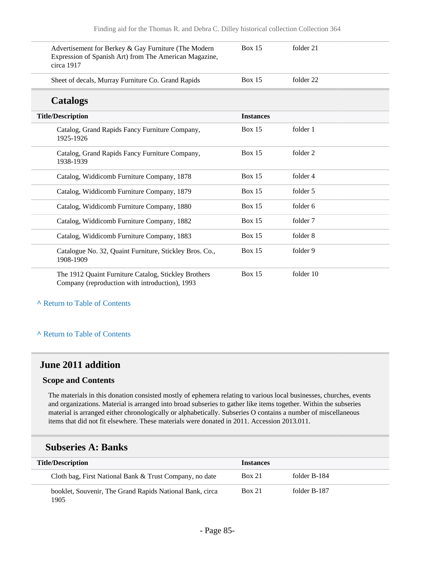| Advertisement for Berkey & Gay Furniture (The Modern<br>Expression of Spanish Art) from The American Magazine,<br>circa 1917 | <b>Box 15</b>    | folder 21 |
|------------------------------------------------------------------------------------------------------------------------------|------------------|-----------|
| Sheet of decals, Murray Furniture Co. Grand Rapids                                                                           | Box $15$         | folder 22 |
| <b>Catalogs</b>                                                                                                              |                  |           |
| <b>Title/Description</b>                                                                                                     | <b>Instances</b> |           |
| Catalog, Grand Rapids Fancy Furniture Company,<br>1925-1926                                                                  | <b>Box 15</b>    | folder 1  |
| Catalog, Grand Rapids Fancy Furniture Company,<br>1938-1939                                                                  | Box $15$         | folder 2  |
| Catalog, Widdicomb Furniture Company, 1878                                                                                   | Box $15$         | folder 4  |
| Catalog, Widdicomb Furniture Company, 1879                                                                                   | Box 15           | folder 5  |
| Catalog, Widdicomb Furniture Company, 1880                                                                                   | <b>Box 15</b>    | folder 6  |
| Catalog, Widdicomb Furniture Company, 1882                                                                                   | Box $15$         | folder 7  |
| Catalog, Widdicomb Furniture Company, 1883                                                                                   | Box $15$         | folder 8  |
| Catalogue No. 32, Quaint Furniture, Stickley Bros. Co.,<br>1908-1909                                                         | Box $15$         | folder 9  |
| The 1912 Quaint Furniture Catalog, Stickley Brothers<br>Company (reproduction with introduction), 1993                       | <b>Box 15</b>    | folder 10 |

#### **^** [Return to Table of Contents](#page-1-0)

#### **^** [Return to Table of Contents](#page-1-0)

#### **June 2011 addition**

#### **Scope and Contents**

The materials in this donation consisted mostly of ephemera relating to various local businesses, churches, events and organizations. Material is arranged into broad subseries to gather like items together. Within the subseries material is arranged either chronologically or alphabetically. Subseries O contains a number of miscellaneous items that did not fit elsewhere. These materials were donated in 2011. Accession 2013.011.

#### **Subseries A: Banks**

| <b>Title/Description</b>                                         | <b>Instances</b> |              |
|------------------------------------------------------------------|------------------|--------------|
| Cloth bag, First National Bank & Trust Company, no date          | <b>Box 21</b>    | folder B-184 |
| booklet, Souvenir, The Grand Rapids National Bank, circa<br>1905 | <b>Box 21</b>    | folder B-187 |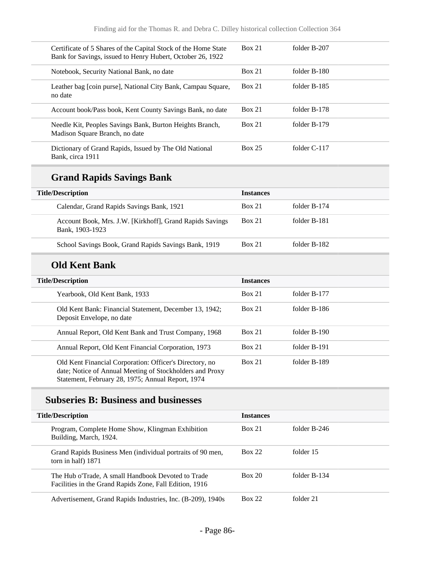| Certificate of 5 Shares of the Capital Stock of the Home State<br>Bank for Savings, issued to Henry Hubert, October 26, 1922 | <b>Box 21</b> | folder B-207   |
|------------------------------------------------------------------------------------------------------------------------------|---------------|----------------|
| Notebook, Security National Bank, no date                                                                                    | Box 21        | folder B-180   |
| Leather bag [coin purse], National City Bank, Campau Square,<br>no date                                                      | <b>Box 21</b> | folder B-185   |
| Account book/Pass book, Kent County Savings Bank, no date                                                                    | <b>Box 21</b> | folder B-178   |
| Needle Kit, Peoples Savings Bank, Burton Heights Branch,<br>Madison Square Branch, no date                                   | <b>Box 21</b> | folder B-179   |
| Dictionary of Grand Rapids, Issued by The Old National<br>Bank. circa 1911                                                   | <b>Box 25</b> | folder $C-117$ |

# **Grand Rapids Savings Bank**

| <b>Title/Description</b>                                                    | <b>Instances</b> |              |
|-----------------------------------------------------------------------------|------------------|--------------|
| Calendar, Grand Rapids Savings Bank, 1921                                   | <b>Box 21</b>    | folder B-174 |
| Account Book, Mrs. J.W. [Kirkhoff], Grand Rapids Savings<br>Bank, 1903-1923 | <b>Box 21</b>    | folder B-181 |
| School Savings Book, Grand Rapids Savings Bank, 1919                        | <b>Box 21</b>    | folder B-182 |

### **Old Kent Bank**

| <b>Title/Description</b> |                                                                                                                                                                          | <b>Instances</b> |              |  |
|--------------------------|--------------------------------------------------------------------------------------------------------------------------------------------------------------------------|------------------|--------------|--|
|                          | Yearbook, Old Kent Bank, 1933                                                                                                                                            | Box 21           | folder B-177 |  |
|                          | Old Kent Bank: Financial Statement, December 13, 1942;<br>Deposit Envelope, no date                                                                                      | Box 21           | folder B-186 |  |
|                          | Annual Report, Old Kent Bank and Trust Company, 1968                                                                                                                     | Box 21           | folder B-190 |  |
|                          | Annual Report, Old Kent Financial Corporation, 1973                                                                                                                      | <b>Box 21</b>    | folder B-191 |  |
|                          | Old Kent Financial Corporation: Officer's Directory, no<br>date; Notice of Annual Meeting of Stockholders and Proxy<br>Statement, February 28, 1975; Annual Report, 1974 | <b>Box 21</b>    | folder B-189 |  |

### **Subseries B: Business and businesses**

| <b>Title/Description</b> |                                                                                                               | <b>Instances</b> |              |
|--------------------------|---------------------------------------------------------------------------------------------------------------|------------------|--------------|
|                          | Program, Complete Home Show, Klingman Exhibition<br>Building, March, 1924.                                    | Box 21           | folder B-246 |
|                          | Grand Rapids Business Men (individual portraits of 90 men,<br>torn in half) 1871                              | <b>Box 22</b>    | folder 15    |
|                          | The Hub o'Trade, A small Handbook Devoted to Trade<br>Facilities in the Grand Rapids Zone, Fall Edition, 1916 | Box 20           | folder B-134 |
|                          | Advertisement, Grand Rapids Industries, Inc. (B-209), 1940s                                                   | <b>Box 22</b>    | folder 21    |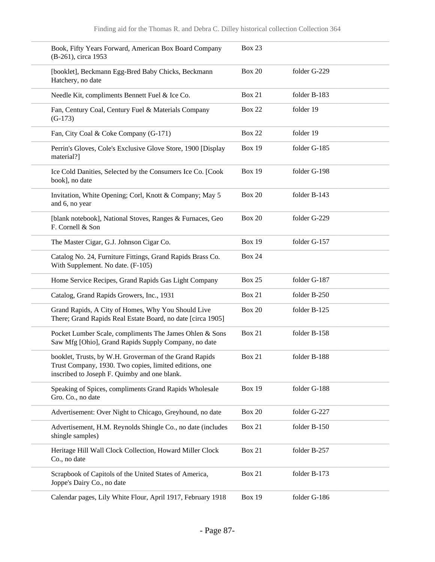| Book, Fifty Years Forward, American Box Board Company<br>(B-261), circa 1953                                                                                     | <b>Box 23</b> |              |
|------------------------------------------------------------------------------------------------------------------------------------------------------------------|---------------|--------------|
| [booklet], Beckmann Egg-Bred Baby Chicks, Beckmann<br>Hatchery, no date                                                                                          | <b>Box 20</b> | folder G-229 |
| Needle Kit, compliments Bennett Fuel & Ice Co.                                                                                                                   | <b>Box 21</b> | folder B-183 |
| Fan, Century Coal, Century Fuel & Materials Company<br>$(G-173)$                                                                                                 | <b>Box 22</b> | folder 19    |
| Fan, City Coal & Coke Company (G-171)                                                                                                                            | <b>Box 22</b> | folder 19    |
| Perrin's Gloves, Cole's Exclusive Glove Store, 1900 [Display<br>material?]                                                                                       | <b>Box 19</b> | folder G-185 |
| Ice Cold Danities, Selected by the Consumers Ice Co. [Cook<br>book], no date                                                                                     | <b>Box 19</b> | folder G-198 |
| Invitation, White Opening; Corl, Knott & Company; May 5<br>and 6, no year                                                                                        | <b>Box 20</b> | folder B-143 |
| [blank notebook], National Stoves, Ranges & Furnaces, Geo<br>F. Cornell & Son                                                                                    | <b>Box 20</b> | folder G-229 |
| The Master Cigar, G.J. Johnson Cigar Co.                                                                                                                         | <b>Box 19</b> | folder G-157 |
| Catalog No. 24, Furniture Fittings, Grand Rapids Brass Co.<br>With Supplement. No date. (F-105)                                                                  | <b>Box 24</b> |              |
| Home Service Recipes, Grand Rapids Gas Light Company                                                                                                             | <b>Box 25</b> | folder G-187 |
| Catalog, Grand Rapids Growers, Inc., 1931                                                                                                                        | <b>Box 21</b> | folder B-250 |
| Grand Rapids, A City of Homes, Why You Should Live<br>There; Grand Rapids Real Estate Board, no date [circa 1905]                                                | <b>Box 20</b> | folder B-125 |
| Pocket Lumber Scale, compliments The James Ohlen & Sons<br>Saw Mfg [Ohio], Grand Rapids Supply Company, no date                                                  | <b>Box 21</b> | folder B-158 |
| booklet, Trusts, by W.H. Groverman of the Grand Rapids<br>Trust Company, 1930. Two copies, limited editions, one<br>inscribed to Joseph F. Quimby and one blank. | <b>Box 21</b> | folder B-188 |
| Speaking of Spices, compliments Grand Rapids Wholesale<br>Gro. Co., no date                                                                                      | <b>Box 19</b> | folder G-188 |
| Advertisement: Over Night to Chicago, Greyhound, no date                                                                                                         | <b>Box 20</b> | folder G-227 |
| Advertisement, H.M. Reynolds Shingle Co., no date (includes<br>shingle samples)                                                                                  | <b>Box 21</b> | folder B-150 |
| Heritage Hill Wall Clock Collection, Howard Miller Clock<br>Co., no date                                                                                         | Box 21        | folder B-257 |
| Scrapbook of Capitols of the United States of America,<br>Joppe's Dairy Co., no date                                                                             | Box 21        | folder B-173 |
| Calendar pages, Lily White Flour, April 1917, February 1918                                                                                                      | <b>Box 19</b> | folder G-186 |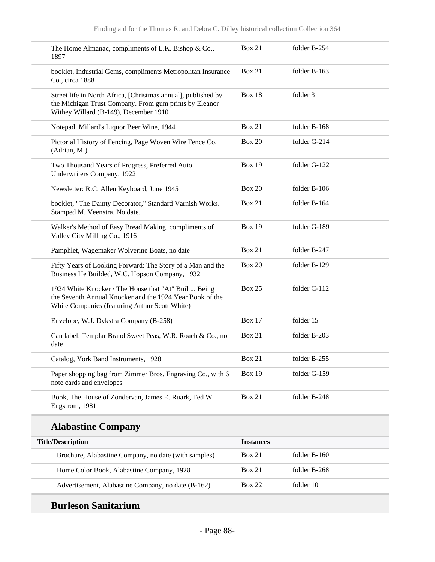| 1897 | The Home Almanac, compliments of L.K. Bishop & Co.,                                                                                                                | <b>Box 21</b> | folder B-254 |
|------|--------------------------------------------------------------------------------------------------------------------------------------------------------------------|---------------|--------------|
|      | booklet, Industrial Gems, compliments Metropolitan Insurance<br>Co., circa 1888                                                                                    | <b>Box 21</b> | folder B-163 |
|      | Street life in North Africa, [Christmas annual], published by<br>the Michigan Trust Company. From gum prints by Eleanor<br>Withey Willard (B-149), December 1910   | Box 18        | folder 3     |
|      | Notepad, Millard's Liquor Beer Wine, 1944                                                                                                                          | <b>Box 21</b> | folder B-168 |
|      | Pictorial History of Fencing, Page Woven Wire Fence Co.<br>(Adrian, Mi)                                                                                            | <b>Box 20</b> | folder G-214 |
|      | Two Thousand Years of Progress, Preferred Auto<br>Underwriters Company, 1922                                                                                       | <b>Box 19</b> | folder G-122 |
|      | Newsletter: R.C. Allen Keyboard, June 1945                                                                                                                         | <b>Box 20</b> | folder B-106 |
|      | booklet, "The Dainty Decorator," Standard Varnish Works.<br>Stamped M. Veenstra. No date.                                                                          | <b>Box 21</b> | folder B-164 |
|      | Walker's Method of Easy Bread Making, compliments of<br>Valley City Milling Co., 1916                                                                              | <b>Box 19</b> | folder G-189 |
|      | Pamphlet, Wagemaker Wolverine Boats, no date                                                                                                                       | <b>Box 21</b> | folder B-247 |
|      | Fifty Years of Looking Forward: The Story of a Man and the<br>Business He Builded, W.C. Hopson Company, 1932                                                       | <b>Box 20</b> | folder B-129 |
|      | 1924 White Knocker / The House that "At" Built Being<br>the Seventh Annual Knocker and the 1924 Year Book of the<br>White Companies (featuring Arthur Scott White) | <b>Box 25</b> | folder C-112 |
|      | Envelope, W.J. Dykstra Company (B-258)                                                                                                                             | <b>Box 17</b> | folder 15    |
| date | Can label: Templar Brand Sweet Peas, W.R. Roach & Co., no                                                                                                          | <b>Box 21</b> | folder B-203 |
|      | Catalog, York Band Instruments, 1928                                                                                                                               | <b>Box 21</b> | folder B-255 |
|      | Paper shopping bag from Zimmer Bros. Engraving Co., with 6<br>note cards and envelopes                                                                             | <b>Box 19</b> | folder G-159 |
|      | Book, The House of Zondervan, James E. Ruark, Ted W.<br>Engstrom, 1981                                                                                             | <b>Box 21</b> | folder B-248 |

# **Alabastine Company**

| <b>Title/Description</b>                             | <i><u><b>Instances</b></u></i> |                |
|------------------------------------------------------|--------------------------------|----------------|
| Brochure, Alabastine Company, no date (with samples) | <b>Box 21</b>                  | folder $B-160$ |
| Home Color Book, Alabastine Company, 1928            | <b>Box 21</b>                  | folder B-268   |
| Advertisement, Alabastine Company, no date (B-162)   | <b>Box 22</b>                  | folder 10      |

# **Burleson Sanitarium**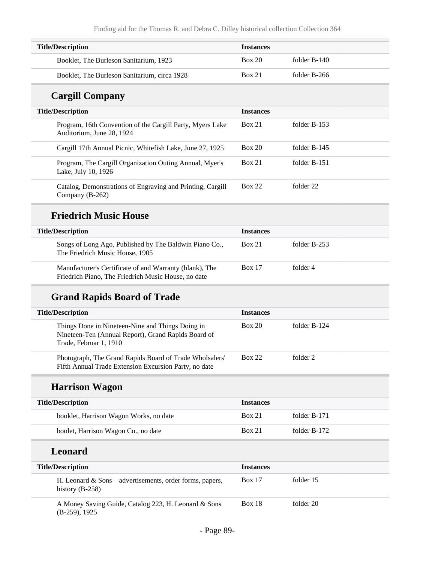| <b>Title/Description</b>                     | <i><u><b>Instances</b></u></i> |              |
|----------------------------------------------|--------------------------------|--------------|
| Booklet, The Burleson Sanitarium, 1923       | Box 20                         | folder B-140 |
| Booklet, The Burleson Sanitarium, circa 1928 | <b>Box 21</b>                  | folder B-266 |

## **Cargill Company**

| <b>Title/Description</b> |                                                                                        | <b>Instances</b> |                |
|--------------------------|----------------------------------------------------------------------------------------|------------------|----------------|
|                          | Program, 16th Convention of the Cargill Party, Myers Lake<br>Auditorium, June 28, 1924 | <b>Box 21</b>    | folder $B-153$ |
|                          | Cargill 17th Annual Picnic, Whitefish Lake, June 27, 1925                              | Box 20           | folder B-145   |
|                          | Program, The Cargill Organization Outing Annual, Myer's<br>Lake, July 10, 1926         | Box 21           | folder B-151   |
|                          | Catalog, Demonstrations of Engraving and Printing, Cargill<br>Company (B-262)          | Box 22           | folder 22      |

### **Friedrich Music House**

| <b>Title/Description</b>                                                                                       | <b>Instances</b> |              |
|----------------------------------------------------------------------------------------------------------------|------------------|--------------|
| Songs of Long Ago, Published by The Baldwin Piano Co.,<br>The Friedrich Music House, 1905                      | <b>Box 21</b>    | folder B-253 |
| Manufacturer's Certificate of and Warranty (blank), The<br>Friedrich Piano, The Friedrich Music House, no date | <b>Box 17</b>    | folder 4     |

## **Grand Rapids Board of Trade**

| <b>Title/Description</b>                                                                                                          | <b>Instances</b> |              |
|-----------------------------------------------------------------------------------------------------------------------------------|------------------|--------------|
| Things Done in Nineteen-Nine and Things Doing in<br>Nineteen-Ten (Annual Report), Grand Rapids Board of<br>Trade, Februar 1, 1910 | Box 20           | folder B-124 |
| Photograph, The Grand Rapids Board of Trade Wholsalers'<br>Fifth Annual Trade Extension Excursion Party, no date                  | <b>Box 22</b>    | folder 2     |

## **Harrison Wagon**

| <b>Title/Description</b>               | <b>Instances</b> |              |
|----------------------------------------|------------------|--------------|
| booklet, Harrison Wagon Works, no date | Box 21           | folder B-171 |
| boolet, Harrison Wagon Co., no date    | <b>Box 21</b>    | folder B-172 |
| <b>Leonard</b>                         |                  |              |

| <b>Title/Description</b>                                  | <b>Instances</b> |
|-----------------------------------------------------------|------------------|
| H. Leonard $& Sons - advertisement, order forms, papers,$ | <b>Box 17</b>    |
| history $(B-258)$                                         | folder 15        |
| A Money Saving Guide, Catalog 223, H. Leonard & Sons      | folder 20        |
| $(B-259), 1925$                                           | <b>Box 18</b>    |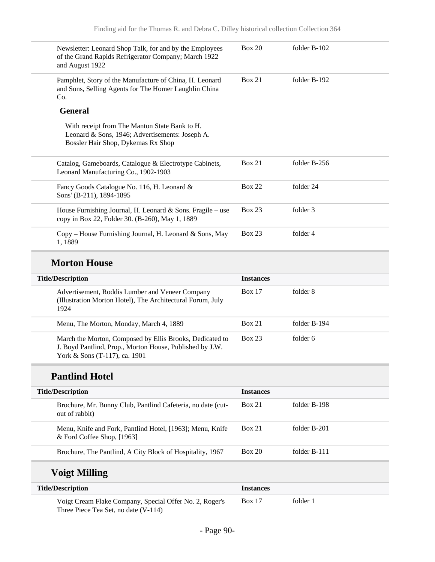| Newsletter: Leonard Shop Talk, for and by the Employees<br>of the Grand Rapids Refrigerator Company; March 1922<br>and August 1922                    | <b>Box 20</b>    | folder B-102 |
|-------------------------------------------------------------------------------------------------------------------------------------------------------|------------------|--------------|
| Pamphlet, Story of the Manufacture of China, H. Leonard<br>and Sons, Selling Agents for The Homer Laughlin China<br>Co.                               | <b>Box 21</b>    | folder B-192 |
| <b>General</b>                                                                                                                                        |                  |              |
| With receipt from The Manton State Bank to H.<br>Leonard & Sons, 1946; Advertisements: Joseph A.<br>Bossler Hair Shop, Dykemas Rx Shop                |                  |              |
| Catalog, Gameboards, Catalogue & Electrotype Cabinets,<br>Leonard Manufacturing Co., 1902-1903                                                        | <b>Box 21</b>    | folder B-256 |
| Fancy Goods Catalogue No. 116, H. Leonard &<br>Sons' (B-211), 1894-1895                                                                               | <b>Box 22</b>    | folder 24    |
| House Furnishing Journal, H. Leonard & Sons. Fragile – use<br>copy in Box 22, Folder 30. (B-260), May 1, 1889                                         | <b>Box 23</b>    | folder 3     |
| Copy - House Furnishing Journal, H. Leonard & Sons, May<br>1,1889                                                                                     | <b>Box 23</b>    | folder 4     |
|                                                                                                                                                       |                  |              |
| <b>Morton House</b>                                                                                                                                   |                  |              |
| <b>Title/Description</b>                                                                                                                              | <b>Instances</b> |              |
| Advertisement, Roddis Lumber and Veneer Company<br>(Illustration Morton Hotel), The Architectural Forum, July<br>1924                                 | <b>Box 17</b>    | folder 8     |
| Menu, The Morton, Monday, March 4, 1889                                                                                                               | <b>Box 21</b>    | folder B-194 |
| March the Morton, Composed by Ellis Brooks, Dedicated to<br>J. Boyd Pantlind, Prop., Morton House, Published by J.W.<br>York & Sons (T-117), ca. 1901 | <b>Box 23</b>    | folder 6     |
| <b>Pantlind Hotel</b>                                                                                                                                 |                  |              |
| <b>Title/Description</b>                                                                                                                              | <b>Instances</b> |              |
| Brochure, Mr. Bunny Club, Pantlind Cafeteria, no date (cut-<br>out of rabbit)                                                                         | Box 21           | folder B-198 |
| Menu, Knife and Fork, Pantlind Hotel, [1963]; Menu, Knife<br>& Ford Coffee Shop, [1963]                                                               | <b>Box 21</b>    | folder B-201 |

# **Voigt Milling**

| <b>Title/Description</b>                                                                        | <i><u><b>Instances</b></u></i> |          |
|-------------------------------------------------------------------------------------------------|--------------------------------|----------|
| Voigt Cream Flake Company, Special Offer No. 2, Roger's<br>Three Piece Tea Set, no date (V-114) | <b>Box</b> 17                  | folder 1 |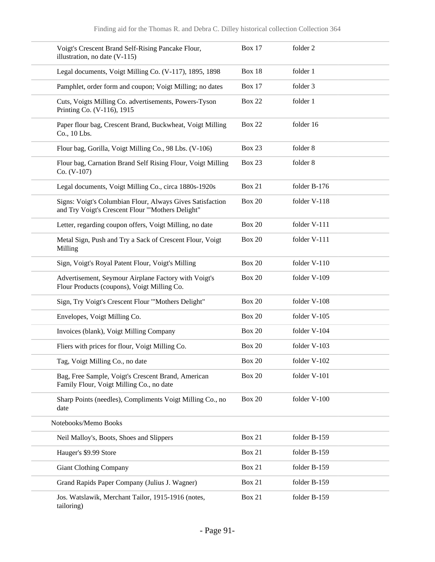| Voigt's Crescent Brand Self-Rising Pancake Flour,<br>illustration, no date (V-115)                             | <b>Box 17</b> | folder 2     |
|----------------------------------------------------------------------------------------------------------------|---------------|--------------|
| Legal documents, Voigt Milling Co. (V-117), 1895, 1898                                                         | <b>Box 18</b> | folder 1     |
| Pamphlet, order form and coupon; Voigt Milling; no dates                                                       | <b>Box 17</b> | folder 3     |
| Cuts, Voigts Milling Co. advertisements, Powers-Tyson<br>Printing Co. (V-116), 1915                            | <b>Box 22</b> | folder 1     |
| Paper flour bag, Crescent Brand, Buckwheat, Voigt Milling<br>Co., 10 Lbs.                                      | <b>Box 22</b> | folder 16    |
| Flour bag, Gorilla, Voigt Milling Co., 98 Lbs. (V-106)                                                         | Box 23        | folder 8     |
| Flour bag, Carnation Brand Self Rising Flour, Voigt Milling<br>$Co. (V-107)$                                   | <b>Box 23</b> | folder 8     |
| Legal documents, Voigt Milling Co., circa 1880s-1920s                                                          | <b>Box 21</b> | folder B-176 |
| Signs: Voigt's Columbian Flour, Always Gives Satisfaction<br>and Try Voigt's Crescent Flour "'Mothers Delight" | <b>Box 20</b> | folder V-118 |
| Letter, regarding coupon offers, Voigt Milling, no date                                                        | <b>Box 20</b> | folder V-111 |
| Metal Sign, Push and Try a Sack of Crescent Flour, Voigt<br>Milling                                            | <b>Box 20</b> | folder V-111 |
| Sign, Voigt's Royal Patent Flour, Voigt's Milling                                                              | <b>Box 20</b> | folder V-110 |
| Advertisement, Seymour Airplane Factory with Voigt's<br>Flour Products (coupons), Voigt Milling Co.            | <b>Box 20</b> | folder V-109 |
| Sign, Try Voigt's Crescent Flour "'Mothers Delight"                                                            | <b>Box 20</b> | folder V-108 |
| Envelopes, Voigt Milling Co.                                                                                   | <b>Box 20</b> | folder V-105 |
| Invoices (blank), Voigt Milling Company                                                                        | <b>Box 20</b> | folder V-104 |
| Fliers with prices for flour, Voigt Milling Co.                                                                | <b>Box 20</b> | folder V-103 |
| Tag, Voigt Milling Co., no date                                                                                | <b>Box 20</b> | folder V-102 |
| Bag, Free Sample, Voigt's Crescent Brand, American<br>Family Flour, Voigt Milling Co., no date                 | <b>Box 20</b> | folder V-101 |
| Sharp Points (needles), Compliments Voigt Milling Co., no<br>date                                              | <b>Box 20</b> | folder V-100 |
| Notebooks/Memo Books                                                                                           |               |              |
| Neil Malloy's, Boots, Shoes and Slippers                                                                       | <b>Box 21</b> | folder B-159 |
| Hauger's \$9.99 Store                                                                                          | <b>Box 21</b> | folder B-159 |
| <b>Giant Clothing Company</b>                                                                                  | <b>Box 21</b> | folder B-159 |
| Grand Rapids Paper Company (Julius J. Wagner)                                                                  | <b>Box 21</b> | folder B-159 |
| Jos. Watslawik, Merchant Tailor, 1915-1916 (notes,<br>tailoring)                                               | <b>Box 21</b> | folder B-159 |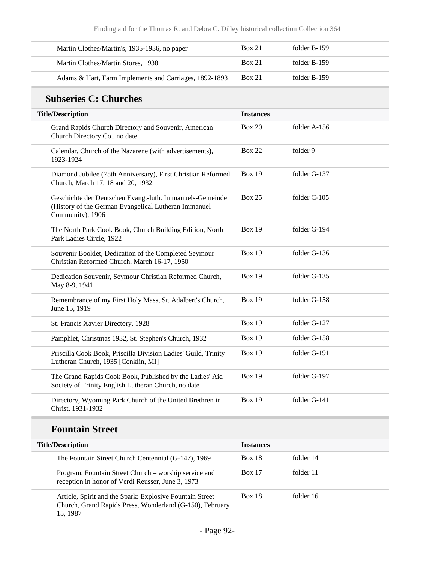| Martin Clothes/Martin's, 1935-1936, no paper           | Box 21        | folder B-159 |  |
|--------------------------------------------------------|---------------|--------------|--|
| Martin Clothes/Martin Stores, 1938                     | <b>Box 21</b> | folder B-159 |  |
| Adams & Hart, Farm Implements and Carriages, 1892-1893 | <b>Box 21</b> | folder B-159 |  |

# **Subseries C: Churches**

| <b>Title/Description</b>                                                                                                             | <b>Instances</b> |              |
|--------------------------------------------------------------------------------------------------------------------------------------|------------------|--------------|
| Grand Rapids Church Directory and Souvenir, American<br>Church Directory Co., no date                                                | <b>Box 20</b>    | folder A-156 |
| Calendar, Church of the Nazarene (with advertisements),<br>1923-1924                                                                 | <b>Box 22</b>    | folder 9     |
| Diamond Jubilee (75th Anniversary), First Christian Reformed<br>Church, March 17, 18 and 20, 1932                                    | <b>Box 19</b>    | folder G-137 |
| Geschichte der Deutschen Evang.-luth. Immanuels-Gemeinde<br>(History of the German Evangelical Lutheran Immanuel<br>Community), 1906 | <b>Box 25</b>    | folder C-105 |
| The North Park Cook Book, Church Building Edition, North<br>Park Ladies Circle, 1922                                                 | <b>Box 19</b>    | folder G-194 |
| Souvenir Booklet, Dedication of the Completed Seymour<br>Christian Reformed Church, March 16-17, 1950                                | <b>Box 19</b>    | folder G-136 |
| Dedication Souvenir, Seymour Christian Reformed Church,<br>May 8-9, 1941                                                             | <b>Box 19</b>    | folder G-135 |
| Remembrance of my First Holy Mass, St. Adalbert's Church,<br>June 15, 1919                                                           | <b>Box 19</b>    | folder G-158 |
| St. Francis Xavier Directory, 1928                                                                                                   | <b>Box 19</b>    | folder G-127 |
| Pamphlet, Christmas 1932, St. Stephen's Church, 1932                                                                                 | <b>Box 19</b>    | folder G-158 |
| Priscilla Cook Book, Priscilla Division Ladies' Guild, Trinity<br>Lutheran Church, 1935 [Conklin, MI]                                | <b>Box 19</b>    | folder G-191 |
| The Grand Rapids Cook Book, Published by the Ladies' Aid<br>Society of Trinity English Lutheran Church, no date                      | <b>Box 19</b>    | folder G-197 |
| Directory, Wyoming Park Church of the United Brethren in<br>Christ, 1931-1932                                                        | <b>Box 19</b>    | folder G-141 |

### **Fountain Street**

| <b>Title/Description</b>                                                                                                         | <b>Instances</b> |           |
|----------------------------------------------------------------------------------------------------------------------------------|------------------|-----------|
| The Fountain Street Church Centennial (G-147), 1969                                                                              | <b>Box 18</b>    | folder 14 |
| Program, Fountain Street Church – worship service and<br>reception in honor of Verdi Reusser, June 3, 1973                       | <b>Box 17</b>    | folder 11 |
| Article, Spirit and the Spark: Explosive Fountain Street<br>Church, Grand Rapids Press, Wonderland (G-150), February<br>15, 1987 | <b>Box 18</b>    | folder 16 |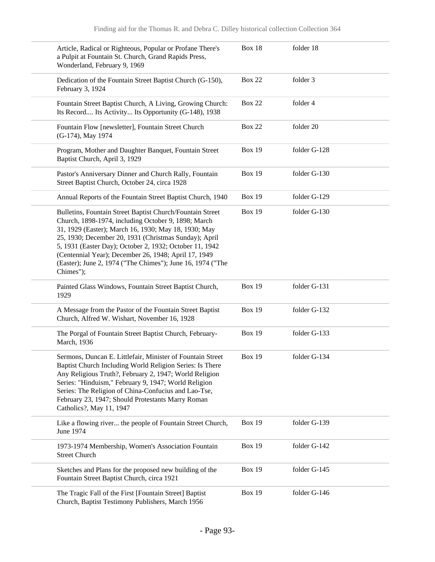| Article, Radical or Righteous, Popular or Profane There's<br>a Pulpit at Fountain St. Church, Grand Rapids Press,<br>Wonderland, February 9, 1969                                                                                                                                                                                                                                                                               | <b>Box 18</b> | folder 18    |
|---------------------------------------------------------------------------------------------------------------------------------------------------------------------------------------------------------------------------------------------------------------------------------------------------------------------------------------------------------------------------------------------------------------------------------|---------------|--------------|
| Dedication of the Fountain Street Baptist Church (G-150),<br>February 3, 1924                                                                                                                                                                                                                                                                                                                                                   | <b>Box 22</b> | folder 3     |
| Fountain Street Baptist Church, A Living, Growing Church:<br>Its Record Its Activity Its Opportunity (G-148), 1938                                                                                                                                                                                                                                                                                                              | <b>Box 22</b> | folder 4     |
| Fountain Flow [newsletter], Fountain Street Church<br>(G-174), May 1974                                                                                                                                                                                                                                                                                                                                                         | <b>Box 22</b> | folder 20    |
| Program, Mother and Daughter Banquet, Fountain Street<br>Baptist Church, April 3, 1929                                                                                                                                                                                                                                                                                                                                          | <b>Box 19</b> | folder G-128 |
| Pastor's Anniversary Dinner and Church Rally, Fountain<br>Street Baptist Church, October 24, circa 1928                                                                                                                                                                                                                                                                                                                         | <b>Box 19</b> | folder G-130 |
| Annual Reports of the Fountain Street Baptist Church, 1940                                                                                                                                                                                                                                                                                                                                                                      | <b>Box 19</b> | folder G-129 |
| Bulletins, Fountain Street Baptist Church/Fountain Street<br>Church, 1898-1974, including October 9, 1898; March<br>31, 1929 (Easter); March 16, 1930; May 18, 1930; May<br>25, 1930; December 20, 1931 (Christmas Sunday); April<br>5, 1931 (Easter Day); October 2, 1932; October 11, 1942<br>(Centennial Year); December 26, 1948; April 17, 1949<br>(Easter); June 2, 1974 ("The Chimes"); June 16, 1974 ("The<br>Chimes"); | <b>Box 19</b> | folder G-130 |
| Painted Glass Windows, Fountain Street Baptist Church,<br>1929                                                                                                                                                                                                                                                                                                                                                                  | <b>Box 19</b> | folder G-131 |
| A Message from the Pastor of the Fountain Street Baptist<br>Church, Alfred W. Wishart, November 16, 1928                                                                                                                                                                                                                                                                                                                        | <b>Box 19</b> | folder G-132 |
| The Porgal of Fountain Street Baptist Church, February-<br>March, 1936                                                                                                                                                                                                                                                                                                                                                          | <b>Box 19</b> | folder G-133 |
| Sermons, Duncan E. Littlefair, Minister of Fountain Street<br>Baptist Church Including World Religion Series: Is There<br>Any Religious Truth?, February 2, 1947; World Religion<br>Series: "Hinduism," February 9, 1947; World Religion<br>Series: The Religion of China-Confucius and Lao-Tse,<br>February 23, 1947; Should Protestants Marry Roman<br>Catholics?, May 11, 1947                                               | <b>Box 19</b> | folder G-134 |
| Like a flowing river the people of Fountain Street Church,<br>June 1974                                                                                                                                                                                                                                                                                                                                                         | <b>Box 19</b> | folder G-139 |
| 1973-1974 Membership, Women's Association Fountain<br><b>Street Church</b>                                                                                                                                                                                                                                                                                                                                                      | <b>Box 19</b> | folder G-142 |
| Sketches and Plans for the proposed new building of the<br>Fountain Street Baptist Church, circa 1921                                                                                                                                                                                                                                                                                                                           | <b>Box 19</b> | folder G-145 |
| The Tragic Fall of the First [Fountain Street] Baptist<br>Church, Baptist Testimony Publishers, March 1956                                                                                                                                                                                                                                                                                                                      | <b>Box 19</b> | folder G-146 |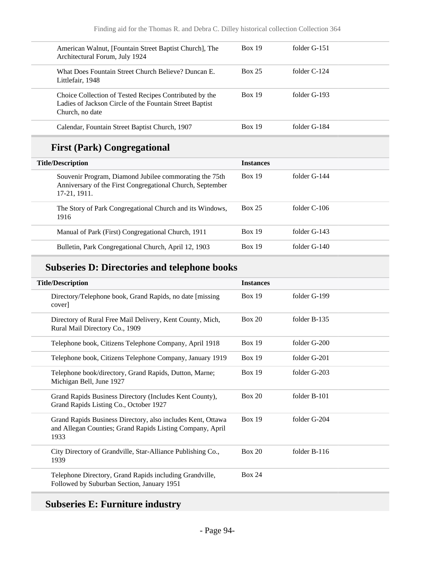| American Walnut, [Fountain Street Baptist Church], The<br>Architectural Forum, July 1924                                             | Box 19        | folder G-151   |
|--------------------------------------------------------------------------------------------------------------------------------------|---------------|----------------|
| What Does Fountain Street Church Believe? Duncan E.<br>Littlefair, 1948                                                              | <b>Box 25</b> | folder $C-124$ |
| Choice Collection of Tested Recipes Contributed by the<br>Ladies of Jackson Circle of the Fountain Street Baptist<br>Church, no date | Box 19        | folder G-193   |
| Calendar, Fountain Street Baptist Church, 1907                                                                                       | Box 19        | folder G-184   |

# **First (Park) Congregational**

| <b>Title/Description</b>                                                                                                            | <b>Instances</b> |              |
|-------------------------------------------------------------------------------------------------------------------------------------|------------------|--------------|
| Souvenir Program, Diamond Jubilee commorating the 75th<br>Anniversary of the First Congregational Church, September<br>17-21, 1911. | <b>Box 19</b>    | folder G-144 |
| The Story of Park Congregational Church and its Windows,<br>1916                                                                    | <b>Box 25</b>    | folder C-106 |
| Manual of Park (First) Congregational Church, 1911                                                                                  | <b>Box 19</b>    | folder G-143 |
| Bulletin, Park Congregational Church, April 12, 1903                                                                                | <b>Box 19</b>    | folder G-140 |

## **Subseries D: Directories and telephone books**

| <b>Title/Description</b>                                                                                                         | <b>Instances</b> |                |
|----------------------------------------------------------------------------------------------------------------------------------|------------------|----------------|
| Directory/Telephone book, Grand Rapids, no date [missing]<br>cover                                                               | <b>Box 19</b>    | folder G-199   |
| Directory of Rural Free Mail Delivery, Kent County, Mich,<br>Rural Mail Directory Co., 1909                                      | Box 20           | folder B-135   |
| Telephone book, Citizens Telephone Company, April 1918                                                                           | <b>Box 19</b>    | folder $G-200$ |
| Telephone book, Citizens Telephone Company, January 1919                                                                         | <b>Box 19</b>    | folder G-201   |
| Telephone book/directory, Grand Rapids, Dutton, Marne;<br>Michigan Bell, June 1927                                               | <b>Box 19</b>    | folder G-203   |
| Grand Rapids Business Directory (Includes Kent County),<br>Grand Rapids Listing Co., October 1927                                | Box 20           | folder B-101   |
| Grand Rapids Business Directory, also includes Kent, Ottawa<br>and Allegan Counties; Grand Rapids Listing Company, April<br>1933 | <b>Box 19</b>    | folder G-204   |
| City Directory of Grandville, Star-Alliance Publishing Co.,<br>1939                                                              | Box 20           | folder B-116   |
| Telephone Directory, Grand Rapids including Grandville,<br>Followed by Suburban Section, January 1951                            | <b>Box 24</b>    |                |

# **Subseries E: Furniture industry**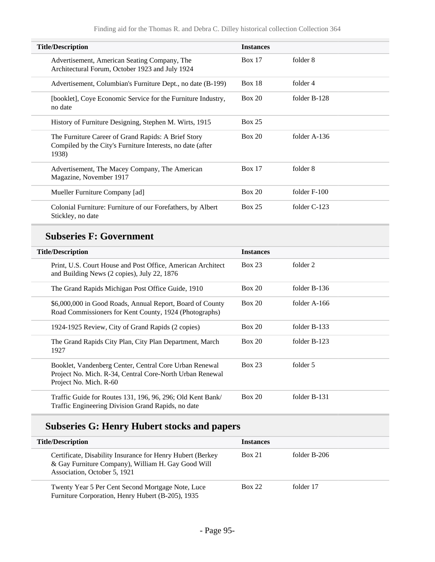| <b>Title/Description</b>                                                                                                   | <b>Instances</b> |                |
|----------------------------------------------------------------------------------------------------------------------------|------------------|----------------|
| Advertisement, American Seating Company, The<br>Architectural Forum, October 1923 and July 1924                            | <b>Box 17</b>    | folder 8       |
| Advertisement, Columbian's Furniture Dept., no date (B-199)                                                                | <b>Box 18</b>    | folder 4       |
| [booklet], Coye Economic Service for the Furniture Industry,<br>no date                                                    | Box 20           | folder B-128   |
| History of Furniture Designing, Stephen M. Wirts, 1915                                                                     | <b>Box 25</b>    |                |
| The Furniture Career of Grand Rapids: A Brief Story<br>Compiled by the City's Furniture Interests, no date (after<br>1938) | Box 20           | folder $A-136$ |
| Advertisement, The Macey Company, The American<br>Magazine, November 1917                                                  | Box 17           | folder 8       |
| Mueller Furniture Company [ad]                                                                                             | Box 20           | folder $F-100$ |
| Colonial Furniture: Furniture of our Forefathers, by Albert<br>Stickley, no date                                           | <b>Box 25</b>    | folder $C-123$ |

## **Subseries F: Government**

| <b>Title/Description</b>                                                                                                                     | <b>Instances</b> |                |
|----------------------------------------------------------------------------------------------------------------------------------------------|------------------|----------------|
| Print, U.S. Court House and Post Office, American Architect<br>and Building News (2 copies), July 22, 1876                                   | <b>Box 23</b>    | folder 2       |
| The Grand Rapids Michigan Post Office Guide, 1910                                                                                            | Box 20           | folder $B-136$ |
| \$6,000,000 in Good Roads, Annual Report, Board of County<br>Road Commissioners for Kent County, 1924 (Photographs)                          | Box 20           | folder $A-166$ |
| 1924-1925 Review, City of Grand Rapids (2 copies)                                                                                            | Box 20           | folder $B-133$ |
| The Grand Rapids City Plan, City Plan Department, March<br>1927                                                                              | Box 20           | folder $B-123$ |
| Booklet, Vandenberg Center, Central Core Urban Renewal<br>Project No. Mich. R-34, Central Core-North Urban Renewal<br>Project No. Mich. R-60 | <b>Box 23</b>    | folder 5       |
| Traffic Guide for Routes 131, 196, 96, 296; Old Kent Bank/<br>Traffic Engineering Division Grand Rapids, no date                             | Box 20           | folder B-131   |

## **Subseries G: Henry Hubert stocks and papers**

| <b>Title/Description</b>                                                                                                                          | <b>Instances</b> |              |
|---------------------------------------------------------------------------------------------------------------------------------------------------|------------------|--------------|
| Certificate, Disability Insurance for Henry Hubert (Berkey)<br>& Gay Furniture Company), William H. Gay Good Will<br>Association, October 5, 1921 | <b>Box 21</b>    | folder B-206 |
| Twenty Year 5 Per Cent Second Mortgage Note, Luce<br>Furniture Corporation, Henry Hubert (B-205), 1935                                            | <b>Box 22</b>    | folder 17    |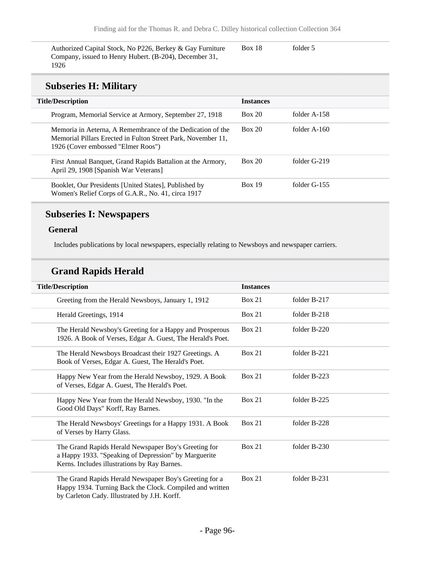Authorized Capital Stock, No P226, Berkey & Gay Furniture Company, issued to Henry Hubert. (B-204), December 31, 1926

Box 18 folder 5

#### **Subseries H: Military**

| <b>Title/Description</b>                                                                                                                                         | <b>Instances</b> |                |
|------------------------------------------------------------------------------------------------------------------------------------------------------------------|------------------|----------------|
| Program, Memorial Service at Armory, September 27, 1918                                                                                                          | <b>Box 20</b>    | folder A-158   |
| Memoria in Aeterna, A Remembrance of the Dedication of the<br>Memorial Pillars Erected in Fulton Street Park, November 11,<br>1926 (Cover embossed "Elmer Roos") | <b>Box 20</b>    | folder $A-160$ |
| First Annual Banquet, Grand Rapids Battalion at the Armory,<br>April 29, 1908 [Spanish War Veterans]                                                             | Box 20           | folder G-219   |
| Booklet, Our Presidents [United States], Published by<br>Women's Relief Corps of G.A.R., No. 41, circa 1917                                                      | <b>Box 19</b>    | folder $G-155$ |

#### **Subseries I: Newspapers**

#### **General**

Includes publications by local newspapers, especially relating to Newsboys and newspaper carriers.

### **Grand Rapids Herald**

| <b>Title/Description</b>                                                                                                                                           | <b>Instances</b> |              |
|--------------------------------------------------------------------------------------------------------------------------------------------------------------------|------------------|--------------|
| Greeting from the Herald Newsboys, January 1, 1912                                                                                                                 | Box 21           | folder B-217 |
| Herald Greetings, 1914                                                                                                                                             | Box 21           | folder B-218 |
| The Herald Newsboy's Greeting for a Happy and Prosperous<br>1926. A Book of Verses, Edgar A. Guest, The Herald's Poet.                                             | Box 21           | folder B-220 |
| The Herald Newsboys Broadcast their 1927 Greetings. A<br>Book of Verses, Edgar A. Guest, The Herald's Poet.                                                        | Box 21           | folder B-221 |
| Happy New Year from the Herald Newsboy, 1929. A Book<br>of Verses, Edgar A. Guest, The Herald's Poet.                                                              | Box 21           | folder B-223 |
| Happy New Year from the Herald Newsboy, 1930. "In the<br>Good Old Days" Korff, Ray Barnes.                                                                         | Box 21           | folder B-225 |
| The Herald Newsboys' Greetings for a Happy 1931. A Book<br>of Verses by Harry Glass.                                                                               | <b>Box 21</b>    | folder B-228 |
| The Grand Rapids Herald Newspaper Boy's Greeting for<br>a Happy 1933. "Speaking of Depression" by Marguerite<br>Kerns. Includes illustrations by Ray Barnes.       | Box 21           | folder B-230 |
| The Grand Rapids Herald Newspaper Boy's Greeting for a<br>Happy 1934. Turning Back the Clock. Compiled and written<br>by Carleton Cady. Illustrated by J.H. Korff. | Box 21           | folder B-231 |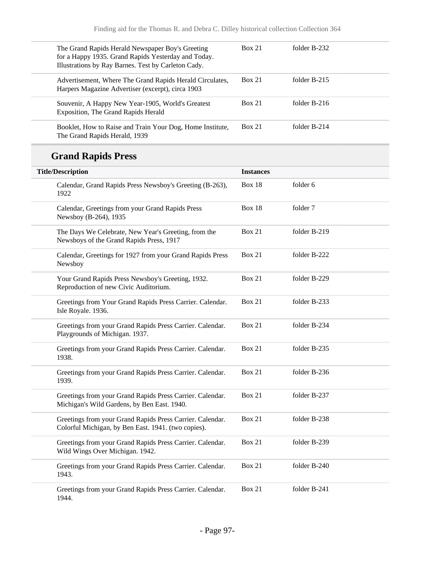| The Grand Rapids Herald Newspaper Boy's Greeting<br>for a Happy 1935. Grand Rapids Yesterday and Today.<br>Illustrations by Ray Barnes. Test by Carleton Cady. | Box 21 | folder B-232   |  |
|----------------------------------------------------------------------------------------------------------------------------------------------------------------|--------|----------------|--|
| Advertisement, Where The Grand Rapids Herald Circulates,<br>Harpers Magazine Advertiser (excerpt), circa 1903                                                  | Box 21 | folder $B-215$ |  |
| Souvenir, A Happy New Year-1905, World's Greatest<br>Exposition, The Grand Rapids Herald                                                                       | Box 21 | folder $B-216$ |  |
| Booklet, How to Raise and Train Your Dog, Home Institute,<br>The Grand Rapids Herald, 1939                                                                     | Box 21 | folder B-214   |  |

# **Grand Rapids Press**

| <b>Title/Description</b>                                                                                         | <b>Instances</b> |              |
|------------------------------------------------------------------------------------------------------------------|------------------|--------------|
| Calendar, Grand Rapids Press Newsboy's Greeting (B-263),<br>1922                                                 | <b>Box 18</b>    | folder 6     |
| Calendar, Greetings from your Grand Rapids Press<br>Newsboy (B-264), 1935                                        | <b>Box 18</b>    | folder 7     |
| The Days We Celebrate, New Year's Greeting, from the<br>Newsboys of the Grand Rapids Press, 1917                 | <b>Box 21</b>    | folder B-219 |
| Calendar, Greetings for 1927 from your Grand Rapids Press<br>Newsboy                                             | <b>Box 21</b>    | folder B-222 |
| Your Grand Rapids Press Newsboy's Greeting, 1932.<br>Reproduction of new Civic Auditorium.                       | <b>Box 21</b>    | folder B-229 |
| Greetings from Your Grand Rapids Press Carrier. Calendar.<br>Isle Royale. 1936.                                  | <b>Box 21</b>    | folder B-233 |
| Greetings from your Grand Rapids Press Carrier. Calendar.<br>Playgrounds of Michigan. 1937.                      | <b>Box 21</b>    | folder B-234 |
| Greetings from your Grand Rapids Press Carrier. Calendar.<br>1938.                                               | <b>Box 21</b>    | folder B-235 |
| Greetings from your Grand Rapids Press Carrier. Calendar.<br>1939.                                               | <b>Box 21</b>    | folder B-236 |
| Greetings from your Grand Rapids Press Carrier. Calendar.<br>Michigan's Wild Gardens, by Ben East. 1940.         | <b>Box 21</b>    | folder B-237 |
| Greetings from your Grand Rapids Press Carrier. Calendar.<br>Colorful Michigan, by Ben East. 1941. (two copies). | <b>Box 21</b>    | folder B-238 |
| Greetings from your Grand Rapids Press Carrier. Calendar.<br>Wild Wings Over Michigan. 1942.                     | Box 21           | folder B-239 |
| Greetings from your Grand Rapids Press Carrier. Calendar.<br>1943.                                               | Box 21           | folder B-240 |
| Greetings from your Grand Rapids Press Carrier. Calendar.<br>1944.                                               | Box 21           | folder B-241 |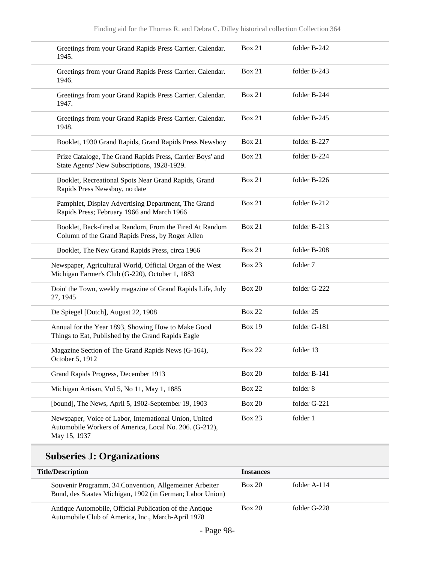| Greetings from your Grand Rapids Press Carrier. Calendar.<br>1945.                                                               | <b>Box 21</b> | folder B-242 |  |
|----------------------------------------------------------------------------------------------------------------------------------|---------------|--------------|--|
| Greetings from your Grand Rapids Press Carrier. Calendar.<br>1946.                                                               | <b>Box 21</b> | folder B-243 |  |
| Greetings from your Grand Rapids Press Carrier. Calendar.<br>1947.                                                               | <b>Box 21</b> | folder B-244 |  |
| Greetings from your Grand Rapids Press Carrier. Calendar.<br>1948.                                                               | <b>Box 21</b> | folder B-245 |  |
| Booklet, 1930 Grand Rapids, Grand Rapids Press Newsboy                                                                           | <b>Box 21</b> | folder B-227 |  |
| Prize Cataloge, The Grand Rapids Press, Carrier Boys' and<br>State Agents' New Subscriptions, 1928-1929.                         | Box 21        | folder B-224 |  |
| Booklet, Recreational Spots Near Grand Rapids, Grand<br>Rapids Press Newsboy, no date                                            | <b>Box 21</b> | folder B-226 |  |
| Pamphlet, Display Advertising Department, The Grand<br>Rapids Press; February 1966 and March 1966                                | Box 21        | folder B-212 |  |
| Booklet, Back-fired at Random, From the Fired At Random<br>Column of the Grand Rapids Press, by Roger Allen                      | <b>Box 21</b> | folder B-213 |  |
| Booklet, The New Grand Rapids Press, circa 1966                                                                                  | Box 21        | folder B-208 |  |
| Newspaper, Agricultural World, Official Organ of the West<br>Michigan Farmer's Club (G-220), October 1, 1883                     | <b>Box 23</b> | folder 7     |  |
| Doin' the Town, weekly magazine of Grand Rapids Life, July<br>27, 1945                                                           | <b>Box 20</b> | folder G-222 |  |
| De Spiegel [Dutch], August 22, 1908                                                                                              | <b>Box 22</b> | folder 25    |  |
| Annual for the Year 1893, Showing How to Make Good<br>Things to Eat, Published by the Grand Rapids Eagle                         | <b>Box 19</b> | folder G-181 |  |
| Magazine Section of The Grand Rapids News (G-164),<br>October 5, 1912                                                            | <b>Box 22</b> | folder 13    |  |
| Grand Rapids Progress, December 1913                                                                                             | <b>Box 20</b> | folder B-141 |  |
| Michigan Artisan, Vol 5, No 11, May 1, 1885                                                                                      | <b>Box 22</b> | folder 8     |  |
| [bound], The News, April 5, 1902-September 19, 1903                                                                              | <b>Box 20</b> | folder G-221 |  |
| Newspaper, Voice of Labor, International Union, United<br>Automobile Workers of America, Local No. 206. (G-212),<br>May 15, 1937 | Box 23        | folder 1     |  |

# **Subseries J: Organizations**

| <b>Title/Description</b>                                                                                             | <b>Instances</b> |              |
|----------------------------------------------------------------------------------------------------------------------|------------------|--------------|
| Souvenir Programm, 34. Convention, Allgemeiner Arbeiter<br>Bund, des Staates Michigan, 1902 (in German; Labor Union) | Box 20           | folder A-114 |
| Antique Automobile, Official Publication of the Antique<br>Automobile Club of America, Inc., March-April 1978        | Box 20           | folder G-228 |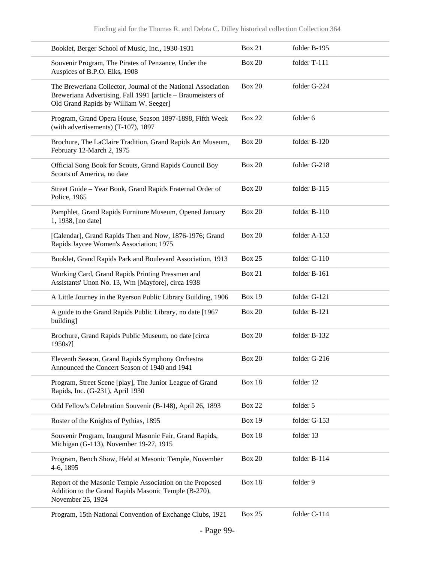|                    | Booklet, Berger School of Music, Inc., 1930-1931                                                                                                                        | <b>Box 21</b> | folder B-195 |
|--------------------|-------------------------------------------------------------------------------------------------------------------------------------------------------------------------|---------------|--------------|
|                    | Souvenir Program, The Pirates of Penzance, Under the<br>Auspices of B.P.O. Elks, 1908                                                                                   | <b>Box 20</b> | folder T-111 |
|                    | The Breweriana Collector, Journal of the National Association<br>Breweriana Advertising, Fall 1991 [article - Braumeisters of<br>Old Grand Rapids by William W. Seeger] | <b>Box 20</b> | folder G-224 |
|                    | Program, Grand Opera House, Season 1897-1898, Fifth Week<br>(with advertisements) (T-107), 1897                                                                         | <b>Box 22</b> | folder 6     |
|                    | Brochure, The LaClaire Tradition, Grand Rapids Art Museum,<br>February 12-March 2, 1975                                                                                 | <b>Box 20</b> | folder B-120 |
|                    | Official Song Book for Scouts, Grand Rapids Council Boy<br>Scouts of America, no date                                                                                   | <b>Box 20</b> | folder G-218 |
| Police, 1965       | Street Guide - Year Book, Grand Rapids Fraternal Order of                                                                                                               | <b>Box 20</b> | folder B-115 |
| 1, 1938, [no date] | Pamphlet, Grand Rapids Furniture Museum, Opened January                                                                                                                 | <b>Box 20</b> | folder B-110 |
|                    | [Calendar], Grand Rapids Then and Now, 1876-1976; Grand<br>Rapids Jaycee Women's Association; 1975                                                                      | <b>Box 20</b> | folder A-153 |
|                    | Booklet, Grand Rapids Park and Boulevard Association, 1913                                                                                                              | <b>Box 25</b> | folder C-110 |
|                    | Working Card, Grand Rapids Printing Pressmen and<br>Assistants' Unon No. 13, Wm [Mayfore], circa 1938                                                                   | <b>Box 21</b> | folder B-161 |
|                    | A Little Journey in the Ryerson Public Library Building, 1906                                                                                                           | <b>Box 19</b> | folder G-121 |
| building]          | A guide to the Grand Rapids Public Library, no date [1967                                                                                                               | <b>Box 20</b> | folder B-121 |
| 1950s?]            | Brochure, Grand Rapids Public Museum, no date [circa                                                                                                                    | <b>Box 20</b> | folder B-132 |
|                    | Eleventh Season, Grand Rapids Symphony Orchestra<br>Announced the Concert Season of 1940 and 1941                                                                       | <b>Box 20</b> | folder G-216 |
|                    | Program, Street Scene [play], The Junior League of Grand<br>Rapids, Inc. (G-231), April 1930                                                                            | Box 18        | folder 12    |
|                    | Odd Fellow's Celebration Souvenir (B-148), April 26, 1893                                                                                                               | <b>Box 22</b> | folder 5     |
|                    | Roster of the Knights of Pythias, 1895                                                                                                                                  | <b>Box 19</b> | folder G-153 |
|                    | Souvenir Program, Inaugural Masonic Fair, Grand Rapids,<br>Michigan (G-113), November 19-27, 1915                                                                       | <b>Box 18</b> | folder 13    |
| 4-6, 1895          | Program, Bench Show, Held at Masonic Temple, November                                                                                                                   | <b>Box 20</b> | folder B-114 |
| November 25, 1924  | Report of the Masonic Temple Association on the Proposed<br>Addition to the Grand Rapids Masonic Temple (B-270),                                                        | Box 18        | folder 9     |
|                    | Program, 15th National Convention of Exchange Clubs, 1921                                                                                                               | <b>Box 25</b> | folder C-114 |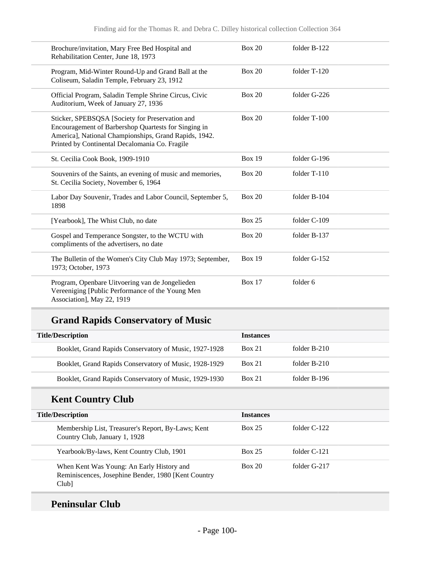| Brochure/invitation, Mary Free Bed Hospital and<br>Rehabilitation Center, June 18, 1973                                                                                                                            | <b>Box 20</b> | folder B-122 |  |
|--------------------------------------------------------------------------------------------------------------------------------------------------------------------------------------------------------------------|---------------|--------------|--|
| Program, Mid-Winter Round-Up and Grand Ball at the<br>Coliseum, Saladin Temple, February 23, 1912                                                                                                                  | <b>Box 20</b> | folder T-120 |  |
| Official Program, Saladin Temple Shrine Circus, Civic<br>Auditorium, Week of January 27, 1936                                                                                                                      | <b>Box 20</b> | folder G-226 |  |
| Sticker, SPEBSQSA [Society for Preservation and<br>Encouragement of Barbershop Quartests for Singing in<br>America], National Championships, Grand Rapids, 1942.<br>Printed by Continental Decalomania Co. Fragile | <b>Box 20</b> | folder T-100 |  |
| St. Cecilia Cook Book, 1909-1910                                                                                                                                                                                   | <b>Box 19</b> | folder G-196 |  |
| Souvenirs of the Saints, an evening of music and memories,<br>St. Cecilia Society, November 6, 1964                                                                                                                | <b>Box 20</b> | folder T-110 |  |
| Labor Day Souvenir, Trades and Labor Council, September 5,<br>1898                                                                                                                                                 | <b>Box 20</b> | folder B-104 |  |
| [Yearbook], The Whist Club, no date                                                                                                                                                                                | <b>Box 25</b> | folder C-109 |  |
| Gospel and Temperance Songster, to the WCTU with<br>compliments of the advertisers, no date                                                                                                                        | <b>Box 20</b> | folder B-137 |  |
| The Bulletin of the Women's City Club May 1973; September,<br>1973; October, 1973                                                                                                                                  | <b>Box 19</b> | folder G-152 |  |
| Program, Openbare Uitvoering van de Jongelieden<br>Vereeniging [Public Performance of the Young Men<br>Association], May 22, 1919                                                                                  | <b>Box 17</b> | folder 6     |  |

# **Grand Rapids Conservatory of Music**

| <b>Title/Description</b>                               | <b>Instances</b> |                |
|--------------------------------------------------------|------------------|----------------|
| Booklet, Grand Rapids Conservatory of Music, 1927-1928 | <b>Box 21</b>    | folder $B-210$ |
| Booklet, Grand Rapids Conservatory of Music, 1928-1929 | <b>Box 21</b>    | folder B-210   |
| Booklet, Grand Rapids Conservatory of Music, 1929-1930 | <b>Box 21</b>    | folder B-196   |

# **Kent Country Club**

| <b>Title/Description</b>                                                                                 | <b>Instances</b> |                |
|----------------------------------------------------------------------------------------------------------|------------------|----------------|
| Membership List, Treasurer's Report, By-Laws; Kent<br>Country Club, January 1, 1928                      | <b>Box 25</b>    | folder C-122   |
| Yearbook/By-laws, Kent Country Club, 1901                                                                | <b>Box 25</b>    | folder $C-121$ |
| When Kent Was Young: An Early History and<br>Reminiscences, Josephine Bender, 1980 [Kent Country<br>Club | Box 20           | folder G-217   |

### **Peninsular Club**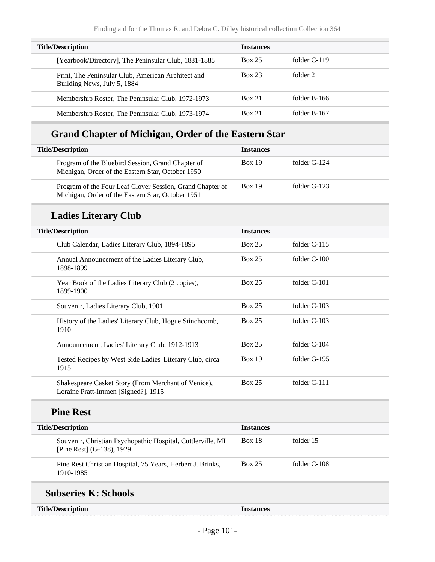| <b>Title/Description</b>                                                          | <b>Instances</b> |                |
|-----------------------------------------------------------------------------------|------------------|----------------|
| [Yearbook/Directory], The Peninsular Club, 1881-1885                              | <b>Box 25</b>    | folder $C-119$ |
| Print, The Peninsular Club, American Architect and<br>Building News, July 5, 1884 | Box 23           | folder 2       |
| Membership Roster, The Peninsular Club, 1972-1973                                 | Box 21           | folder B-166   |
| Membership Roster, The Peninsular Club, 1973-1974                                 | <b>Box 21</b>    | folder B-167   |

### **Grand Chapter of Michigan, Order of the Eastern Star**

| <b>Title/Description</b>                                                                                       | <b>Instances</b> |              |
|----------------------------------------------------------------------------------------------------------------|------------------|--------------|
| Program of the Bluebird Session, Grand Chapter of<br>Michigan, Order of the Eastern Star, October 1950         | Box 19           | folder G-124 |
| Program of the Four Leaf Clover Session, Grand Chapter of<br>Michigan, Order of the Eastern Star, October 1951 | <b>Box 19</b>    | folder G-123 |

### **Ladies Literary Club**

| <b>Title/Description</b>                                                                   | <b>Instances</b> |                |
|--------------------------------------------------------------------------------------------|------------------|----------------|
| Club Calendar, Ladies Literary Club, 1894-1895                                             | Box 25           | folder $C-115$ |
| Annual Announcement of the Ladies Literary Club,<br>1898-1899                              | Box 25           | folder C-100   |
| Year Book of the Ladies Literary Club (2 copies),<br>1899-1900                             | Box 25           | folder $C-101$ |
| Souvenir, Ladies Literary Club, 1901                                                       | <b>Box 25</b>    | folder C-103   |
| History of the Ladies' Literary Club, Hogue Stinchcomb,<br>1910                            | Box 25           | folder C-103   |
| Announcement, Ladies' Literary Club, 1912-1913                                             | Box 25           | folder $C-104$ |
| Tested Recipes by West Side Ladies' Literary Club, circa<br>1915                           | <b>Box 19</b>    | folder G-195   |
| Shakespeare Casket Story (From Merchant of Venice),<br>Loraine Pratt-Immen [Signed?], 1915 | Box 25           | folder C-111   |
| <b>Pine Rest</b>                                                                           |                  |                |
| <b>Title/Description</b>                                                                   | <b>Instances</b> |                |
| Souvenir, Christian Psychopathic Hospital, Cuttlerville, MI<br>[Pine Rest] (G-138), 1929   | Box $18$         | folder 15      |

Pine Rest Christian Hospital, 75 Years, Herbert J. Brinks, 1910-1985 Box 25 folder C-108

### **Subseries K: Schools**

**Instances**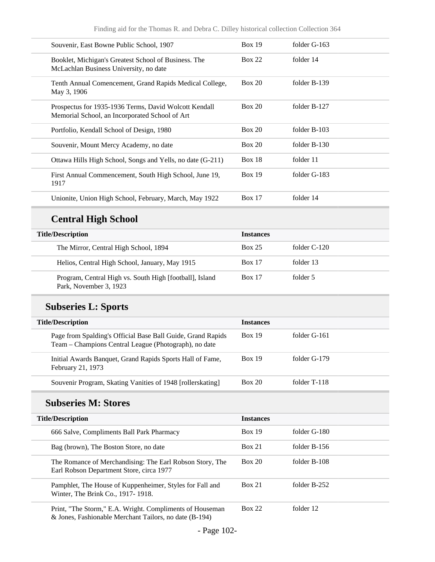| Souvenir, East Bowne Public School, 1907                                                                | Box 19        | folder G-163   |
|---------------------------------------------------------------------------------------------------------|---------------|----------------|
| Booklet, Michigan's Greatest School of Business. The<br>McLachlan Business University, no date          | Box 22        | folder 14      |
| Tenth Annual Comencement, Grand Rapids Medical College,<br>May 3, 1906                                  | Box 20        | folder B-139   |
| Prospectus for 1935-1936 Terms, David Wolcott Kendall<br>Memorial School, an Incorporated School of Art | Box 20        | folder B-127   |
| Portfolio, Kendall School of Design, 1980                                                               | Box 20        | folder B-103   |
| Souvenir, Mount Mercy Academy, no date                                                                  | Box 20        | folder $B-130$ |
| Ottawa Hills High School, Songs and Yells, no date (G-211)                                              | <b>Box 18</b> | folder 11      |
| First Annual Commencement, South High School, June 19,<br>1917                                          | <b>Box 19</b> | folder G-183   |
| Unionite, Union High School, February, March, May 1922                                                  | <b>Box 17</b> | folder 14      |

# **Central High School**

| <b>Title/Description</b>                                                          | <b>Instances</b> |                |
|-----------------------------------------------------------------------------------|------------------|----------------|
| The Mirror, Central High School, 1894                                             | <b>Box 25</b>    | folder $C-120$ |
| Helios, Central High School, January, May 1915                                    | <b>Box 17</b>    | folder 13      |
| Program, Central High vs. South High [football], Island<br>Park, November 3, 1923 | <b>Box 17</b>    | folder 5       |

## **Subseries L: Sports**

| <b>Title/Description</b>                                                                                             | <b>Instances</b> |              |
|----------------------------------------------------------------------------------------------------------------------|------------------|--------------|
| Page from Spalding's Official Base Ball Guide, Grand Rapids<br>Team – Champions Central League (Photograph), no date | <b>Box 19</b>    | folder G-161 |
| Initial Awards Banquet, Grand Rapids Sports Hall of Fame,<br>February 21, 1973                                       | Box 19           | folder G-179 |
| Souvenir Program, Skating Vanities of 1948 [rollerskating]                                                           | Box 20           | folder T-118 |

#### **Subseries M: Stores**

| <b>Title/Description</b> |                                                                                                                    | <b>Instances</b> |                |
|--------------------------|--------------------------------------------------------------------------------------------------------------------|------------------|----------------|
|                          | 666 Salve, Compliments Ball Park Pharmacy                                                                          | Box 19           | folder G-180   |
|                          | Bag (brown), The Boston Store, no date                                                                             | Box 21           | folder $B-156$ |
|                          | The Romance of Merchandising: The Earl Robson Story, The<br>Earl Robson Department Store, circa 1977               | Box 20           | folder B-108   |
|                          | Pamphlet, The House of Kuppenheimer, Styles for Fall and<br>Winter, The Brink Co., 1917-1918.                      | <b>Box 21</b>    | folder B-252   |
|                          | Print, "The Storm," E.A. Wright. Compliments of Houseman<br>& Jones, Fashionable Merchant Tailors, no date (B-194) | <b>Box 22</b>    | folder 12      |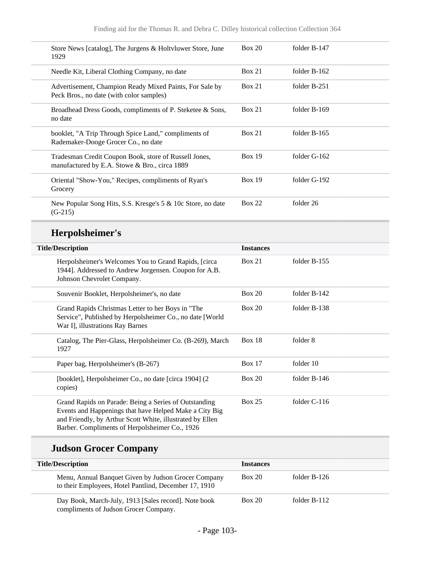| 1929                                          | Store News [catalog], The Jurgens & Holtvluwer Store, June                                                    | <b>Box 20</b>    | folder B-147 |  |
|-----------------------------------------------|---------------------------------------------------------------------------------------------------------------|------------------|--------------|--|
| Needle Kit, Liberal Clothing Company, no date |                                                                                                               | <b>Box 21</b>    | folder B-162 |  |
| Peck Bros., no date (with color samples)      | Advertisement, Champion Ready Mixed Paints, For Sale by                                                       | <b>Box 21</b>    | folder B-251 |  |
| no date                                       | Broadhead Dress Goods, compliments of P. Steketee & Sons,                                                     | <b>Box 21</b>    | folder B-169 |  |
| Rademaker-Dooge Grocer Co., no date           | booklet, "A Trip Through Spice Land," compliments of                                                          | <b>Box 21</b>    | folder B-165 |  |
| manufactured by E.A. Stowe & Bro., circa 1889 | Tradesman Credit Coupon Book, store of Russell Jones,                                                         | <b>Box 19</b>    | folder G-162 |  |
| Grocery                                       | Oriental "Show-You," Recipes, compliments of Ryan's                                                           | <b>Box 19</b>    | folder G-192 |  |
| $(G-215)$                                     | New Popular Song Hits, S.S. Kresge's 5 & 10c Store, no date                                                   | <b>Box 22</b>    | folder 26    |  |
|                                               |                                                                                                               |                  |              |  |
| Herpolsheimer's                               |                                                                                                               |                  |              |  |
| <b>Title/Description</b>                      |                                                                                                               | <b>Instances</b> |              |  |
| Johnson Chevrolet Company.                    | Herpolsheimer's Welcomes You to Grand Rapids, [circa<br>1944]. Addressed to Andrew Jorgensen. Coupon for A.B. | <b>Box 21</b>    | folder B-155 |  |
| Souvenir Booklet, Herpolsheimer's, no date    |                                                                                                               | <b>Box 20</b>    | folder B-142 |  |
| War I], illustrations Ray Barnes              | Grand Rapids Christmas Letter to her Boys in "The<br>Service", Published by Herpolsheimer Co., no date [World | <b>Box 20</b>    | folder B-138 |  |
| 1927                                          | Catalog, The Pier-Glass, Herpolsheimer Co. (B-269), March                                                     | <b>Box 18</b>    | folder 8     |  |
| Paper bag, Herpolsheimer's (B-267)            |                                                                                                               | <b>Box 17</b>    | folder 10    |  |
| copies)                                       | [booklet], Herpolsheimer Co., no date [circa 1904] (2                                                         | <b>Box 20</b>    | folder B-146 |  |

# **Judson Grocer Company**

| <b>Title/Description</b>                                                                                     | <b>Instances</b> |              |
|--------------------------------------------------------------------------------------------------------------|------------------|--------------|
| Menu, Annual Banquet Given by Judson Grocer Company<br>to their Employees, Hotel Pantlind, December 17, 1910 | Box 20           | folder B-126 |
| Day Book, March-July, 1913 [Sales record]. Note book<br>compliments of Judson Grocer Company.                | Box 20           | folder B-112 |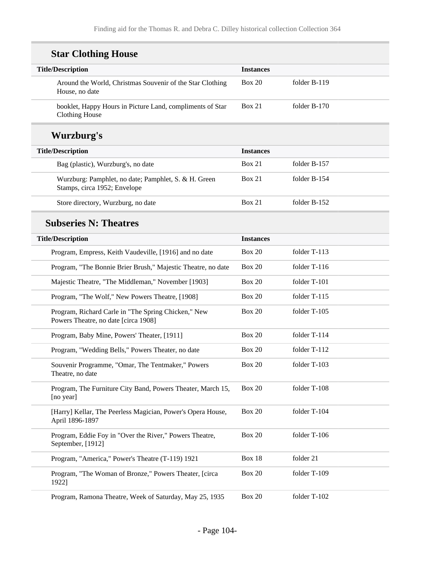#### **Star Clothing House Title/Description Instances** Around the World, Christmas Souvenir of the Star Clothing House, no date Box 20 folder B-119 booklet, Happy Hours in Picture Land, compliments of Star Clothing House Box 21 folder B-170 **Wurzburg's Title/Description Instances** Bag (plastic), Wurzburg's, no date Box 21 folder B-157 Wurzburg: Pamphlet, no date; Pamphlet, S. & H. Green Stamps, circa 1952; Envelope Box 21 folder B-154 Store directory, Wurzburg, no date Box 21 folder B-152 **Subseries N: Theatres Title/Description Instances** Program, Empress, Keith Vaudeville, [1916] and no date Box 20 folder T-113 Program, "The Bonnie Brier Brush," Majestic Theatre, no date Box 20 folder T-116 Majestic Theatre, "The Middleman," November [1903] Box 20 folder T-101 Program, "The Wolf," New Powers Theatre, [1908] Box 20 folder T-115 Program, Richard Carle in "The Spring Chicken," New Powers Theatre, no date [circa 1908] Box 20 folder T-105 Program, Baby Mine, Powers' Theater, [1911] Box 20 folder T-114 Program, "Wedding Bells," Powers Theater, no date Box 20 folder T-112 Souvenir Programme, "Omar, The Tentmaker," Powers Theatre, no date Box 20 folder T-103 Program, The Furniture City Band, Powers Theater, March 15, [no year] Box 20 folder T-108 [Harry] Kellar, The Peerless Magician, Power's Opera House, April 1896-1897 Box 20 folder T-104 Program, Eddie Foy in "Over the River," Powers Theatre, September, [1912] Box 20 folder T-106 Program, "America," Power's Theatre (T-119) 1921 Box 18 folder 21 Program, "The Woman of Bronze," Powers Theater, [circa 1922] Box 20 folder T-109

Program, Ramona Theatre, Week of Saturday, May 25, 1935 Box 20 folder T-102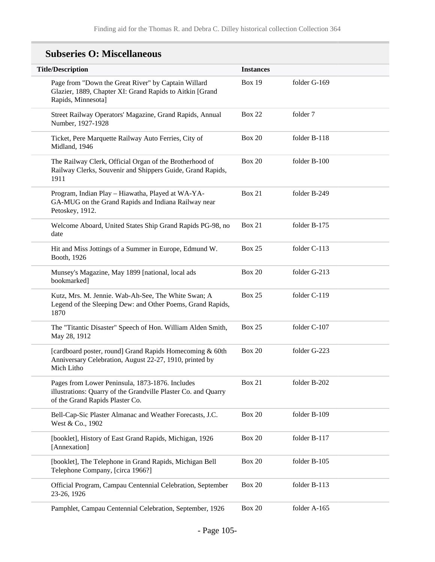#### **Title/Description Instances** Page from "Down the Great River" by Captain Willard Glazier, 1889, Chapter XI: Grand Rapids to Aitkin [Grand Rapids, Minnesota] Box 19 folder G-169 Street Railway Operators' Magazine, Grand Rapids, Annual Number, 1927-1928 Box 22 folder 7 Ticket, Pere Marquette Railway Auto Ferries, City of Midland, 1946 Box 20 folder B-118 The Railway Clerk, Official Organ of the Brotherhood of Railway Clerks, Souvenir and Shippers Guide, Grand Rapids, 1911 Box 20 folder B-100 Program, Indian Play – Hiawatha, Played at WA-YA-GA-MUG on the Grand Rapids and Indiana Railway near Petoskey, 1912. Box 21 folder B-249 Welcome Aboard, United States Ship Grand Rapids PG-98, no date Box 21 folder B-175 Hit and Miss Jottings of a Summer in Europe, Edmund W. Booth, 1926 Box 25 folder C-113 Munsey's Magazine, May 1899 [national, local ads bookmarked] Box 20 folder G-213 Kutz, Mrs. M. Jennie. Wab-Ah-See, The White Swan; A Legend of the Sleeping Dew: and Other Poems, Grand Rapids, 1870 Box 25 folder C-119 The "Titantic Disaster" Speech of Hon. William Alden Smith, May 28, 1912 Box 25 folder C-107 [cardboard poster, round] Grand Rapids Homecoming & 60th Anniversary Celebration, August 22-27, 1910, printed by Mich Litho Box 20 folder G-223 Pages from Lower Peninsula, 1873-1876. Includes illustrations: Quarry of the Grandville Plaster Co. and Quarry of the Grand Rapids Plaster Co. Box 21 folder B-202 Bell-Cap-Sic Plaster Almanac and Weather Forecasts, J.C. West & Co., 1902 Box 20 folder B-109 [booklet], History of East Grand Rapids, Michigan, 1926 [Annexation] Box 20 folder B-117 [booklet], The Telephone in Grand Rapids, Michigan Bell Telephone Company, [circa 1966?] Box 20 folder B-105 Official Program, Campau Centennial Celebration, September 23-26, 1926 Box 20 folder B-113

#### **Subseries O: Miscellaneous**

Pamphlet, Campau Centennial Celebration, September, 1926 Box 20 folder A-165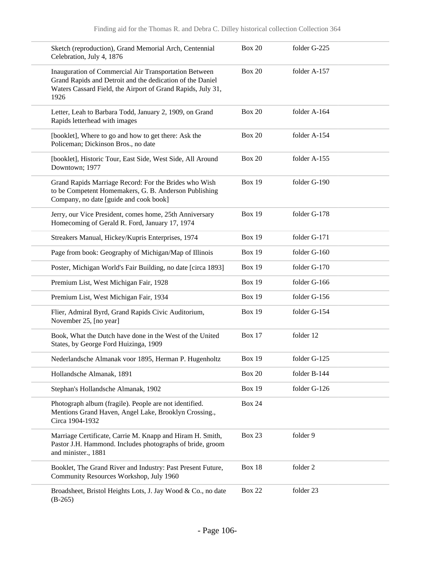| Sketch (reproduction), Grand Memorial Arch, Centennial<br>Celebration, July 4, 1876                                                                                                       | <b>Box 20</b> | folder G-225 |
|-------------------------------------------------------------------------------------------------------------------------------------------------------------------------------------------|---------------|--------------|
| Inauguration of Commercial Air Transportation Between<br>Grand Rapids and Detroit and the dedication of the Daniel<br>Waters Cassard Field, the Airport of Grand Rapids, July 31,<br>1926 | <b>Box 20</b> | folder A-157 |
| Letter, Leah to Barbara Todd, January 2, 1909, on Grand<br>Rapids letterhead with images                                                                                                  | <b>Box 20</b> | folder A-164 |
| [booklet], Where to go and how to get there: Ask the<br>Policeman; Dickinson Bros., no date                                                                                               | <b>Box 20</b> | folder A-154 |
| [booklet], Historic Tour, East Side, West Side, All Around<br>Downtown; 1977                                                                                                              | <b>Box 20</b> | folder A-155 |
| Grand Rapids Marriage Record: For the Brides who Wish<br>to be Competent Homemakers, G. B. Anderson Publishing<br>Company, no date [guide and cook book]                                  | <b>Box 19</b> | folder G-190 |
| Jerry, our Vice President, comes home, 25th Anniversary<br>Homecoming of Gerald R. Ford, January 17, 1974                                                                                 | <b>Box 19</b> | folder G-178 |
| Streakers Manual, Hickey/Kupris Enterprises, 1974                                                                                                                                         | <b>Box 19</b> | folder G-171 |
| Page from book: Geography of Michigan/Map of Illinois                                                                                                                                     | <b>Box 19</b> | folder G-160 |
| Poster, Michigan World's Fair Building, no date [circa 1893]                                                                                                                              | <b>Box 19</b> | folder G-170 |
| Premium List, West Michigan Fair, 1928                                                                                                                                                    | <b>Box 19</b> | folder G-166 |
| Premium List, West Michigan Fair, 1934                                                                                                                                                    | <b>Box 19</b> | folder G-156 |
| Flier, Admiral Byrd, Grand Rapids Civic Auditorium,<br>November 25, [no year]                                                                                                             | <b>Box 19</b> | folder G-154 |
| Book, What the Dutch have done in the West of the United<br>States, by George Ford Huizinga, 1909                                                                                         | <b>Box 17</b> | folder 12    |
| Nederlandsche Almanak voor 1895, Herman P. Hugenholtz                                                                                                                                     | <b>Box 19</b> | folder G-125 |
| Hollandsche Almanak, 1891                                                                                                                                                                 | <b>Box 20</b> | folder B-144 |
| Stephan's Hollandsche Almanak, 1902                                                                                                                                                       | <b>Box 19</b> | folder G-126 |
| Photograph album (fragile). People are not identified.<br>Mentions Grand Haven, Angel Lake, Brooklyn Crossing.,<br>Circa 1904-1932                                                        | <b>Box 24</b> |              |
| Marriage Certificate, Carrie M. Knapp and Hiram H. Smith,<br>Pastor J.H. Hammond. Includes photographs of bride, groom<br>and minister., 1881                                             | <b>Box 23</b> | folder 9     |
| Booklet, The Grand River and Industry: Past Present Future,<br>Community Resources Workshop, July 1960                                                                                    | <b>Box 18</b> | folder 2     |
| Broadsheet, Bristol Heights Lots, J. Jay Wood & Co., no date<br>$(B-265)$                                                                                                                 | <b>Box 22</b> | folder 23    |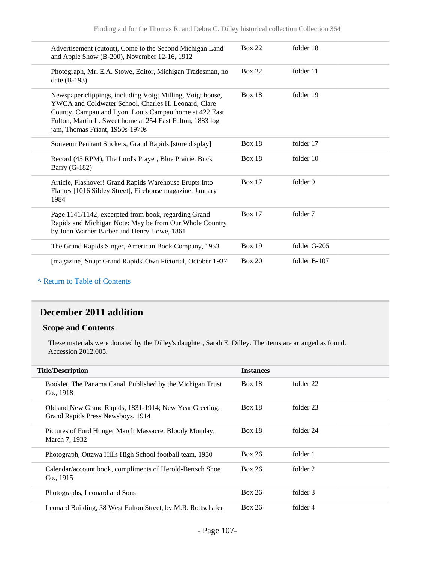| Advertisement (cutout), Come to the Second Michigan Land<br>and Apple Show (B-200), November 12-16, 1912                                                                                                                                                                     | <b>Box 22</b> | folder 18    |
|------------------------------------------------------------------------------------------------------------------------------------------------------------------------------------------------------------------------------------------------------------------------------|---------------|--------------|
| Photograph, Mr. E.A. Stowe, Editor, Michigan Tradesman, no<br>date (B-193)                                                                                                                                                                                                   | <b>Box 22</b> | folder 11    |
| Newspaper clippings, including Voigt Milling, Voigt house,<br>YWCA and Coldwater School, Charles H. Leonard, Clare<br>County, Campau and Lyon, Louis Campau home at 422 East<br>Fulton, Martin L. Sweet home at 254 East Fulton, 1883 log<br>jam, Thomas Friant, 1950s-1970s | <b>Box 18</b> | folder 19    |
| Souvenir Pennant Stickers, Grand Rapids [store display]                                                                                                                                                                                                                      | <b>Box 18</b> | folder 17    |
| Record (45 RPM), The Lord's Prayer, Blue Prairie, Buck<br><b>Barry (G-182)</b>                                                                                                                                                                                               | <b>Box 18</b> | folder 10    |
| Article, Flashover! Grand Rapids Warehouse Erupts Into<br>Flames [1016 Sibley Street], Firehouse magazine, January<br>1984                                                                                                                                                   | <b>Box 17</b> | folder 9     |
| Page 1141/1142, excerpted from book, regarding Grand<br>Rapids and Michigan Note: May be from Our Whole Country<br>by John Warner Barber and Henry Howe, 1861                                                                                                                | <b>Box 17</b> | folder 7     |
| The Grand Rapids Singer, American Book Company, 1953                                                                                                                                                                                                                         | <b>Box 19</b> | folder G-205 |
| [magazine] Snap: Grand Rapids' Own Pictorial, October 1937                                                                                                                                                                                                                   | <b>Box 20</b> | folder B-107 |

#### **^** [Return to Table of Contents](#page-1-0)

#### **December 2011 addition**

#### **Scope and Contents**

These materials were donated by the Dilley's daughter, Sarah E. Dilley. The items are arranged as found. Accession 2012.005.

| <b>Title/Description</b>                                                                     | <b>Instances</b> |           |  |
|----------------------------------------------------------------------------------------------|------------------|-----------|--|
| Booklet, The Panama Canal, Published by the Michigan Trust<br>Co., 1918                      | <b>Box 18</b>    | folder 22 |  |
| Old and New Grand Rapids, 1831-1914; New Year Greeting,<br>Grand Rapids Press Newsboys, 1914 | <b>Box 18</b>    | folder 23 |  |
| Pictures of Ford Hunger March Massacre, Bloody Monday,<br>March 7, 1932                      | <b>Box 18</b>    | folder 24 |  |
| Photograph, Ottawa Hills High School football team, 1930                                     | <b>Box 26</b>    | folder 1  |  |
| Calendar/account book, compliments of Herold-Bertsch Shoe<br>Co., 1915                       | <b>Box 26</b>    | folder 2  |  |
| Photographs, Leonard and Sons                                                                | <b>Box 26</b>    | folder 3  |  |
| Leonard Building, 38 West Fulton Street, by M.R. Rottschafer                                 | <b>Box 26</b>    | folder 4  |  |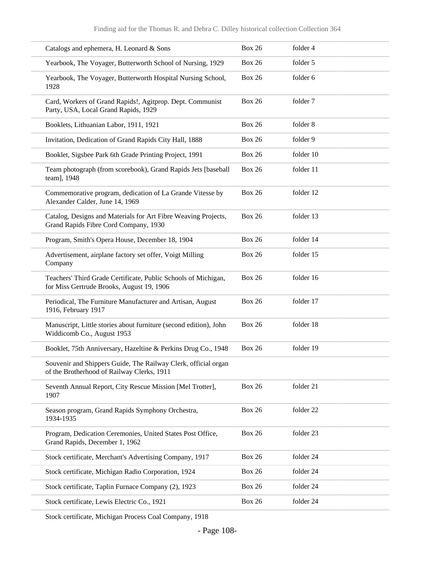| Catalogs and ephemera, H. Leonard & Sons                                                                     | <b>Box 26</b> | folder 4  |
|--------------------------------------------------------------------------------------------------------------|---------------|-----------|
| Yearbook, The Voyager, Butterworth School of Nursing, 1929                                                   | <b>Box 26</b> | folder 5  |
| Yearbook, The Voyager, Butterworth Hospital Nursing School,<br>1928                                          | <b>Box 26</b> | folder 6  |
| Card, Workers of Grand Rapids!, Agitprop. Dept. Communist<br>Party, USA, Local Grand Rapids, 1929            | <b>Box 26</b> | folder 7  |
| Booklets, Lithuanian Labor, 1911, 1921                                                                       | <b>Box 26</b> | folder 8  |
| Invitation, Dedication of Grand Rapids City Hall, 1888                                                       | <b>Box 26</b> | folder 9  |
| Booklet, Sigsbee Park 6th Grade Printing Project, 1991                                                       | <b>Box 26</b> | folder 10 |
| Team photograph (from scorebook), Grand Rapids Jets [baseball<br>team], 1948                                 | <b>Box 26</b> | folder 11 |
| Commemorative program, dedication of La Grande Vitesse by<br>Alexander Calder, June 14, 1969                 | <b>Box 26</b> | folder 12 |
| Catalog, Designs and Materials for Art Fibre Weaving Projects,<br>Grand Rapids Fibre Cord Company, 1930      | <b>Box 26</b> | folder 13 |
| Program, Smith's Opera House, December 18, 1904                                                              | <b>Box 26</b> | folder 14 |
| Advertisement, airplane factory set offer, Voigt Milling<br>Company                                          | <b>Box 26</b> | folder 15 |
| Teachers' Third Grade Certificate, Public Schools of Michigan,<br>for Miss Gertrude Brooks, August 19, 1906  | <b>Box 26</b> | folder 16 |
| Periodical, The Furniture Manufacturer and Artisan, August<br>1916, February 1917                            | <b>Box 26</b> | folder 17 |
| Manuscript, Little stories about furniture (second edition), John<br>Widdicomb Co., August 1953              | <b>Box 26</b> | folder 18 |
| Booklet, 75th Anniversary, Hazeltine & Perkins Drug Co., 1948                                                | <b>Box 26</b> | folder 19 |
| Souvenir and Shippers Guide, The Railway Clerk, official organ<br>of the Brotherhood of Railway Clerks, 1911 |               |           |
| Seventh Annual Report, City Rescue Mission [Mel Trotter],<br>1907                                            | <b>Box 26</b> | folder 21 |
| Season program, Grand Rapids Symphony Orchestra,<br>1934-1935                                                | <b>Box 26</b> | folder 22 |
| Program, Dedication Ceremonies, United States Post Office,<br>Grand Rapids, December 1, 1962                 | <b>Box 26</b> | folder 23 |
| Stock certificate, Merchant's Advertising Company, 1917                                                      | <b>Box 26</b> | folder 24 |
| Stock certificate, Michigan Radio Corporation, 1924                                                          | <b>Box 26</b> | folder 24 |
| Stock certificate, Taplin Furnace Company (2), 1923                                                          | <b>Box 26</b> | folder 24 |
| Stock certificate, Lewis Electric Co., 1921                                                                  | <b>Box 26</b> | folder 24 |
|                                                                                                              |               |           |

Stock certificate, Michigan Process Coal Company, 1918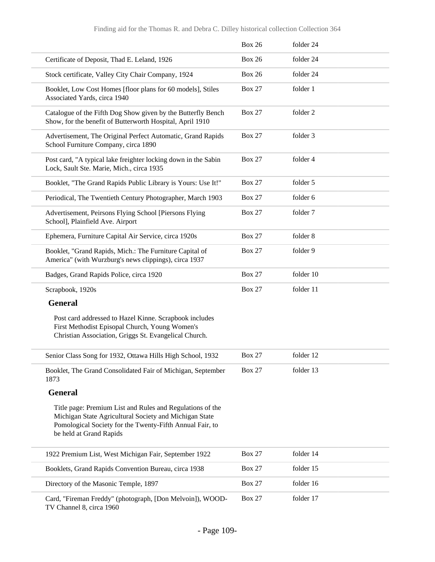|                                                                                                                                                                                                            | <b>Box 26</b> | folder 24 |
|------------------------------------------------------------------------------------------------------------------------------------------------------------------------------------------------------------|---------------|-----------|
| Certificate of Deposit, Thad E. Leland, 1926                                                                                                                                                               | <b>Box 26</b> | folder 24 |
| Stock certificate, Valley City Chair Company, 1924                                                                                                                                                         | <b>Box 26</b> | folder 24 |
| Booklet, Low Cost Homes [floor plans for 60 models], Stiles<br>Associated Yards, circa 1940                                                                                                                | <b>Box 27</b> | folder 1  |
| Catalogue of the Fifth Dog Show given by the Butterfly Bench<br>Show, for the benefit of Butterworth Hospital, April 1910                                                                                  | <b>Box 27</b> | folder 2  |
| Advertisement, The Original Perfect Automatic, Grand Rapids<br>School Furniture Company, circa 1890                                                                                                        | <b>Box 27</b> | folder 3  |
| Post card, "A typical lake freighter locking down in the Sabin<br>Lock, Sault Ste. Marie, Mich., circa 1935                                                                                                | <b>Box 27</b> | folder 4  |
| Booklet, "The Grand Rapids Public Library is Yours: Use It!"                                                                                                                                               | <b>Box 27</b> | folder 5  |
| Periodical, The Twentieth Century Photographer, March 1903                                                                                                                                                 | <b>Box 27</b> | folder 6  |
| Advertisement, Peirsons Flying School [Piersons Flying<br>School], Plainfield Ave. Airport                                                                                                                 | <b>Box 27</b> | folder 7  |
| Ephemera, Furniture Capital Air Service, circa 1920s                                                                                                                                                       | <b>Box 27</b> | folder 8  |
| Booklet, "Grand Rapids, Mich.: The Furniture Capital of<br>America" (with Wurzburg's news clippings), circa 1937                                                                                           | <b>Box 27</b> | folder 9  |
| Badges, Grand Rapids Police, circa 1920                                                                                                                                                                    | <b>Box 27</b> | folder 10 |
| Scrapbook, 1920s                                                                                                                                                                                           | <b>Box 27</b> | folder 11 |
| <b>General</b>                                                                                                                                                                                             |               |           |
| Post card addressed to Hazel Kinne. Scrapbook includes<br>First Methodist Episopal Church, Young Women's<br>Christian Association, Griggs St. Evangelical Church.                                          |               |           |
| Senior Class Song for 1932, Ottawa Hills High School, 1932                                                                                                                                                 | <b>Box 27</b> | folder 12 |
| Booklet, The Grand Consolidated Fair of Michigan, September<br>1873                                                                                                                                        | <b>Box 27</b> | folder 13 |
| <b>General</b>                                                                                                                                                                                             |               |           |
| Title page: Premium List and Rules and Regulations of the<br>Michigan State Agricultural Society and Michigan State<br>Pomological Society for the Twenty-Fifth Annual Fair, to<br>be held at Grand Rapids |               |           |
| 1922 Premium List, West Michigan Fair, September 1922                                                                                                                                                      | <b>Box 27</b> | folder 14 |
| Booklets, Grand Rapids Convention Bureau, circa 1938                                                                                                                                                       | <b>Box 27</b> | folder 15 |
| Directory of the Masonic Temple, 1897                                                                                                                                                                      | <b>Box 27</b> | folder 16 |
| Card, "Fireman Freddy" (photograph, [Don Melvoin]), WOOD-<br>TV Channel 8, circa 1960                                                                                                                      | <b>Box 27</b> | folder 17 |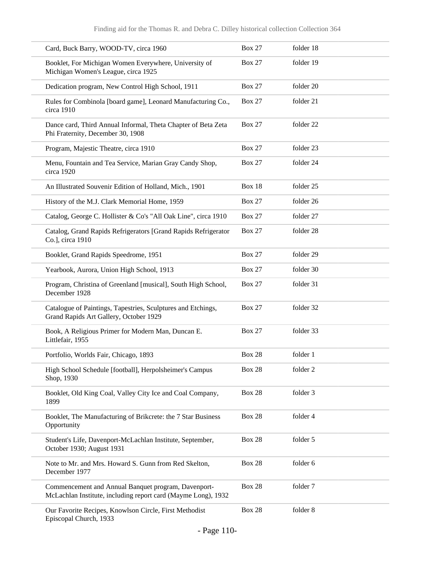| Card, Buck Barry, WOOD-TV, circa 1960                                                                                | <b>Box 27</b> | folder 18            |
|----------------------------------------------------------------------------------------------------------------------|---------------|----------------------|
| Booklet, For Michigan Women Everywhere, University of<br>Michigan Women's League, circa 1925                         | <b>Box 27</b> | folder 19            |
| Dedication program, New Control High School, 1911                                                                    | <b>Box 27</b> | folder 20            |
| Rules for Combinola [board game], Leonard Manufacturing Co.,<br>circa 1910                                           | <b>Box 27</b> | folder 21            |
| Dance card, Third Annual Informal, Theta Chapter of Beta Zeta<br>Phi Fraternity, December 30, 1908                   | <b>Box 27</b> | folder <sub>22</sub> |
| Program, Majestic Theatre, circa 1910                                                                                | <b>Box 27</b> | folder 23            |
| Menu, Fountain and Tea Service, Marian Gray Candy Shop,<br>circa 1920                                                | <b>Box 27</b> | folder 24            |
| An Illustrated Souvenir Edition of Holland, Mich., 1901                                                              | Box 18        | folder 25            |
| History of the M.J. Clark Memorial Home, 1959                                                                        | <b>Box 27</b> | folder 26            |
| Catalog, George C. Hollister & Co's "All Oak Line", circa 1910                                                       | <b>Box 27</b> | folder 27            |
| Catalog, Grand Rapids Refrigerators [Grand Rapids Refrigerator<br>Co.], circa 1910                                   | <b>Box 27</b> | folder 28            |
| Booklet, Grand Rapids Speedrome, 1951                                                                                | <b>Box 27</b> | folder 29            |
| Yearbook, Aurora, Union High School, 1913                                                                            | <b>Box 27</b> | folder 30            |
| Program, Christina of Greenland [musical], South High School,<br>December 1928                                       | <b>Box 27</b> | folder 31            |
| Catalogue of Paintings, Tapestries, Sculptures and Etchings,<br>Grand Rapids Art Gallery, October 1929               | <b>Box 27</b> | folder 32            |
| Book, A Religious Primer for Modern Man, Duncan E.<br>Littlefair, 1955                                               | <b>Box 27</b> | folder 33            |
| Portfolio, Worlds Fair, Chicago, 1893                                                                                | <b>Box 28</b> | folder 1             |
| High School Schedule [football], Herpolsheimer's Campus<br>Shop, 1930                                                | <b>Box 28</b> | folder 2             |
| Booklet, Old King Coal, Valley City Ice and Coal Company,<br>1899                                                    | <b>Box 28</b> | folder 3             |
| Booklet, The Manufacturing of Brikcrete: the 7 Star Business<br>Opportunity                                          | <b>Box 28</b> | folder 4             |
| Student's Life, Davenport-McLachlan Institute, September,<br>October 1930; August 1931                               | <b>Box 28</b> | folder 5             |
| Note to Mr. and Mrs. Howard S. Gunn from Red Skelton,<br>December 1977                                               | <b>Box 28</b> | folder 6             |
| Commencement and Annual Banquet program, Davenport-<br>McLachlan Institute, including report card (Mayme Long), 1932 | <b>Box 28</b> | folder 7             |
| Our Favorite Recipes, Knowlson Circle, First Methodist<br>Episcopal Church, 1933                                     | <b>Box 28</b> | folder 8             |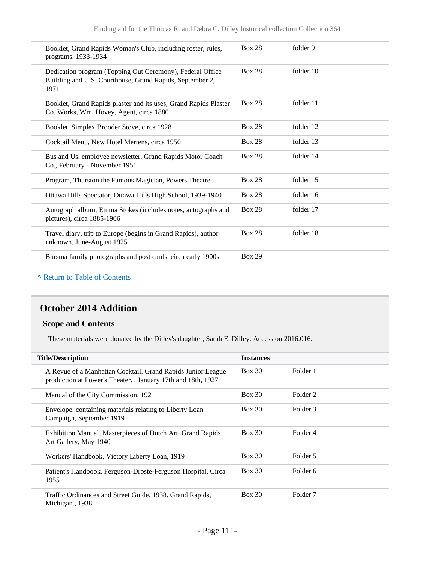| Booklet, Grand Rapids Woman's Club, including roster, rules,<br>programs, 1933-1934                                           | <b>Box 28</b> | folder 9  |
|-------------------------------------------------------------------------------------------------------------------------------|---------------|-----------|
| Dedication program (Topping Out Ceremony), Federal Office<br>Building and U.S. Courthouse, Grand Rapids, September 2,<br>1971 | <b>Box 28</b> | folder 10 |
| Booklet, Grand Rapids plaster and its uses, Grand Rapids Plaster<br>Co. Works, Wm. Hovey, Agent, circa 1880                   | <b>Box 28</b> | folder 11 |
| Booklet, Simplex Brooder Stove, circa 1928                                                                                    | <b>Box 28</b> | folder 12 |
| Cocktail Menu, New Hotel Mertens, circa 1950                                                                                  | <b>Box 28</b> | folder 13 |
| Bus and Us, employee newsletter, Grand Rapids Motor Coach<br>Co., February - November 1951                                    | <b>Box 28</b> | folder 14 |
| Program, Thurston the Famous Magician, Powers Theatre                                                                         | <b>Box 28</b> | folder 15 |
| Ottawa Hills Spectator, Ottawa Hills High School, 1939-1940                                                                   | <b>Box 28</b> | folder 16 |
| Autograph album, Emma Stokes (includes notes, autographs and<br>pictures), circa 1885-1906                                    | <b>Box 28</b> | folder 17 |
| Travel diary, trip to Europe (begins in Grand Rapids), author<br>unknown, June-August 1925                                    | <b>Box 28</b> | folder 18 |
| Bursma family photographs and post cards, circa early 1900s                                                                   | <b>Box 29</b> |           |

## **^** [Return to Table of Contents](#page-1-0)

## **October 2014 Addition**

## **Scope and Contents**

These materials were donated by the Dilley's daughter, Sarah E. Dilley. Accession 2016.016.

| <b>Title/Description</b>                                                                                                   | <b>Instances</b> |                     |
|----------------------------------------------------------------------------------------------------------------------------|------------------|---------------------|
| A Revue of a Manhattan Cocktail. Grand Rapids Junior League<br>production at Power's Theater., January 17th and 18th, 1927 | <b>Box 30</b>    | Folder 1            |
| Manual of the City Commission, 1921                                                                                        | <b>Box 30</b>    | Folder 2            |
| Envelope, containing materials relating to Liberty Loan<br>Campaign, September 1919                                        | Box 30           | Folder 3            |
| Exhibition Manual, Masterpieces of Dutch Art, Grand Rapids<br>Art Gallery, May 1940                                        | Box 30           | Folder 4            |
| Workers' Handbook, Victory Liberty Loan, 1919                                                                              | Box 30           | Folder 5            |
| Patient's Handbook, Ferguson-Droste-Ferguson Hospital, Circa<br>1955                                                       | Box 30           | Folder 6            |
| Traffic Ordinances and Street Guide, 1938. Grand Rapids,<br>Michigan., 1938                                                | Box 30           | Folder <sub>7</sub> |